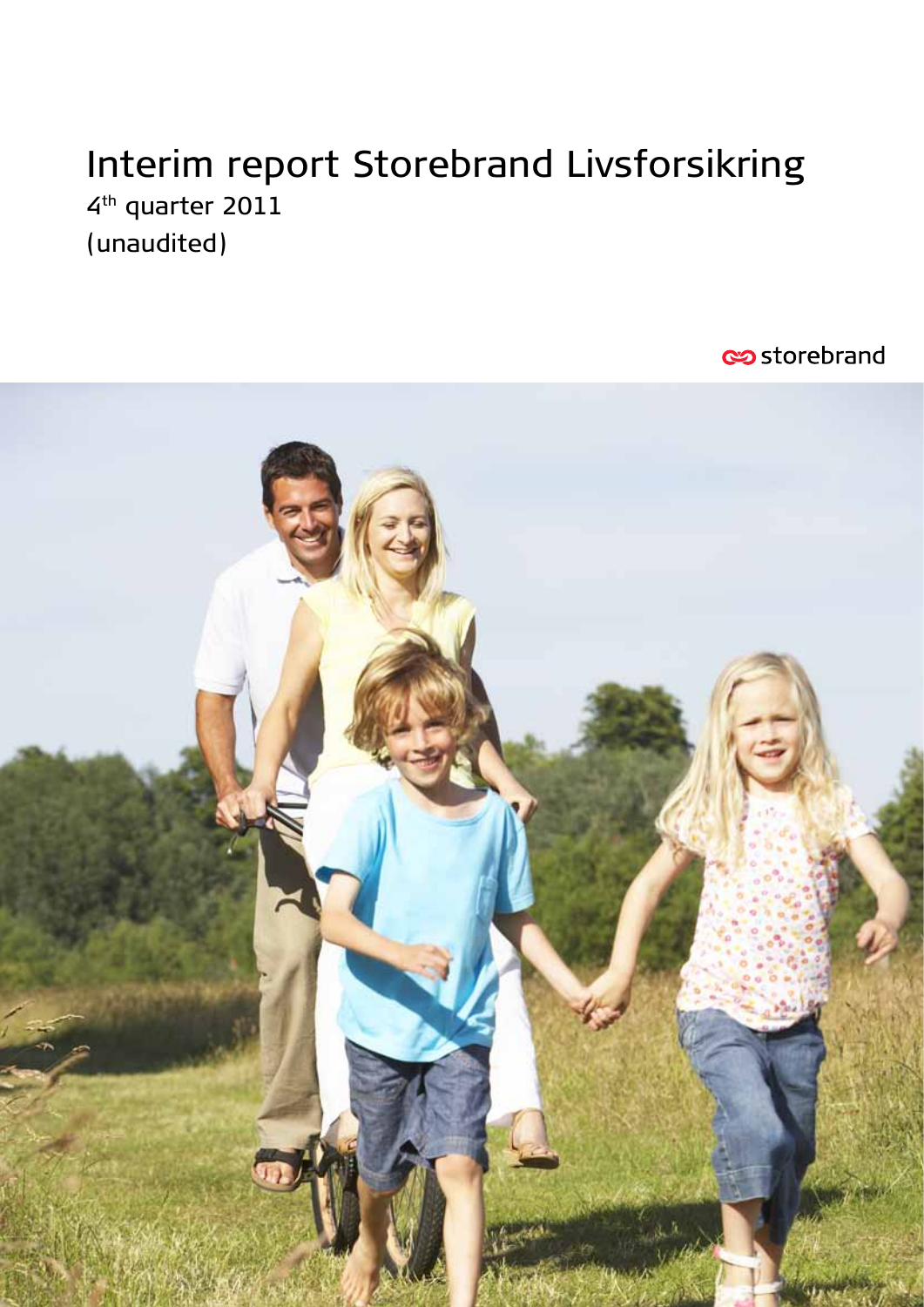# Interim report Storebrand Livsforsikring 4<sup>th</sup> quarter 2011 (unaudited)

**Storebrand** 

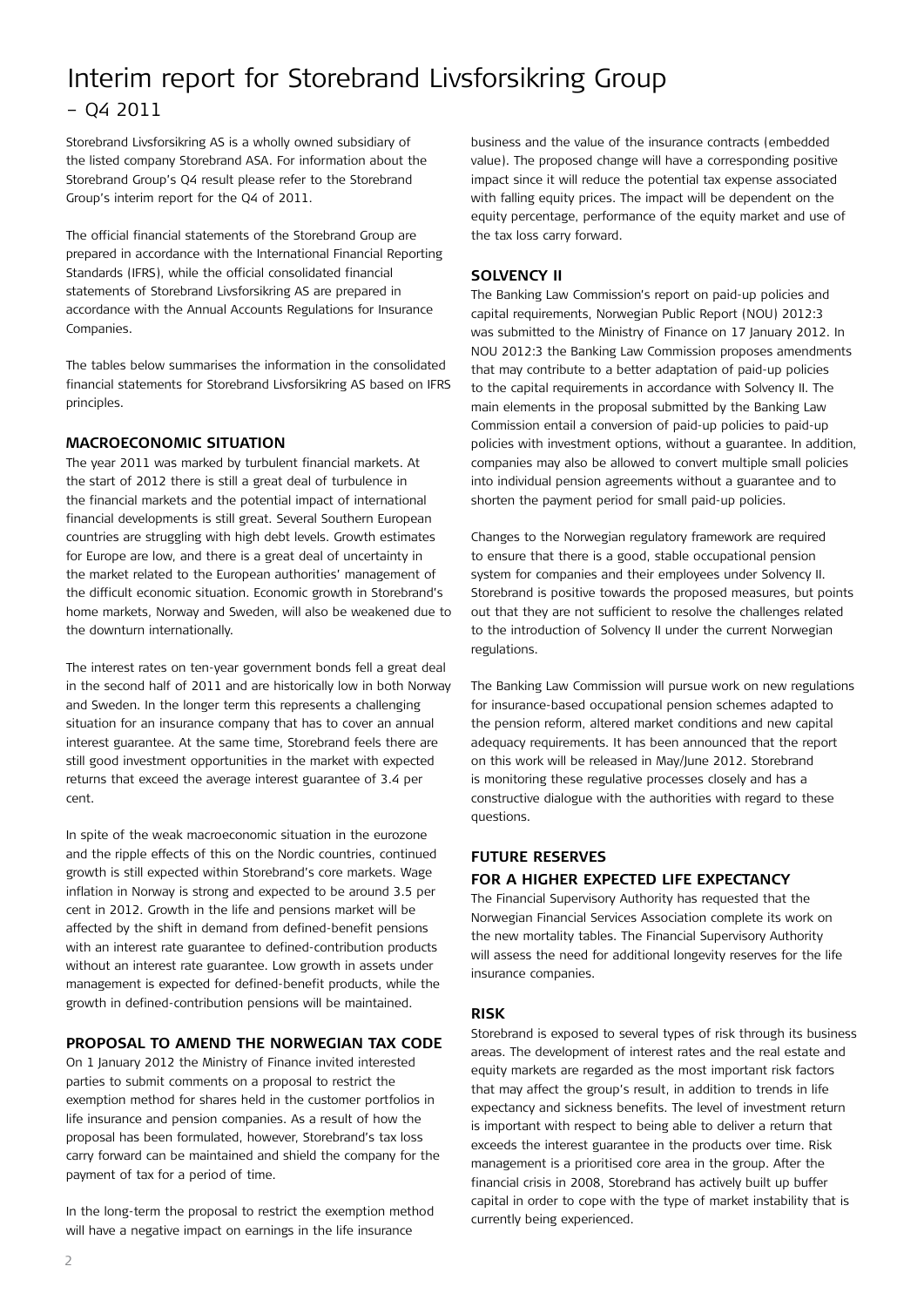### Interim report for Storebrand Livsforsikring Group – Q4 2011

Storebrand Livsforsikring AS is a wholly owned subsidiary of the listed company Storebrand ASA. For information about the Storebrand Group's Q4 result please refer to the Storebrand Group's interim report for the Q4 of 2011.

The official financial statements of the Storebrand Group are prepared in accordance with the International Financial Reporting Standards (IFRS), while the official consolidated financial statements of Storebrand Livsforsikring AS are prepared in accordance with the Annual Accounts Regulations for Insurance Companies.

The tables below summarises the information in the consolidated financial statements for Storebrand Livsforsikring AS based on IFRS principles.

#### **Macroeconomic situation**

The year 2011 was marked by turbulent financial markets. At the start of 2012 there is still a great deal of turbulence in the financial markets and the potential impact of international financial developments is still great. Several Southern European countries are struggling with high debt levels. Growth estimates for Europe are low, and there is a great deal of uncertainty in the market related to the European authorities' management of the difficult economic situation. Economic growth in Storebrand's home markets, Norway and Sweden, will also be weakened due to the downturn internationally.

The interest rates on ten-year government bonds fell a great deal in the second half of 2011 and are historically low in both Norway and Sweden. In the longer term this represents a challenging situation for an insurance company that has to cover an annual interest guarantee. At the same time, Storebrand feels there are still good investment opportunities in the market with expected returns that exceed the average interest guarantee of 3.4 per cent.

In spite of the weak macroeconomic situation in the eurozone and the ripple effects of this on the Nordic countries, continued growth is still expected within Storebrand's core markets. Wage inflation in Norway is strong and expected to be around 3.5 per cent in 2012. Growth in the life and pensions market will be affected by the shift in demand from defined-benefit pensions with an interest rate guarantee to defined-contribution products without an interest rate guarantee. Low growth in assets under management is expected for defined-benefit products, while the growth in defined-contribution pensions will be maintained.

#### **Proposal to amend the Norwegian Tax Code**

On 1 January 2012 the Ministry of Finance invited interested parties to submit comments on a proposal to restrict the exemption method for shares held in the customer portfolios in life insurance and pension companies. As a result of how the proposal has been formulated, however, Storebrand's tax loss carry forward can be maintained and shield the company for the payment of tax for a period of time.

In the long-term the proposal to restrict the exemption method will have a negative impact on earnings in the life insurance

business and the value of the insurance contracts (embedded value). The proposed change will have a corresponding positive impact since it will reduce the potential tax expense associated with falling equity prices. The impact will be dependent on the equity percentage, performance of the equity market and use of the tax loss carry forward.

#### **Solvency II**

The Banking Law Commission's report on paid-up policies and capital requirements, Norwegian Public Report (NOU) 2012:3 was submitted to the Ministry of Finance on 17 January 2012. In NOU 2012:3 the Banking Law Commission proposes amendments that may contribute to a better adaptation of paid-up policies to the capital requirements in accordance with Solvency II. The main elements in the proposal submitted by the Banking Law Commission entail a conversion of paid-up policies to paid-up policies with investment options, without a guarantee. In addition, companies may also be allowed to convert multiple small policies into individual pension agreements without a guarantee and to shorten the payment period for small paid-up policies.

Changes to the Norwegian regulatory framework are required to ensure that there is a good, stable occupational pension system for companies and their employees under Solvency II. Storebrand is positive towards the proposed measures, but points out that they are not sufficient to resolve the challenges related to the introduction of Solvency II under the current Norwegian regulations.

The Banking Law Commission will pursue work on new regulations for insurance-based occupational pension schemes adapted to the pension reform, altered market conditions and new capital adequacy requirements. It has been announced that the report on this work will be released in May/June 2012. Storebrand is monitoring these regulative processes closely and has a constructive dialogue with the authorities with regard to these questions.

### **Future reserves for a higher expected life expectancy**

The Financial Supervisory Authority has requested that the Norwegian Financial Services Association complete its work on the new mortality tables. The Financial Supervisory Authority will assess the need for additional longevity reserves for the life insurance companies.

#### **Risk**

Storebrand is exposed to several types of risk through its business areas. The development of interest rates and the real estate and equity markets are regarded as the most important risk factors that may affect the group's result, in addition to trends in life expectancy and sickness benefits. The level of investment return is important with respect to being able to deliver a return that exceeds the interest guarantee in the products over time. Risk management is a prioritised core area in the group. After the financial crisis in 2008, Storebrand has actively built up buffer capital in order to cope with the type of market instability that is currently being experienced.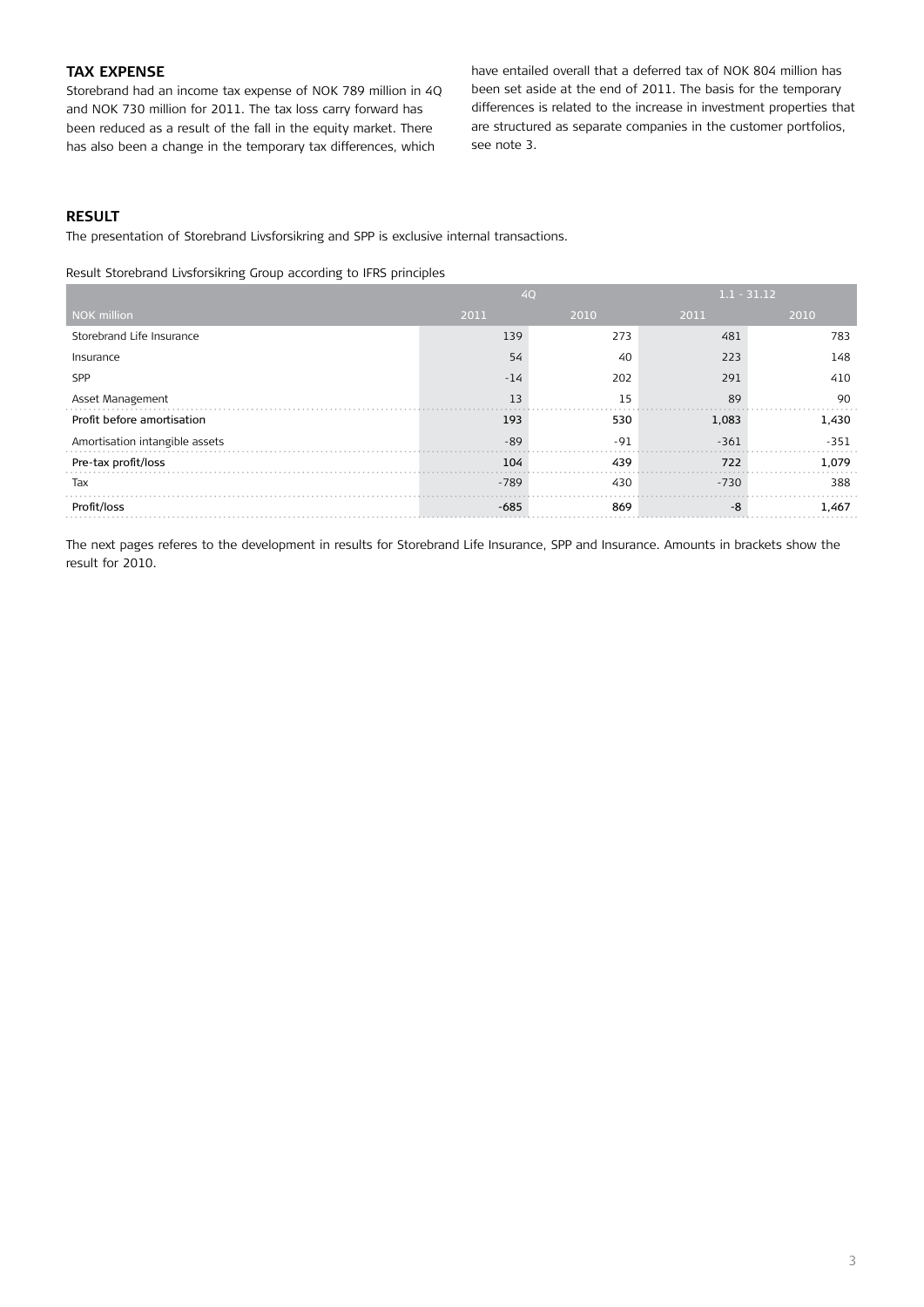#### **Tax expense**

Storebrand had an income tax expense of NOK 789 million in 4Q and NOK 730 million for 2011. The tax loss carry forward has been reduced as a result of the fall in the equity market. There has also been a change in the temporary tax differences, which

have entailed overall that a deferred tax of NOK 804 million has been set aside at the end of 2011. The basis for the temporary differences is related to the increase in investment properties that are structured as separate companies in the customer portfolios, see note 3.

#### **RESULT**

The presentation of Storebrand Livsforsikring and SPP is exclusive internal transactions.

Result Storebrand Livsforsikring Group according to IFRS principles

|                                | 4Q     |       | $1.1 - 31.12$ |        |
|--------------------------------|--------|-------|---------------|--------|
| NOK million                    | 2011   | 2010  | 2011          | 2010   |
| Storebrand Life Insurance      | 139    | 273   | 481           | 783    |
| Insurance                      | 54     | 40    | 223           | 148    |
| SPP                            | $-14$  | 202   | 291           | 410    |
| Asset Management               | 13     | 15    | 89            | 90     |
| Profit before amortisation     | 193    | 530   | 1,083         | 1,430  |
| Amortisation intangible assets | $-89$  | $-91$ | $-361$        | $-351$ |
| Pre-tax profit/loss            | 104    | 439   | 722           | 1,079  |
| Tax                            | $-789$ | 430   | $-730$        | 388    |
| Profit/loss                    | $-685$ | 869   | -8            | 1,467  |

The next pages referes to the development in results for Storebrand Life Insurance, SPP and Insurance. Amounts in brackets show the result for 2010.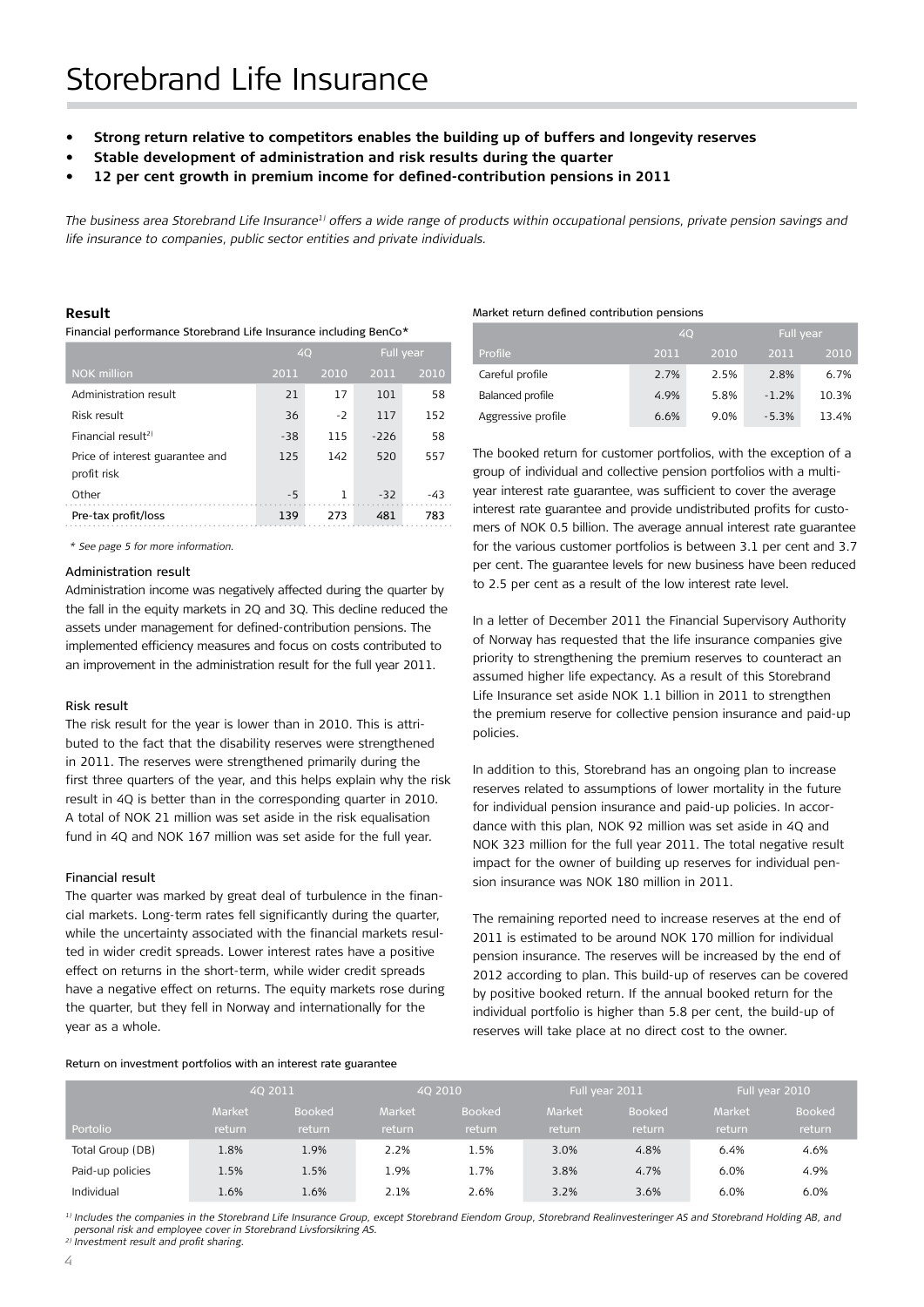- **• Strong return relative to competitors enables the building up of buffers and longevity reserves**
- **Stable development of administration and risk results during the quarter**
- 12 per cent growth in premium income for defined-contribution pensions in 2011

*The business area Storebrand Life Insurance1) offers a wide range of products within occupational pensions, private pension savings and life insurance to companies, public sector entities and private individuals.* 

#### **Result**

Financial performance Storebrand Life Insurance including BenCo\*

|                                                | 40    |      | Full year |       |
|------------------------------------------------|-------|------|-----------|-------|
| <b>NOK</b> million                             | 2011  | 2010 | 2011      | 2010  |
| Administration result                          | 21    | 17   | 101       | 58    |
| Risk result                                    | 36    | $-2$ | 117       | 152   |
| Financial result <sup>2)</sup>                 | $-38$ | 115  | $-226$    | 58    |
| Price of interest guarantee and<br>profit risk | 125   | 142  | 520       | 557   |
| Other                                          | $-5$  | 1    | $-32$     | $-43$ |
| Pre-tax profit/loss                            | 139   | 273  | 481       | 783   |

*\* See page 5 for more information.*

#### Administration result

Administration income was negatively affected during the quarter by the fall in the equity markets in 2Q and 3Q. This decline reduced the assets under management for defined-contribution pensions. The implemented efficiency measures and focus on costs contributed to an improvement in the administration result for the full year 2011.

#### Risk result

The risk result for the year is lower than in 2010. This is attributed to the fact that the disability reserves were strengthened in 2011. The reserves were strengthened primarily during the first three quarters of the year, and this helps explain why the risk result in 4Q is better than in the corresponding quarter in 2010. A total of NOK 21 million was set aside in the risk equalisation fund in 4Q and NOK 167 million was set aside for the full year.

#### Financial result

The quarter was marked by great deal of turbulence in the financial markets. Long-term rates fell significantly during the quarter, while the uncertainty associated with the financial markets resulted in wider credit spreads. Lower interest rates have a positive effect on returns in the short-term, while wider credit spreads have a negative effect on returns. The equity markets rose during the quarter, but they fell in Norway and internationally for the year as a whole.

#### Return on investment portfolios with an interest rate guarantee

#### Market return defined contribution pensions

|                    | 40   |      |         | Full year |
|--------------------|------|------|---------|-----------|
| Profile            | 2011 | 2010 | 2011    | 2010      |
| Careful profile    | 2.7% | 2.5% | 2.8%    | 6.7%      |
| Balanced profile   | 4.9% | 5.8% | $-1.2%$ | 10.3%     |
| Aggressive profile | 6.6% | 9.0% | $-5.3%$ | 13.4%     |

The booked return for customer portfolios, with the exception of a group of individual and collective pension portfolios with a multiyear interest rate guarantee, was sufficient to cover the average interest rate guarantee and provide undistributed profits for customers of NOK 0.5 billion. The average annual interest rate guarantee for the various customer portfolios is between 3.1 per cent and 3.7 per cent. The guarantee levels for new business have been reduced to 2.5 per cent as a result of the low interest rate level.

In a letter of December 2011 the Financial Supervisory Authority of Norway has requested that the life insurance companies give priority to strengthening the premium reserves to counteract an assumed higher life expectancy. As a result of this Storebrand Life Insurance set aside NOK 1.1 billion in 2011 to strengthen the premium reserve for collective pension insurance and paid-up policies.

In addition to this, Storebrand has an ongoing plan to increase reserves related to assumptions of lower mortality in the future for individual pension insurance and paid-up policies. In accordance with this plan, NOK 92 million was set aside in 4Q and NOK 323 million for the full year 2011. The total negative result impact for the owner of building up reserves for individual pension insurance was NOK 180 million in 2011.

The remaining reported need to increase reserves at the end of 2011 is estimated to be around NOK 170 million for individual pension insurance. The reserves will be increased by the end of 2012 according to plan. This build-up of reserves can be covered by positive booked return. If the annual booked return for the individual portfolio is higher than 5.8 per cent, the build-up of reserves will take place at no direct cost to the owner.

|                  |        | 4Q 2011       |               | 40 2010       |               | Full year 2011 |        | Full year 2010 |
|------------------|--------|---------------|---------------|---------------|---------------|----------------|--------|----------------|
|                  | Market | <b>Booked</b> | <b>Market</b> | <b>Booked</b> | <b>Market</b> | <b>Booked</b>  | Market | <b>Booked</b>  |
| Portolio         | return | return        | return        | return        | return        | return         | return | return         |
| Total Group (DB) | 1.8%   | 1.9%          | 2.2%          | 1.5%          | 3.0%          | 4.8%           | 6.4%   | 4.6%           |
| Paid-up policies | 1.5%   | 1.5%          | 1.9%          | 1.7%          | 3.8%          | 4.7%           | 6.0%   | 4.9%           |
| Individual       | 1.6%   | 1.6%          | 2.1%          | 2.6%          | 3.2%          | 3.6%           | 6.0%   | 6.0%           |

<sup>1)</sup> Includes the companies in the Storebrand Life Insurance Group, except Storebrand Eiendom Group, Storebrand Realinvesteringer AS and Storebrand Holding AB, and *personal risk and employee cover in Storebrand Livsforsikring AS.*

*2) Investment result and profit sharing.*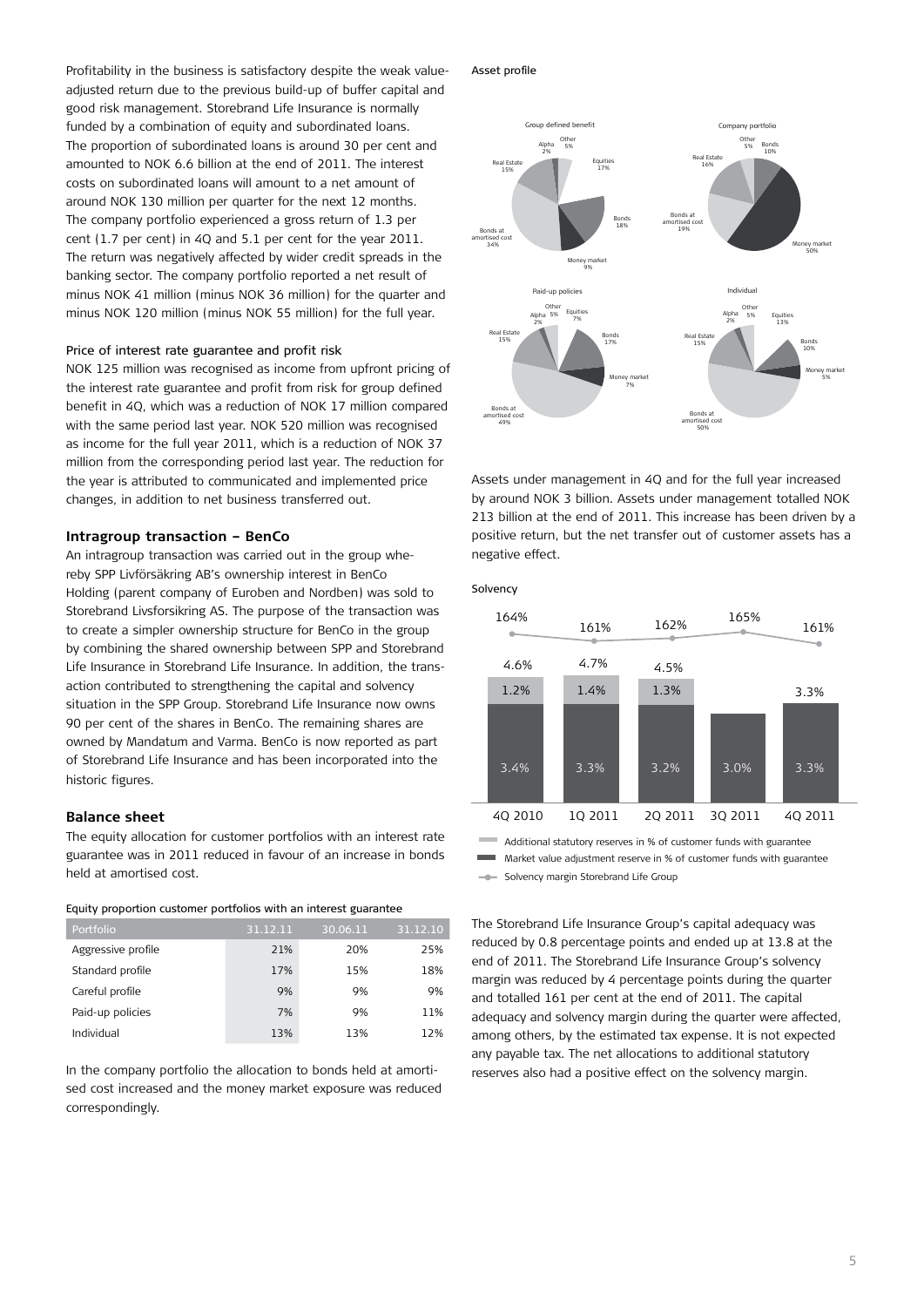Profitability in the business is satisfactory despite the weak valueadjusted return due to the previous build-up of buffer capital and good risk management. Storebrand Life Insurance is normally funded by a combination of equity and subordinated loans. The proportion of subordinated loans is around 30 per cent and amounted to NOK 6.6 billion at the end of 2011. The interest costs on subordinated loans will amount to a net amount of around NOK 130 million per quarter for the next 12 months. The company portfolio experienced a gross return of 1.3 per cent (1.7 per cent) in 4Q and 5.1 per cent for the year 2011. The return was negatively affected by wider credit spreads in the banking sector. The company portfolio reported a net result of minus NOK 41 million (minus NOK 36 million) for the quarter and minus NOK 120 million (minus NOK 55 million) for the full year.

#### Price of interest rate guarantee and profit risk

NOK 125 million was recognised as income from upfront pricing of the interest rate guarantee and profit from risk for group defined benefit in 4Q, which was a reduction of NOK 17 million compared with the same period last year. NOK 520 million was recognised as income for the full year 2011, which is a reduction of NOK 37 million from the corresponding period last year. The reduction for the year is attributed to communicated and implemented price changes, in addition to net business transferred out.

#### **Intragroup transaction – BenCo**

An intragroup transaction was carried out in the group whereby SPP Livförsäkring AB's ownership interest in BenCo Holding (parent company of Euroben and Nordben) was sold to Storebrand Livsforsikring AS. The purpose of the transaction was to create a simpler ownership structure for BenCo in the group by combining the shared ownership between SPP and Storebrand Life Insurance in Storebrand Life Insurance. In addition, the transaction contributed to strengthening the capital and solvency situation in the SPP Group. Storebrand Life Insurance now owns 90 per cent of the shares in BenCo. The remaining shares are owned by Mandatum and Varma. BenCo is now reported as part of Storebrand Life Insurance and has been incorporated into the historic figures.

#### **Balance sheet**

The equity allocation for customer portfolios with an interest rate guarantee was in 2011 reduced in favour of an increase in bonds held at amortised cost.

#### Equity proportion customer portfolios with an interest guarantee

| Portfolio          | 31.12.11 | 30.06.11 | 31.12.10 |
|--------------------|----------|----------|----------|
| Aggressive profile | 21%      | 20%      | 25%      |
| Standard profile   | 17%      | 15%      | 18%      |
| Careful profile    | 9%       | 9%       | 9%       |
| Paid-up policies   | 7%       | 9%       | 11%      |
| Individual         | 13%      | 13%      | 12%      |

In the company portfolio the allocation to bonds held at amortised cost increased and the money market exposure was reduced correspondingly.

Asset profile



Assets under management in 4Q and for the full year increased by around NOK 3 billion. Assets under management totalled NOK 213 billion at the end of 2011. This increase has been driven by a positive return, but the net transfer out of customer assets has a negative effect.



Additional statutory reserves in % of customer funds with guarantee Market value adjustment reserve in % of customer funds with guarantee

Solvency margin Storebrand Life Group  $\frac{1}{2}$ 

The Storebrand Life Insurance Group's capital adequacy was reduced by 0.8 percentage points and ended up at 13.8 at the end of 2011. The Storebrand Life Insurance Group's solvency margin was reduced by 4 percentage points during the quarter and totalled 161 per cent at the end of 2011. The capital adequacy and solvency margin during the quarter were affected, among others, by the estimated tax expense. It is not expected any payable tax. The net allocations to additional statutory reserves also had a positive effect on the solvency margin.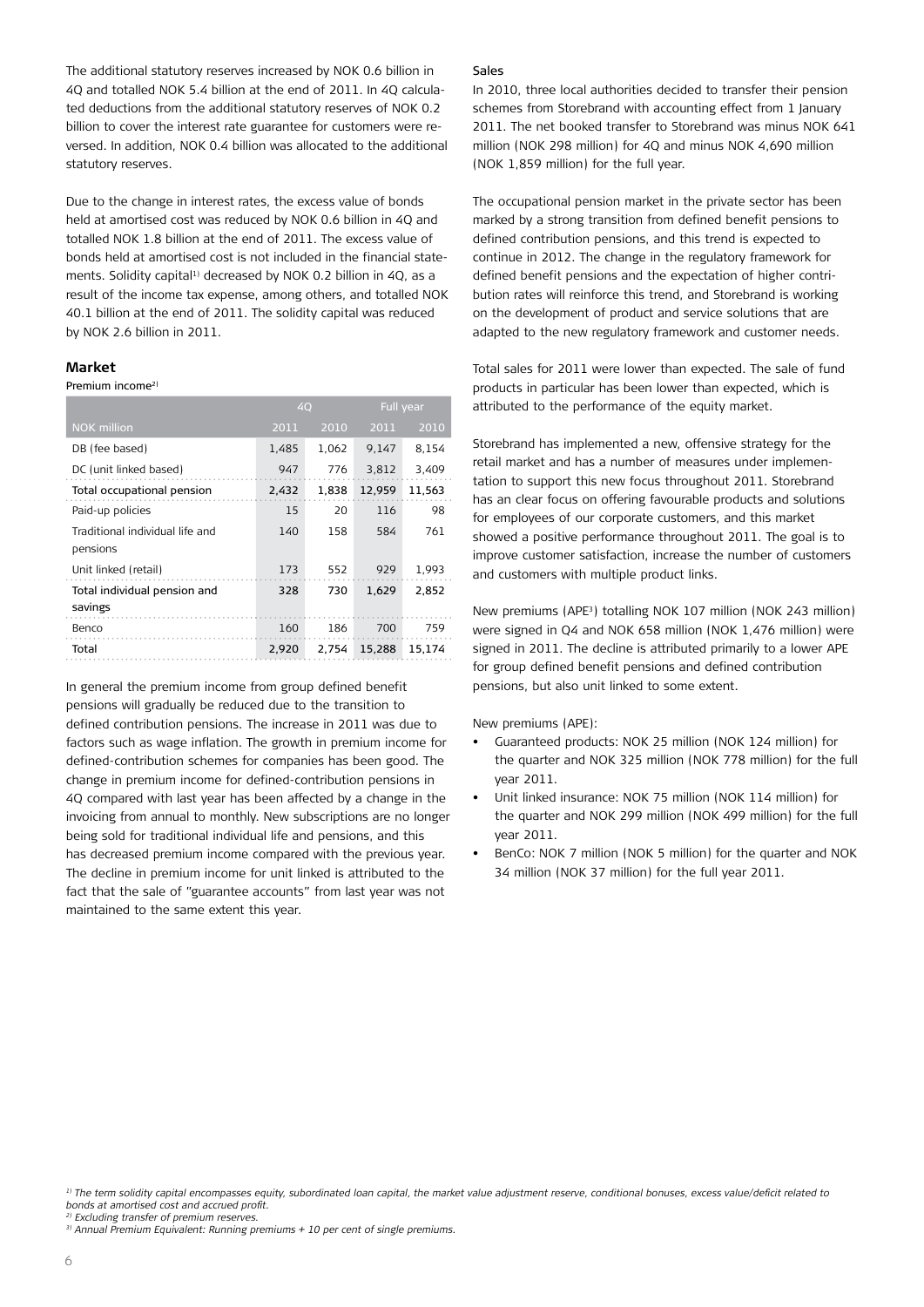The additional statutory reserves increased by NOK 0.6 billion in 4Q and totalled NOK 5.4 billion at the end of 2011. In 4Q calculated deductions from the additional statutory reserves of NOK 0.2 billion to cover the interest rate guarantee for customers were reversed. In addition, NOK 0.4 billion was allocated to the additional statutory reserves.

Due to the change in interest rates, the excess value of bonds held at amortised cost was reduced by NOK 0.6 billion in 4Q and totalled NOK 1.8 billion at the end of 2011. The excess value of bonds held at amortised cost is not included in the financial statements. Solidity capital<sup>1)</sup> decreased by NOK 0.2 billion in 4Q, as a result of the income tax expense, among others, and totalled NOK 40.1 billion at the end of 2011. The solidity capital was reduced by NOK 2.6 billion in 2011.

#### **Market**

#### Premium income2)

|                                             | 40    |       |        | Full year |
|---------------------------------------------|-------|-------|--------|-----------|
| <b>NOK million</b>                          | 2011  | 2010  | 2011   | 2010      |
| DB (fee based)                              | 1,485 | 1,062 | 9.147  | 8.154     |
| DC (unit linked based)                      | 947   | 776   | 3,812  | 3,409     |
| Total occupational pension                  | 2,432 | 1,838 | 12,959 | 11,563    |
| Paid-up policies                            | 15    | 20    | 116    | 98        |
| Traditional individual life and<br>pensions | 140   | 158   | 584    | 761       |
| Unit linked (retail)                        | 173   | 552   | 929    | 1,993     |
| Total individual pension and<br>savings     | 328   | 730   | 1,629  | 2.852     |
| Benco                                       | 160   | 186   | 700    | 759       |
| Total                                       | 2,920 | 2.754 | 15,288 | 15.174    |

In general the premium income from group defined benefit pensions will gradually be reduced due to the transition to defined contribution pensions. The increase in 2011 was due to factors such as wage inflation. The growth in premium income for defined-contribution schemes for companies has been good. The change in premium income for defined-contribution pensions in 4Q compared with last year has been affected by a change in the invoicing from annual to monthly. New subscriptions are no longer being sold for traditional individual life and pensions, and this has decreased premium income compared with the previous year. The decline in premium income for unit linked is attributed to the fact that the sale of "guarantee accounts" from last year was not maintained to the same extent this year.

#### Sales

In 2010, three local authorities decided to transfer their pension schemes from Storebrand with accounting effect from 1 January 2011. The net booked transfer to Storebrand was minus NOK 641 million (NOK 298 million) for 4Q and minus NOK 4,690 million (NOK 1,859 million) for the full year.

The occupational pension market in the private sector has been marked by a strong transition from defined benefit pensions to defined contribution pensions, and this trend is expected to continue in 2012. The change in the regulatory framework for defined benefit pensions and the expectation of higher contribution rates will reinforce this trend, and Storebrand is working on the development of product and service solutions that are adapted to the new regulatory framework and customer needs.

Total sales for 2011 were lower than expected. The sale of fund products in particular has been lower than expected, which is attributed to the performance of the equity market.

Storebrand has implemented a new, offensive strategy for the retail market and has a number of measures under implementation to support this new focus throughout 2011. Storebrand has an clear focus on offering favourable products and solutions for employees of our corporate customers, and this market showed a positive performance throughout 2011. The goal is to improve customer satisfaction, increase the number of customers and customers with multiple product links.

New premiums (APE3) totalling NOK 107 million (NOK 243 million) were signed in Q4 and NOK 658 million (NOK 1,476 million) were signed in 2011. The decline is attributed primarily to a lower APE for group defined benefit pensions and defined contribution pensions, but also unit linked to some extent.

New premiums (APE):

- • Guaranteed products: NOK 25 million (NOK 124 million) for the quarter and NOK 325 million (NOK 778 million) for the full year 2011.
- Unit linked insurance: NOK 75 million (NOK 114 million) for the quarter and NOK 299 million (NOK 499 million) for the full year 2011.
- BenCo: NOK 7 million (NOK 5 million) for the quarter and NOK 34 million (NOK 37 million) for the full year 2011.

*<sup>1)</sup> The term solidity capital encompasses equity, subordinated loan capital, the market value adjustment reserve, conditional bonuses, excess value/deficit related to bonds at amortised cost and accrued profit.* 

*<sup>2)</sup> Excluding transfer of premium reserves.*

*<sup>3)</sup> Annual Premium Equivalent: Running premiums + 10 per cent of single premiums.*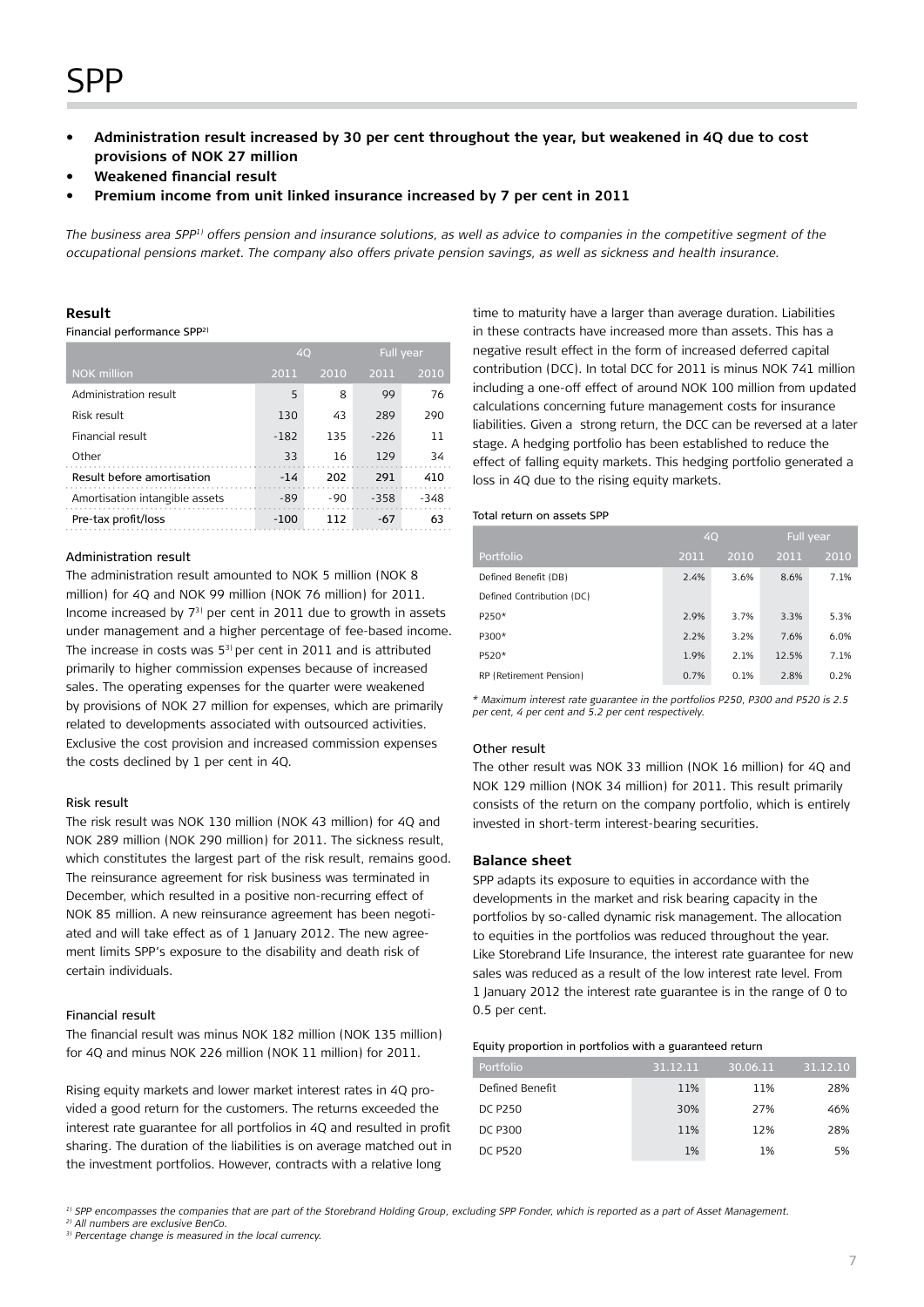## SPP

- Administration result increased by 30 per cent throughout the year, but weakened in 4Q due to cost **provisions of NOK 27 million**
- **• Weakened financial result**
- Premium income from unit linked insurance increased by 7 per cent in 2011

*The business area SPP1) offers pension and insurance solutions, as well as advice to companies in the competitive segment of the occupational pensions market. The company also offers private pension savings, as well as sickness and health insurance.* 

#### **Result**

Financial performance SPP2)

|                                | 40     |       | Full year |        |
|--------------------------------|--------|-------|-----------|--------|
| <b>NOK</b> million             | 2011   | 2010  | 2011      | 2010   |
| Administration result          | 5      | 8     | 99        | 76     |
| Risk result                    | 130    | 43    | 289       | 290    |
| Financial result               | $-182$ | 135   | $-226$    | 11     |
| Other                          | 33     | 16    | 129       | 34     |
| Result before amortisation     | $-14$  | 202   | 291       | 410    |
| Amortisation intangible assets | $-89$  | $-90$ | $-358$    | $-348$ |
| Pre-tax profit/loss            | $-100$ | 112   | $-67$     | 63     |

#### Administration result

The administration result amounted to NOK 5 million (NOK 8 million) for 4Q and NOK 99 million (NOK 76 million) for 2011. Income increased by 73) per cent in 2011 due to growth in assets under management and a higher percentage of fee-based income. The increase in costs was 53) per cent in 2011 and is attributed primarily to higher commission expenses because of increased sales. The operating expenses for the quarter were weakened by provisions of NOK 27 million for expenses, which are primarily related to developments associated with outsourced activities. Exclusive the cost provision and increased commission expenses the costs declined by 1 per cent in 4Q.

#### Risk result

The risk result was NOK 130 million (NOK 43 million) for 4Q and NOK 289 million (NOK 290 million) for 2011. The sickness result, which constitutes the largest part of the risk result, remains good. The reinsurance agreement for risk business was terminated in December, which resulted in a positive non-recurring effect of NOK 85 million. A new reinsurance agreement has been negotiated and will take effect as of 1 January 2012. The new agreement limits SPP's exposure to the disability and death risk of certain individuals.

#### Financial result

The financial result was minus NOK 182 million (NOK 135 million) for 4Q and minus NOK 226 million (NOK 11 million) for 2011.

Rising equity markets and lower market interest rates in 4Q provided a good return for the customers. The returns exceeded the interest rate guarantee for all portfolios in 4Q and resulted in profit sharing. The duration of the liabilities is on average matched out in the investment portfolios. However, contracts with a relative long

time to maturity have a larger than average duration. Liabilities in these contracts have increased more than assets. This has a negative result effect in the form of increased deferred capital contribution (DCC). In total DCC for 2011 is minus NOK 741 million including a one-off effect of around NOK 100 million from updated calculations concerning future management costs for insurance liabilities. Given a strong return, the DCC can be reversed at a later stage. A hedging portfolio has been established to reduce the effect of falling equity markets. This hedging portfolio generated a loss in 4Q due to the rising equity markets.

#### Total return on assets SPP

|                           | 4Q   |      |       | Full year |
|---------------------------|------|------|-------|-----------|
| Portfolio                 | 2011 | 2010 | 2011  | 2010      |
| Defined Benefit (DB)      | 2.4% | 3.6% | 8.6%  | 7.1%      |
| Defined Contribution (DC) |      |      |       |           |
| P250*                     | 2.9% | 3.7% | 3.3%  | 5.3%      |
| P300*                     | 2.2% | 3.2% | 7.6%  | 6.0%      |
| P520*                     | 1.9% | 2.1% | 12.5% | 7.1%      |
| RP (Retirement Pension)   | 0.7% | 0.1% | 2.8%  | 0.2%      |

*\* Maximum interest rate guarantee in the portfolios P250, P300 and P520 is 2.5 per cent, 4 per cent and 5.2 per cent respectively.*

#### Other result

The other result was NOK 33 million (NOK 16 million) for 4Q and NOK 129 million (NOK 34 million) for 2011. This result primarily consists of the return on the company portfolio, which is entirely invested in short-term interest-bearing securities.

#### **Balance sheet**

SPP adapts its exposure to equities in accordance with the developments in the market and risk bearing capacity in the portfolios by so-called dynamic risk management. The allocation to equities in the portfolios was reduced throughout the year. Like Storebrand Life Insurance, the interest rate guarantee for new sales was reduced as a result of the low interest rate level. From 1 January 2012 the interest rate guarantee is in the range of 0 to 0.5 per cent.

#### Equity proportion in portfolios with a guaranteed return

| Portfolio       | 31.12.11 | 30.06.11 | 31.12.10 |
|-----------------|----------|----------|----------|
| Defined Benefit | 11%      | 11%      | 28%      |
| <b>DC P250</b>  | 30%      | 27%      | 46%      |
| DC P300         | 11%      | 12%      | 28%      |
| <b>DC P520</b>  | 1%       | 1%       | 5%       |

*1) SPP encompasses the companies that are part of the Storebrand Holding Group, excluding SPP Fonder, which is reported as a part of Asset Management.*

*2) All numbers are exclusive BenCo.*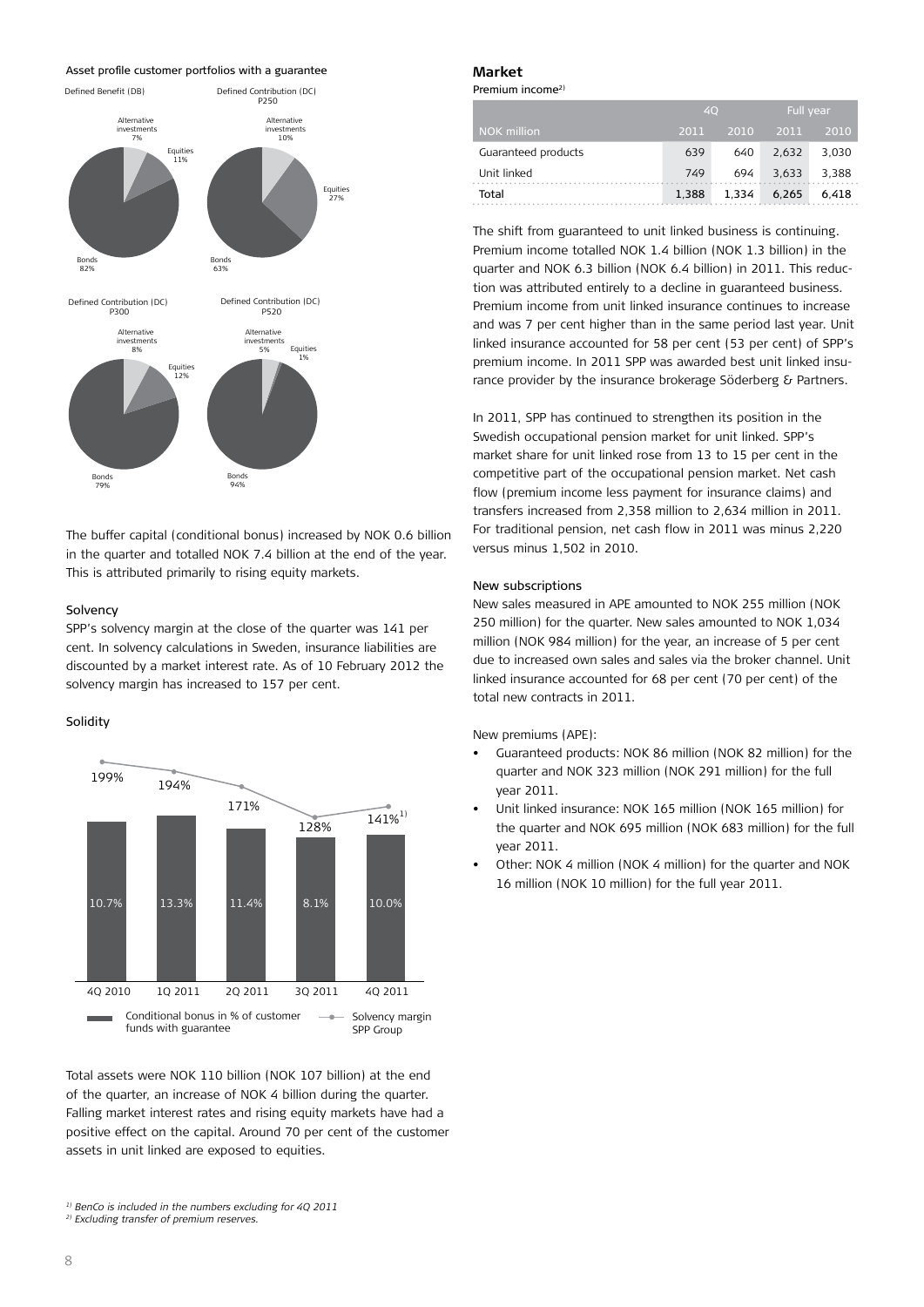Asset profile customer portfolios with a guarantee



The buffer capital (conditional bonus) increased by NOK 0.6 billion in the quarter and totalled NOK 7.4 billion at the end of the year. This is attributed primarily to rising equity markets.

#### Solvency

SPP's solvency margin at the close of the quarter was 141 per cent. In solvency calculations in Sweden, insurance liabilities are discounted by a market interest rate. As of 10 February 2012 the solvency margin has increased to 157 per cent.

#### Solidity



Total assets were NOK 110 billion (NOK 107 billion) at the end of the quarter, an increase of NOK 4 billion during the quarter. Falling market interest rates and rising equity markets have had a positive effect on the capital. Around 70 per cent of the customer assets in unit linked are exposed to equities.

#### **Market**

Premium income<sup>2)</sup>

|                     | 40    |       | Full year |       |
|---------------------|-------|-------|-----------|-------|
| <b>NOK</b> million  | 2011  | 2010  | 2011      | 2010  |
| Guaranteed products | 639   | 640   | 2.632     | 3.030 |
| Unit linked         | 749   | 694   | 3,633     | 3.388 |
| Total               | 1,388 | 1,334 | 6.265     | 6.418 |

The shift from guaranteed to unit linked business is continuing. Premium income totalled NOK 1.4 billion (NOK 1.3 billion) in the quarter and NOK 6.3 billion (NOK 6.4 billion) in 2011. This reduction was attributed entirely to a decline in guaranteed business. Premium income from unit linked insurance continues to increase and was 7 per cent higher than in the same period last year. Unit linked insurance accounted for 58 per cent (53 per cent) of SPP's premium income. In 2011 SPP was awarded best unit linked insurance provider by the insurance brokerage Söderberg & Partners.

In 2011, SPP has continued to strengthen its position in the Swedish occupational pension market for unit linked. SPP's market share for unit linked rose from 13 to 15 per cent in the competitive part of the occupational pension market. Net cash flow (premium income less payment for insurance claims) and transfers increased from 2,358 million to 2,634 million in 2011. For traditional pension, net cash flow in 2011 was minus 2,220 versus minus 1,502 in 2010.

#### New subscriptions

New sales measured in APE amounted to NOK 255 million (NOK 250 million) for the quarter. New sales amounted to NOK 1,034 million (NOK 984 million) for the year, an increase of 5 per cent due to increased own sales and sales via the broker channel. Unit linked insurance accounted for 68 per cent (70 per cent) of the total new contracts in 2011.

New premiums (APE):

- Guaranteed products: NOK 86 million (NOK 82 million) for the quarter and NOK 323 million (NOK 291 million) for the full year 2011.
- Unit linked insurance: NOK 165 million (NOK 165 million) for the quarter and NOK 695 million (NOK 683 million) for the full year 2011.
- Other: NOK 4 million (NOK 4 million) for the quarter and NOK 16 million (NOK 10 million) for the full year 2011.

*<sup>1)</sup> BenCo is included in the numbers excluding for 4Q 2011*

*<sup>2)</sup> Excluding transfer of premium reserves.*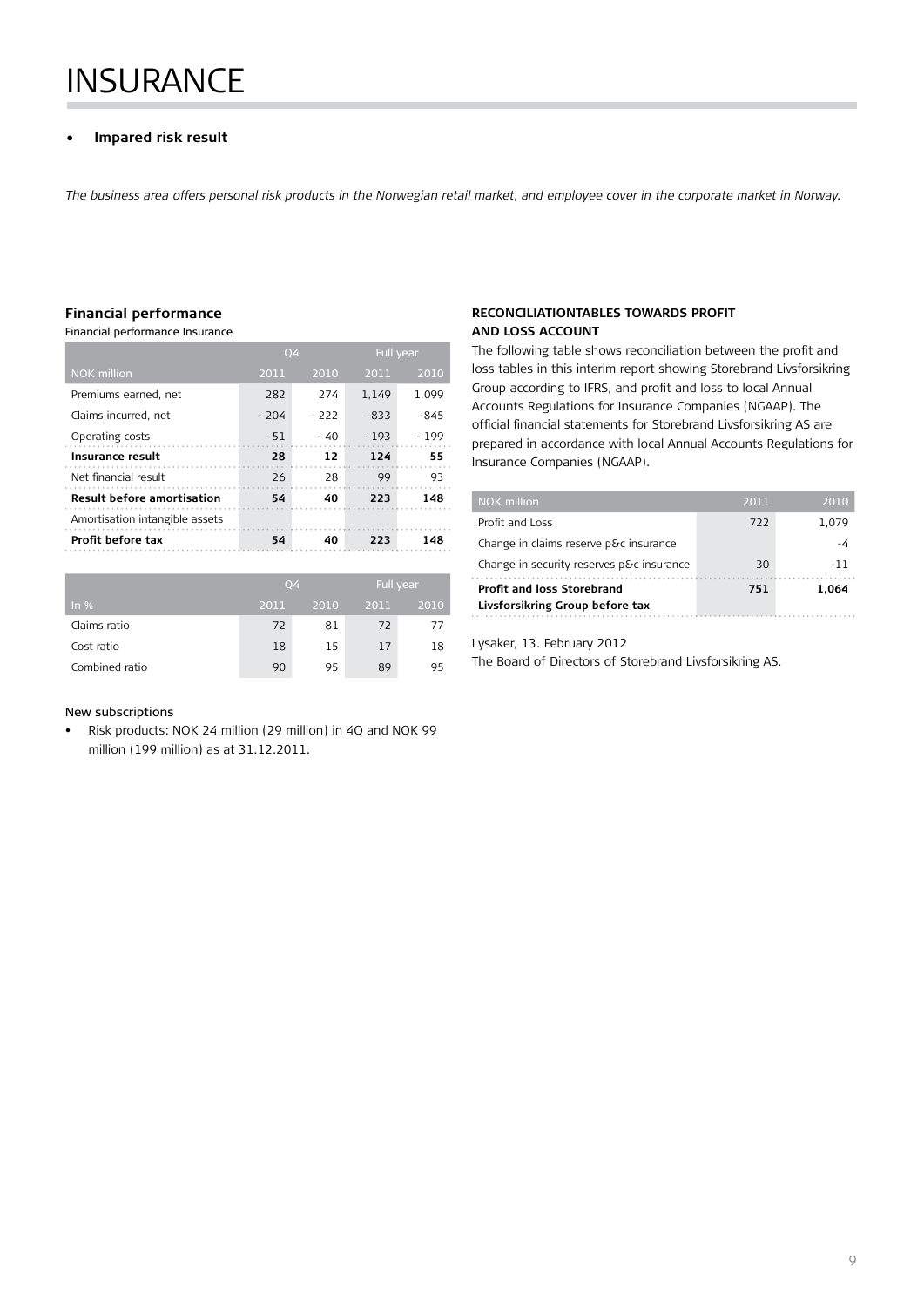# **INSURANCE**

#### **Impared risk result**

*The business area offers personal risk products in the Norwegian retail market, and employee cover in the corporate market in Norway.*

#### **Financial performance**

Financial performance Insurance

|                                   | Q4     |       | <b>Full year</b> |        |
|-----------------------------------|--------|-------|------------------|--------|
| <b>NOK million</b>                | 2011   | 2010  | 2011             | 2010   |
| Premiums earned, net              | 282    | 274   | 1.149            | 1.099  |
| Claims incurred, net              | $-204$ | - 222 | $-833$           | $-845$ |
| Operating costs                   | $-51$  | - 40  | $-193$           | $-199$ |
| Insurance result                  | 28     | 12    | 124              | 55     |
| Net financial result              | 26     | 28    | 99               | 93     |
| <b>Result before amortisation</b> | 54     | 40    | 223              | 148    |
| Amortisation intangible assets    |        |       |                  |        |
| Profit before tax                 | 54     | 40    | 223              | 148    |
|                                   |        |       |                  |        |

|                |      | 04   |      | Full year |
|----------------|------|------|------|-----------|
| In $%$         | 2011 | 2010 | 2011 | 2010      |
| Claims ratio   | 72   | 81   | 72   | 77        |
| Cost ratio     | 18   | 15   | 17   | 18        |
| Combined ratio | 90   | 95   | 89   | 95        |

#### New subscriptions

• Risk products: NOK 24 million (29 million) in 4Q and NOK 99 million (199 million) as at 31.12.2011.

#### **Reconciliationtables towards profit and loss account**

The following table shows reconciliation between the profit and loss tables in this interim report showing Storebrand Livsforsikring Group according to IFRS, and profit and loss to local Annual Accounts Regulations for Insurance Companies (NGAAP). The official financial statements for Storebrand Livsforsikring AS are prepared in accordance with local Annual Accounts Regulations for Insurance Companies (NGAAP).

| <b>NOK million</b>                        | 2011 | 2010  |
|-------------------------------------------|------|-------|
| Profit and Loss                           | 722  | 1.079 |
| Change in claims reserve p&c insurance    |      | -4    |
| Change in security reserves p&c insurance | 30   | -11   |
| Profit and loss Storebrand                | 751  | 1.064 |
| Livsforsikring Group before tax           |      |       |

Lysaker, 13. February 2012

The Board of Directors of Storebrand Livsforsikring AS.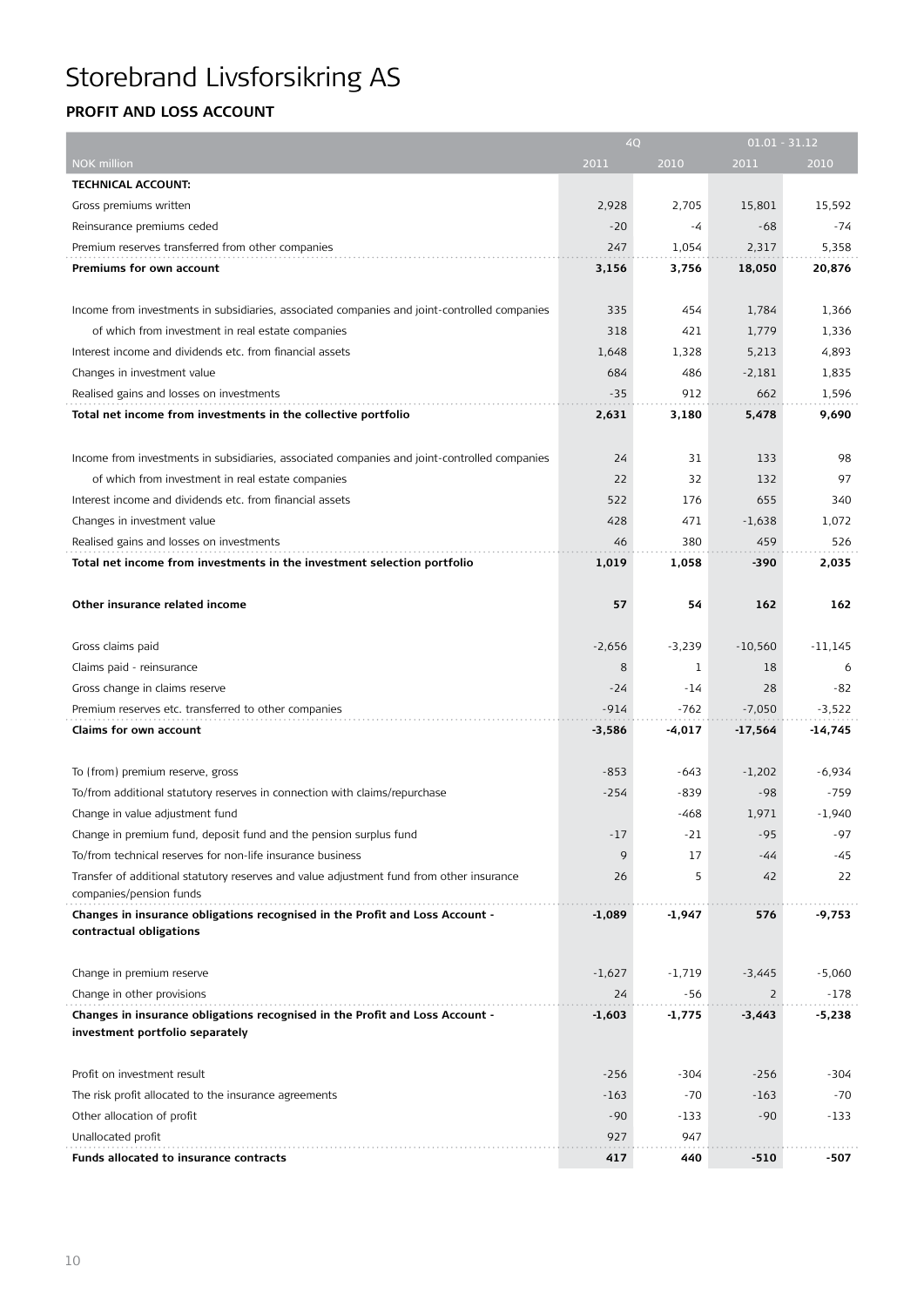### **Profit and Loss ACCOUNT**

| 2011<br>2010<br>2011<br>2010<br>NOK million<br><b>TECHNICAL ACCOUNT:</b><br>Gross premiums written<br>2,928<br>2,705<br>15,801<br>15,592<br>Reinsurance premiums ceded<br>$-20$<br>-4<br>$-68$<br>-74<br>Premium reserves transferred from other companies<br>247<br>1,054<br>2,317<br>5,358<br>Premiums for own account<br>3,756<br>18,050<br>20,876<br>3,156<br>Income from investments in subsidiaries, associated companies and joint-controlled companies<br>335<br>454<br>1,784<br>1,366<br>421<br>of which from investment in real estate companies<br>318<br>1,779<br>1,336<br>Interest income and dividends etc. from financial assets<br>4,893<br>1,648<br>1,328<br>5,213<br>684<br>486<br>Changes in investment value<br>$-2,181$<br>1,835<br>Realised gains and losses on investments<br>$-35$<br>912<br>662<br>1,596<br>9,690<br>Total net income from investments in the collective portfolio<br>2,631<br>3,180<br>5,478<br>Income from investments in subsidiaries, associated companies and joint-controlled companies<br>24<br>31<br>133<br>98<br>22<br>32<br>97<br>of which from investment in real estate companies<br>132<br>Interest income and dividends etc. from financial assets<br>522<br>176<br>655<br>340<br>Changes in investment value<br>428<br>471<br>$-1,638$<br>1,072<br>Realised gains and losses on investments<br>46<br>380<br>459<br>526<br>Total net income from investments in the investment selection portfolio<br>1,019<br>1,058<br>-390<br>2,035<br>57<br>Other insurance related income<br>54<br>162<br>162<br>Gross claims paid<br>$-2,656$<br>$-3,239$<br>$-10,560$<br>$-11,145$<br>Claims paid - reinsurance<br>8<br>1<br>18<br>6<br>$-82$<br>Gross change in claims reserve<br>-24<br>-14<br>28<br>Premium reserves etc. transferred to other companies<br>$-914$<br>-762<br>$-7,050$<br>$-3,522$<br>Claims for own account<br>$-4,017$<br>$-17,564$<br>-14,745<br>$-3,586$<br>To (from) premium reserve, gross<br>$-853$<br>$-6,934$<br>-643<br>$-1,202$<br>$-254$<br>$-98$<br>To/from additional statutory reserves in connection with claims/repurchase<br>-839<br>$-759$<br>Change in value adjustment fund<br>-468<br>1,971<br>$-1,940$<br>$-95$<br>-97<br>Change in premium fund, deposit fund and the pension surplus fund<br>$-17$<br>$-21$<br>To/from technical reserves for non-life insurance business<br>9<br>17<br>-45<br>-44<br>Transfer of additional statutory reserves and value adjustment fund from other insurance<br>26<br>5<br>42<br>22<br>companies/pension funds<br>Changes in insurance obligations recognised in the Profit and Loss Account -<br>-1,947<br>-9,753<br>-1,089<br>576<br>contractual obligations<br>Change in premium reserve<br>$-1,627$<br>$-1,719$<br>$-3,445$<br>$-5,060$<br>Change in other provisions<br>24<br>$\overline{2}$<br>-178<br>-56<br>Changes in insurance obligations recognised in the Profit and Loss Account -<br>-1,775<br>-5,238<br>-1,603<br>-3,443<br>investment portfolio separately<br>Profit on investment result<br>$-256$<br>-304<br>$-256$<br>-304<br>The risk profit allocated to the insurance agreements<br>$-163$<br>$-70$<br>$-163$<br>$-70$<br>Other allocation of profit<br>$-90$<br>$-133$<br>$-90$<br>$-133$<br>Unallocated profit<br>927<br>947<br>417<br>440<br>$-510$<br>-507<br>Funds allocated to insurance contracts | 4Q |  | $01.01 - 31.12$ |
|------------------------------------------------------------------------------------------------------------------------------------------------------------------------------------------------------------------------------------------------------------------------------------------------------------------------------------------------------------------------------------------------------------------------------------------------------------------------------------------------------------------------------------------------------------------------------------------------------------------------------------------------------------------------------------------------------------------------------------------------------------------------------------------------------------------------------------------------------------------------------------------------------------------------------------------------------------------------------------------------------------------------------------------------------------------------------------------------------------------------------------------------------------------------------------------------------------------------------------------------------------------------------------------------------------------------------------------------------------------------------------------------------------------------------------------------------------------------------------------------------------------------------------------------------------------------------------------------------------------------------------------------------------------------------------------------------------------------------------------------------------------------------------------------------------------------------------------------------------------------------------------------------------------------------------------------------------------------------------------------------------------------------------------------------------------------------------------------------------------------------------------------------------------------------------------------------------------------------------------------------------------------------------------------------------------------------------------------------------------------------------------------------------------------------------------------------------------------------------------------------------------------------------------------------------------------------------------------------------------------------------------------------------------------------------------------------------------------------------------------------------------------------------------------------------------------------------------------------------------------------------------------------------------------------------------------------------------------------------------------------------------------------------------------------------------------------------------------------------------------------------------------------------------------------------------------------------------------------------------------------------------------------------------------------------------------------------------------------------|----|--|-----------------|
|                                                                                                                                                                                                                                                                                                                                                                                                                                                                                                                                                                                                                                                                                                                                                                                                                                                                                                                                                                                                                                                                                                                                                                                                                                                                                                                                                                                                                                                                                                                                                                                                                                                                                                                                                                                                                                                                                                                                                                                                                                                                                                                                                                                                                                                                                                                                                                                                                                                                                                                                                                                                                                                                                                                                                                                                                                                                                                                                                                                                                                                                                                                                                                                                                                                                                                                                                            |    |  |                 |
|                                                                                                                                                                                                                                                                                                                                                                                                                                                                                                                                                                                                                                                                                                                                                                                                                                                                                                                                                                                                                                                                                                                                                                                                                                                                                                                                                                                                                                                                                                                                                                                                                                                                                                                                                                                                                                                                                                                                                                                                                                                                                                                                                                                                                                                                                                                                                                                                                                                                                                                                                                                                                                                                                                                                                                                                                                                                                                                                                                                                                                                                                                                                                                                                                                                                                                                                                            |    |  |                 |
|                                                                                                                                                                                                                                                                                                                                                                                                                                                                                                                                                                                                                                                                                                                                                                                                                                                                                                                                                                                                                                                                                                                                                                                                                                                                                                                                                                                                                                                                                                                                                                                                                                                                                                                                                                                                                                                                                                                                                                                                                                                                                                                                                                                                                                                                                                                                                                                                                                                                                                                                                                                                                                                                                                                                                                                                                                                                                                                                                                                                                                                                                                                                                                                                                                                                                                                                                            |    |  |                 |
|                                                                                                                                                                                                                                                                                                                                                                                                                                                                                                                                                                                                                                                                                                                                                                                                                                                                                                                                                                                                                                                                                                                                                                                                                                                                                                                                                                                                                                                                                                                                                                                                                                                                                                                                                                                                                                                                                                                                                                                                                                                                                                                                                                                                                                                                                                                                                                                                                                                                                                                                                                                                                                                                                                                                                                                                                                                                                                                                                                                                                                                                                                                                                                                                                                                                                                                                                            |    |  |                 |
|                                                                                                                                                                                                                                                                                                                                                                                                                                                                                                                                                                                                                                                                                                                                                                                                                                                                                                                                                                                                                                                                                                                                                                                                                                                                                                                                                                                                                                                                                                                                                                                                                                                                                                                                                                                                                                                                                                                                                                                                                                                                                                                                                                                                                                                                                                                                                                                                                                                                                                                                                                                                                                                                                                                                                                                                                                                                                                                                                                                                                                                                                                                                                                                                                                                                                                                                                            |    |  |                 |
|                                                                                                                                                                                                                                                                                                                                                                                                                                                                                                                                                                                                                                                                                                                                                                                                                                                                                                                                                                                                                                                                                                                                                                                                                                                                                                                                                                                                                                                                                                                                                                                                                                                                                                                                                                                                                                                                                                                                                                                                                                                                                                                                                                                                                                                                                                                                                                                                                                                                                                                                                                                                                                                                                                                                                                                                                                                                                                                                                                                                                                                                                                                                                                                                                                                                                                                                                            |    |  |                 |
|                                                                                                                                                                                                                                                                                                                                                                                                                                                                                                                                                                                                                                                                                                                                                                                                                                                                                                                                                                                                                                                                                                                                                                                                                                                                                                                                                                                                                                                                                                                                                                                                                                                                                                                                                                                                                                                                                                                                                                                                                                                                                                                                                                                                                                                                                                                                                                                                                                                                                                                                                                                                                                                                                                                                                                                                                                                                                                                                                                                                                                                                                                                                                                                                                                                                                                                                                            |    |  |                 |
|                                                                                                                                                                                                                                                                                                                                                                                                                                                                                                                                                                                                                                                                                                                                                                                                                                                                                                                                                                                                                                                                                                                                                                                                                                                                                                                                                                                                                                                                                                                                                                                                                                                                                                                                                                                                                                                                                                                                                                                                                                                                                                                                                                                                                                                                                                                                                                                                                                                                                                                                                                                                                                                                                                                                                                                                                                                                                                                                                                                                                                                                                                                                                                                                                                                                                                                                                            |    |  |                 |
|                                                                                                                                                                                                                                                                                                                                                                                                                                                                                                                                                                                                                                                                                                                                                                                                                                                                                                                                                                                                                                                                                                                                                                                                                                                                                                                                                                                                                                                                                                                                                                                                                                                                                                                                                                                                                                                                                                                                                                                                                                                                                                                                                                                                                                                                                                                                                                                                                                                                                                                                                                                                                                                                                                                                                                                                                                                                                                                                                                                                                                                                                                                                                                                                                                                                                                                                                            |    |  |                 |
|                                                                                                                                                                                                                                                                                                                                                                                                                                                                                                                                                                                                                                                                                                                                                                                                                                                                                                                                                                                                                                                                                                                                                                                                                                                                                                                                                                                                                                                                                                                                                                                                                                                                                                                                                                                                                                                                                                                                                                                                                                                                                                                                                                                                                                                                                                                                                                                                                                                                                                                                                                                                                                                                                                                                                                                                                                                                                                                                                                                                                                                                                                                                                                                                                                                                                                                                                            |    |  |                 |
|                                                                                                                                                                                                                                                                                                                                                                                                                                                                                                                                                                                                                                                                                                                                                                                                                                                                                                                                                                                                                                                                                                                                                                                                                                                                                                                                                                                                                                                                                                                                                                                                                                                                                                                                                                                                                                                                                                                                                                                                                                                                                                                                                                                                                                                                                                                                                                                                                                                                                                                                                                                                                                                                                                                                                                                                                                                                                                                                                                                                                                                                                                                                                                                                                                                                                                                                                            |    |  |                 |
|                                                                                                                                                                                                                                                                                                                                                                                                                                                                                                                                                                                                                                                                                                                                                                                                                                                                                                                                                                                                                                                                                                                                                                                                                                                                                                                                                                                                                                                                                                                                                                                                                                                                                                                                                                                                                                                                                                                                                                                                                                                                                                                                                                                                                                                                                                                                                                                                                                                                                                                                                                                                                                                                                                                                                                                                                                                                                                                                                                                                                                                                                                                                                                                                                                                                                                                                                            |    |  |                 |
|                                                                                                                                                                                                                                                                                                                                                                                                                                                                                                                                                                                                                                                                                                                                                                                                                                                                                                                                                                                                                                                                                                                                                                                                                                                                                                                                                                                                                                                                                                                                                                                                                                                                                                                                                                                                                                                                                                                                                                                                                                                                                                                                                                                                                                                                                                                                                                                                                                                                                                                                                                                                                                                                                                                                                                                                                                                                                                                                                                                                                                                                                                                                                                                                                                                                                                                                                            |    |  |                 |
|                                                                                                                                                                                                                                                                                                                                                                                                                                                                                                                                                                                                                                                                                                                                                                                                                                                                                                                                                                                                                                                                                                                                                                                                                                                                                                                                                                                                                                                                                                                                                                                                                                                                                                                                                                                                                                                                                                                                                                                                                                                                                                                                                                                                                                                                                                                                                                                                                                                                                                                                                                                                                                                                                                                                                                                                                                                                                                                                                                                                                                                                                                                                                                                                                                                                                                                                                            |    |  |                 |
|                                                                                                                                                                                                                                                                                                                                                                                                                                                                                                                                                                                                                                                                                                                                                                                                                                                                                                                                                                                                                                                                                                                                                                                                                                                                                                                                                                                                                                                                                                                                                                                                                                                                                                                                                                                                                                                                                                                                                                                                                                                                                                                                                                                                                                                                                                                                                                                                                                                                                                                                                                                                                                                                                                                                                                                                                                                                                                                                                                                                                                                                                                                                                                                                                                                                                                                                                            |    |  |                 |
|                                                                                                                                                                                                                                                                                                                                                                                                                                                                                                                                                                                                                                                                                                                                                                                                                                                                                                                                                                                                                                                                                                                                                                                                                                                                                                                                                                                                                                                                                                                                                                                                                                                                                                                                                                                                                                                                                                                                                                                                                                                                                                                                                                                                                                                                                                                                                                                                                                                                                                                                                                                                                                                                                                                                                                                                                                                                                                                                                                                                                                                                                                                                                                                                                                                                                                                                                            |    |  |                 |
|                                                                                                                                                                                                                                                                                                                                                                                                                                                                                                                                                                                                                                                                                                                                                                                                                                                                                                                                                                                                                                                                                                                                                                                                                                                                                                                                                                                                                                                                                                                                                                                                                                                                                                                                                                                                                                                                                                                                                                                                                                                                                                                                                                                                                                                                                                                                                                                                                                                                                                                                                                                                                                                                                                                                                                                                                                                                                                                                                                                                                                                                                                                                                                                                                                                                                                                                                            |    |  |                 |
|                                                                                                                                                                                                                                                                                                                                                                                                                                                                                                                                                                                                                                                                                                                                                                                                                                                                                                                                                                                                                                                                                                                                                                                                                                                                                                                                                                                                                                                                                                                                                                                                                                                                                                                                                                                                                                                                                                                                                                                                                                                                                                                                                                                                                                                                                                                                                                                                                                                                                                                                                                                                                                                                                                                                                                                                                                                                                                                                                                                                                                                                                                                                                                                                                                                                                                                                                            |    |  |                 |
|                                                                                                                                                                                                                                                                                                                                                                                                                                                                                                                                                                                                                                                                                                                                                                                                                                                                                                                                                                                                                                                                                                                                                                                                                                                                                                                                                                                                                                                                                                                                                                                                                                                                                                                                                                                                                                                                                                                                                                                                                                                                                                                                                                                                                                                                                                                                                                                                                                                                                                                                                                                                                                                                                                                                                                                                                                                                                                                                                                                                                                                                                                                                                                                                                                                                                                                                                            |    |  |                 |
|                                                                                                                                                                                                                                                                                                                                                                                                                                                                                                                                                                                                                                                                                                                                                                                                                                                                                                                                                                                                                                                                                                                                                                                                                                                                                                                                                                                                                                                                                                                                                                                                                                                                                                                                                                                                                                                                                                                                                                                                                                                                                                                                                                                                                                                                                                                                                                                                                                                                                                                                                                                                                                                                                                                                                                                                                                                                                                                                                                                                                                                                                                                                                                                                                                                                                                                                                            |    |  |                 |
|                                                                                                                                                                                                                                                                                                                                                                                                                                                                                                                                                                                                                                                                                                                                                                                                                                                                                                                                                                                                                                                                                                                                                                                                                                                                                                                                                                                                                                                                                                                                                                                                                                                                                                                                                                                                                                                                                                                                                                                                                                                                                                                                                                                                                                                                                                                                                                                                                                                                                                                                                                                                                                                                                                                                                                                                                                                                                                                                                                                                                                                                                                                                                                                                                                                                                                                                                            |    |  |                 |
|                                                                                                                                                                                                                                                                                                                                                                                                                                                                                                                                                                                                                                                                                                                                                                                                                                                                                                                                                                                                                                                                                                                                                                                                                                                                                                                                                                                                                                                                                                                                                                                                                                                                                                                                                                                                                                                                                                                                                                                                                                                                                                                                                                                                                                                                                                                                                                                                                                                                                                                                                                                                                                                                                                                                                                                                                                                                                                                                                                                                                                                                                                                                                                                                                                                                                                                                                            |    |  |                 |
|                                                                                                                                                                                                                                                                                                                                                                                                                                                                                                                                                                                                                                                                                                                                                                                                                                                                                                                                                                                                                                                                                                                                                                                                                                                                                                                                                                                                                                                                                                                                                                                                                                                                                                                                                                                                                                                                                                                                                                                                                                                                                                                                                                                                                                                                                                                                                                                                                                                                                                                                                                                                                                                                                                                                                                                                                                                                                                                                                                                                                                                                                                                                                                                                                                                                                                                                                            |    |  |                 |
|                                                                                                                                                                                                                                                                                                                                                                                                                                                                                                                                                                                                                                                                                                                                                                                                                                                                                                                                                                                                                                                                                                                                                                                                                                                                                                                                                                                                                                                                                                                                                                                                                                                                                                                                                                                                                                                                                                                                                                                                                                                                                                                                                                                                                                                                                                                                                                                                                                                                                                                                                                                                                                                                                                                                                                                                                                                                                                                                                                                                                                                                                                                                                                                                                                                                                                                                                            |    |  |                 |
|                                                                                                                                                                                                                                                                                                                                                                                                                                                                                                                                                                                                                                                                                                                                                                                                                                                                                                                                                                                                                                                                                                                                                                                                                                                                                                                                                                                                                                                                                                                                                                                                                                                                                                                                                                                                                                                                                                                                                                                                                                                                                                                                                                                                                                                                                                                                                                                                                                                                                                                                                                                                                                                                                                                                                                                                                                                                                                                                                                                                                                                                                                                                                                                                                                                                                                                                                            |    |  |                 |
|                                                                                                                                                                                                                                                                                                                                                                                                                                                                                                                                                                                                                                                                                                                                                                                                                                                                                                                                                                                                                                                                                                                                                                                                                                                                                                                                                                                                                                                                                                                                                                                                                                                                                                                                                                                                                                                                                                                                                                                                                                                                                                                                                                                                                                                                                                                                                                                                                                                                                                                                                                                                                                                                                                                                                                                                                                                                                                                                                                                                                                                                                                                                                                                                                                                                                                                                                            |    |  |                 |
|                                                                                                                                                                                                                                                                                                                                                                                                                                                                                                                                                                                                                                                                                                                                                                                                                                                                                                                                                                                                                                                                                                                                                                                                                                                                                                                                                                                                                                                                                                                                                                                                                                                                                                                                                                                                                                                                                                                                                                                                                                                                                                                                                                                                                                                                                                                                                                                                                                                                                                                                                                                                                                                                                                                                                                                                                                                                                                                                                                                                                                                                                                                                                                                                                                                                                                                                                            |    |  |                 |
|                                                                                                                                                                                                                                                                                                                                                                                                                                                                                                                                                                                                                                                                                                                                                                                                                                                                                                                                                                                                                                                                                                                                                                                                                                                                                                                                                                                                                                                                                                                                                                                                                                                                                                                                                                                                                                                                                                                                                                                                                                                                                                                                                                                                                                                                                                                                                                                                                                                                                                                                                                                                                                                                                                                                                                                                                                                                                                                                                                                                                                                                                                                                                                                                                                                                                                                                                            |    |  |                 |
|                                                                                                                                                                                                                                                                                                                                                                                                                                                                                                                                                                                                                                                                                                                                                                                                                                                                                                                                                                                                                                                                                                                                                                                                                                                                                                                                                                                                                                                                                                                                                                                                                                                                                                                                                                                                                                                                                                                                                                                                                                                                                                                                                                                                                                                                                                                                                                                                                                                                                                                                                                                                                                                                                                                                                                                                                                                                                                                                                                                                                                                                                                                                                                                                                                                                                                                                                            |    |  |                 |
|                                                                                                                                                                                                                                                                                                                                                                                                                                                                                                                                                                                                                                                                                                                                                                                                                                                                                                                                                                                                                                                                                                                                                                                                                                                                                                                                                                                                                                                                                                                                                                                                                                                                                                                                                                                                                                                                                                                                                                                                                                                                                                                                                                                                                                                                                                                                                                                                                                                                                                                                                                                                                                                                                                                                                                                                                                                                                                                                                                                                                                                                                                                                                                                                                                                                                                                                                            |    |  |                 |
|                                                                                                                                                                                                                                                                                                                                                                                                                                                                                                                                                                                                                                                                                                                                                                                                                                                                                                                                                                                                                                                                                                                                                                                                                                                                                                                                                                                                                                                                                                                                                                                                                                                                                                                                                                                                                                                                                                                                                                                                                                                                                                                                                                                                                                                                                                                                                                                                                                                                                                                                                                                                                                                                                                                                                                                                                                                                                                                                                                                                                                                                                                                                                                                                                                                                                                                                                            |    |  |                 |
|                                                                                                                                                                                                                                                                                                                                                                                                                                                                                                                                                                                                                                                                                                                                                                                                                                                                                                                                                                                                                                                                                                                                                                                                                                                                                                                                                                                                                                                                                                                                                                                                                                                                                                                                                                                                                                                                                                                                                                                                                                                                                                                                                                                                                                                                                                                                                                                                                                                                                                                                                                                                                                                                                                                                                                                                                                                                                                                                                                                                                                                                                                                                                                                                                                                                                                                                                            |    |  |                 |
|                                                                                                                                                                                                                                                                                                                                                                                                                                                                                                                                                                                                                                                                                                                                                                                                                                                                                                                                                                                                                                                                                                                                                                                                                                                                                                                                                                                                                                                                                                                                                                                                                                                                                                                                                                                                                                                                                                                                                                                                                                                                                                                                                                                                                                                                                                                                                                                                                                                                                                                                                                                                                                                                                                                                                                                                                                                                                                                                                                                                                                                                                                                                                                                                                                                                                                                                                            |    |  |                 |
|                                                                                                                                                                                                                                                                                                                                                                                                                                                                                                                                                                                                                                                                                                                                                                                                                                                                                                                                                                                                                                                                                                                                                                                                                                                                                                                                                                                                                                                                                                                                                                                                                                                                                                                                                                                                                                                                                                                                                                                                                                                                                                                                                                                                                                                                                                                                                                                                                                                                                                                                                                                                                                                                                                                                                                                                                                                                                                                                                                                                                                                                                                                                                                                                                                                                                                                                                            |    |  |                 |
|                                                                                                                                                                                                                                                                                                                                                                                                                                                                                                                                                                                                                                                                                                                                                                                                                                                                                                                                                                                                                                                                                                                                                                                                                                                                                                                                                                                                                                                                                                                                                                                                                                                                                                                                                                                                                                                                                                                                                                                                                                                                                                                                                                                                                                                                                                                                                                                                                                                                                                                                                                                                                                                                                                                                                                                                                                                                                                                                                                                                                                                                                                                                                                                                                                                                                                                                                            |    |  |                 |
|                                                                                                                                                                                                                                                                                                                                                                                                                                                                                                                                                                                                                                                                                                                                                                                                                                                                                                                                                                                                                                                                                                                                                                                                                                                                                                                                                                                                                                                                                                                                                                                                                                                                                                                                                                                                                                                                                                                                                                                                                                                                                                                                                                                                                                                                                                                                                                                                                                                                                                                                                                                                                                                                                                                                                                                                                                                                                                                                                                                                                                                                                                                                                                                                                                                                                                                                                            |    |  |                 |
|                                                                                                                                                                                                                                                                                                                                                                                                                                                                                                                                                                                                                                                                                                                                                                                                                                                                                                                                                                                                                                                                                                                                                                                                                                                                                                                                                                                                                                                                                                                                                                                                                                                                                                                                                                                                                                                                                                                                                                                                                                                                                                                                                                                                                                                                                                                                                                                                                                                                                                                                                                                                                                                                                                                                                                                                                                                                                                                                                                                                                                                                                                                                                                                                                                                                                                                                                            |    |  |                 |
|                                                                                                                                                                                                                                                                                                                                                                                                                                                                                                                                                                                                                                                                                                                                                                                                                                                                                                                                                                                                                                                                                                                                                                                                                                                                                                                                                                                                                                                                                                                                                                                                                                                                                                                                                                                                                                                                                                                                                                                                                                                                                                                                                                                                                                                                                                                                                                                                                                                                                                                                                                                                                                                                                                                                                                                                                                                                                                                                                                                                                                                                                                                                                                                                                                                                                                                                                            |    |  |                 |
|                                                                                                                                                                                                                                                                                                                                                                                                                                                                                                                                                                                                                                                                                                                                                                                                                                                                                                                                                                                                                                                                                                                                                                                                                                                                                                                                                                                                                                                                                                                                                                                                                                                                                                                                                                                                                                                                                                                                                                                                                                                                                                                                                                                                                                                                                                                                                                                                                                                                                                                                                                                                                                                                                                                                                                                                                                                                                                                                                                                                                                                                                                                                                                                                                                                                                                                                                            |    |  |                 |
|                                                                                                                                                                                                                                                                                                                                                                                                                                                                                                                                                                                                                                                                                                                                                                                                                                                                                                                                                                                                                                                                                                                                                                                                                                                                                                                                                                                                                                                                                                                                                                                                                                                                                                                                                                                                                                                                                                                                                                                                                                                                                                                                                                                                                                                                                                                                                                                                                                                                                                                                                                                                                                                                                                                                                                                                                                                                                                                                                                                                                                                                                                                                                                                                                                                                                                                                                            |    |  |                 |
|                                                                                                                                                                                                                                                                                                                                                                                                                                                                                                                                                                                                                                                                                                                                                                                                                                                                                                                                                                                                                                                                                                                                                                                                                                                                                                                                                                                                                                                                                                                                                                                                                                                                                                                                                                                                                                                                                                                                                                                                                                                                                                                                                                                                                                                                                                                                                                                                                                                                                                                                                                                                                                                                                                                                                                                                                                                                                                                                                                                                                                                                                                                                                                                                                                                                                                                                                            |    |  |                 |
|                                                                                                                                                                                                                                                                                                                                                                                                                                                                                                                                                                                                                                                                                                                                                                                                                                                                                                                                                                                                                                                                                                                                                                                                                                                                                                                                                                                                                                                                                                                                                                                                                                                                                                                                                                                                                                                                                                                                                                                                                                                                                                                                                                                                                                                                                                                                                                                                                                                                                                                                                                                                                                                                                                                                                                                                                                                                                                                                                                                                                                                                                                                                                                                                                                                                                                                                                            |    |  |                 |
|                                                                                                                                                                                                                                                                                                                                                                                                                                                                                                                                                                                                                                                                                                                                                                                                                                                                                                                                                                                                                                                                                                                                                                                                                                                                                                                                                                                                                                                                                                                                                                                                                                                                                                                                                                                                                                                                                                                                                                                                                                                                                                                                                                                                                                                                                                                                                                                                                                                                                                                                                                                                                                                                                                                                                                                                                                                                                                                                                                                                                                                                                                                                                                                                                                                                                                                                                            |    |  |                 |
|                                                                                                                                                                                                                                                                                                                                                                                                                                                                                                                                                                                                                                                                                                                                                                                                                                                                                                                                                                                                                                                                                                                                                                                                                                                                                                                                                                                                                                                                                                                                                                                                                                                                                                                                                                                                                                                                                                                                                                                                                                                                                                                                                                                                                                                                                                                                                                                                                                                                                                                                                                                                                                                                                                                                                                                                                                                                                                                                                                                                                                                                                                                                                                                                                                                                                                                                                            |    |  |                 |
|                                                                                                                                                                                                                                                                                                                                                                                                                                                                                                                                                                                                                                                                                                                                                                                                                                                                                                                                                                                                                                                                                                                                                                                                                                                                                                                                                                                                                                                                                                                                                                                                                                                                                                                                                                                                                                                                                                                                                                                                                                                                                                                                                                                                                                                                                                                                                                                                                                                                                                                                                                                                                                                                                                                                                                                                                                                                                                                                                                                                                                                                                                                                                                                                                                                                                                                                                            |    |  |                 |
|                                                                                                                                                                                                                                                                                                                                                                                                                                                                                                                                                                                                                                                                                                                                                                                                                                                                                                                                                                                                                                                                                                                                                                                                                                                                                                                                                                                                                                                                                                                                                                                                                                                                                                                                                                                                                                                                                                                                                                                                                                                                                                                                                                                                                                                                                                                                                                                                                                                                                                                                                                                                                                                                                                                                                                                                                                                                                                                                                                                                                                                                                                                                                                                                                                                                                                                                                            |    |  |                 |
|                                                                                                                                                                                                                                                                                                                                                                                                                                                                                                                                                                                                                                                                                                                                                                                                                                                                                                                                                                                                                                                                                                                                                                                                                                                                                                                                                                                                                                                                                                                                                                                                                                                                                                                                                                                                                                                                                                                                                                                                                                                                                                                                                                                                                                                                                                                                                                                                                                                                                                                                                                                                                                                                                                                                                                                                                                                                                                                                                                                                                                                                                                                                                                                                                                                                                                                                                            |    |  |                 |
|                                                                                                                                                                                                                                                                                                                                                                                                                                                                                                                                                                                                                                                                                                                                                                                                                                                                                                                                                                                                                                                                                                                                                                                                                                                                                                                                                                                                                                                                                                                                                                                                                                                                                                                                                                                                                                                                                                                                                                                                                                                                                                                                                                                                                                                                                                                                                                                                                                                                                                                                                                                                                                                                                                                                                                                                                                                                                                                                                                                                                                                                                                                                                                                                                                                                                                                                                            |    |  |                 |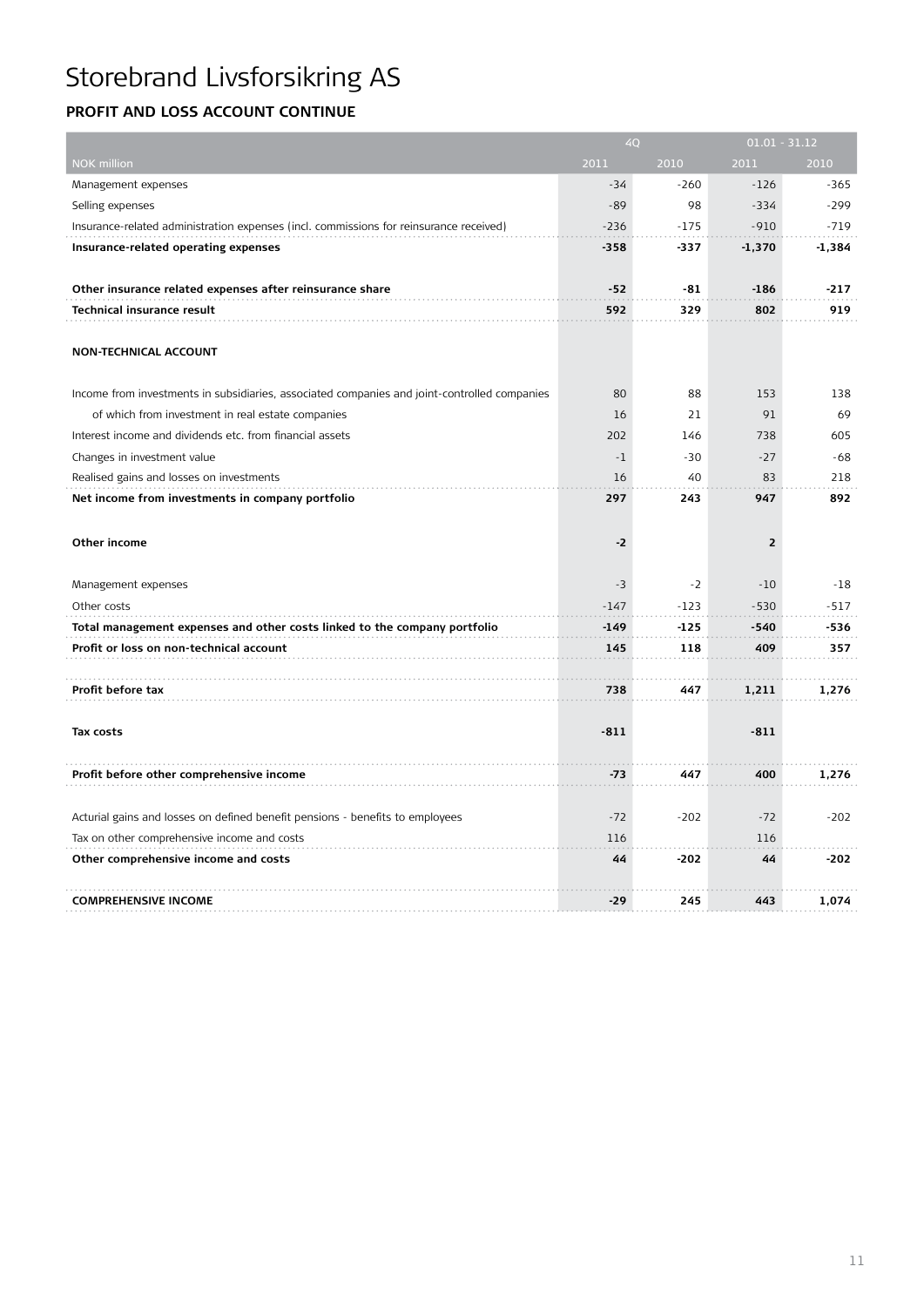### **Profit and Loss account continue**

|                                                                                              | 4Q     |        | $01.01 - 31.12$ |        |  |
|----------------------------------------------------------------------------------------------|--------|--------|-----------------|--------|--|
| <b>NOK million</b>                                                                           | 2011   | 2010   | 2011            | 2010   |  |
| Management expenses                                                                          | $-34$  | $-260$ | $-126$          | $-365$ |  |
| Selling expenses                                                                             | $-89$  | 98     | $-334$          | $-299$ |  |
| Insurance-related administration expenses (incl. commissions for reinsurance received)       | $-236$ | $-175$ | $-910$          | $-719$ |  |
| Insurance-related operating expenses                                                         | $-358$ | -337   | $-1,370$        | -1,384 |  |
|                                                                                              |        |        |                 |        |  |
| Other insurance related expenses after reinsurance share                                     | $-52$  | $-81$  | $-186$          | $-217$ |  |
| <b>Technical insurance result</b>                                                            | 592    | 329    | 802             | 919    |  |
|                                                                                              |        |        |                 |        |  |
| <b>NON-TECHNICAL ACCOUNT</b>                                                                 |        |        |                 |        |  |
|                                                                                              |        |        |                 |        |  |
| Income from investments in subsidiaries, associated companies and joint-controlled companies | 80     | 88     | 153             | 138    |  |
| of which from investment in real estate companies                                            | 16     | 21     | 91              | 69     |  |
| Interest income and dividends etc. from financial assets                                     | 202    | 146    | 738             | 605    |  |
| Changes in investment value                                                                  | $-1$   | $-30$  | $-27$           | $-68$  |  |
| Realised gains and losses on investments                                                     | 16     | 40     | 83              | 218    |  |
| Net income from investments in company portfolio                                             | 297    | 243    | 947             | 892    |  |
|                                                                                              |        |        |                 |        |  |
| Other income                                                                                 | $-2$   |        | $\overline{2}$  |        |  |
|                                                                                              |        |        |                 |        |  |
| Management expenses                                                                          | $-3$   | $-2$   | $-10$           | -18    |  |
| Other costs                                                                                  | $-147$ | $-123$ | $-530$          | $-517$ |  |
| Total management expenses and other costs linked to the company portfolio                    | $-149$ | $-125$ | $-540$          | -536   |  |
| Profit or loss on non-technical account                                                      | 145    | 118    | 409             | 357    |  |
|                                                                                              |        |        |                 |        |  |
| Profit before tax                                                                            | 738    | 447    | 1,211           | 1,276  |  |
|                                                                                              |        |        |                 |        |  |
| Tax costs                                                                                    | $-811$ |        | $-811$          |        |  |
|                                                                                              |        |        |                 |        |  |
| Profit before other comprehensive income                                                     | $-73$  | 447    | 400             | 1,276  |  |
|                                                                                              |        |        |                 |        |  |
| Acturial gains and losses on defined benefit pensions - benefits to employees                | $-72$  | $-202$ | $-72$           | $-202$ |  |
| Tax on other comprehensive income and costs                                                  | 116    |        | 116             |        |  |
| Other comprehensive income and costs                                                         | 44     | $-202$ | 44              | $-202$ |  |
|                                                                                              |        |        |                 |        |  |
| <b>COMPREHENSIVE INCOME</b>                                                                  | -29    | 245    | 443             | 1,074  |  |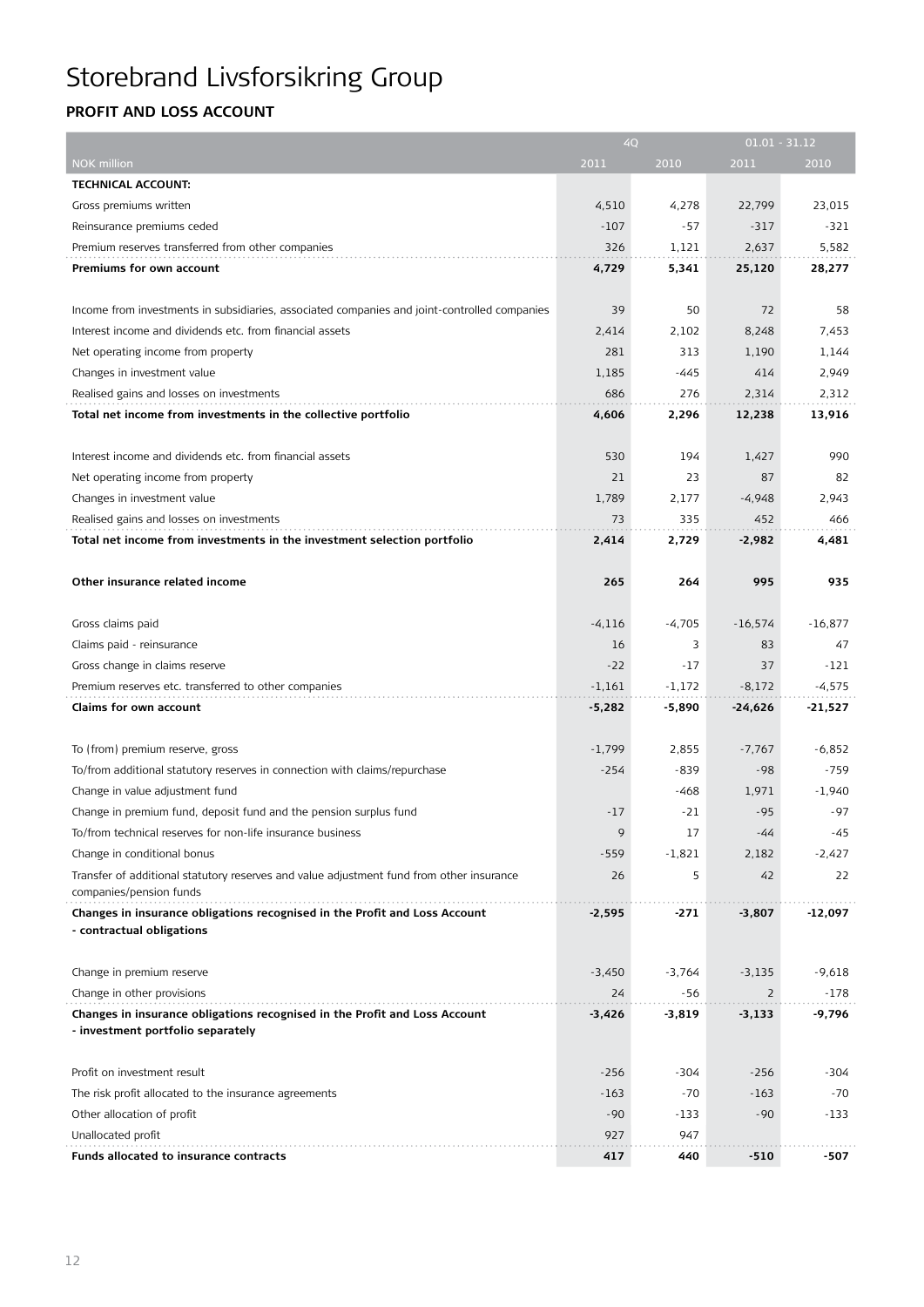# Storebrand Livsforsikring Group

### **Profit and Loss account**

|                                                                                              |          | 4Q       |                | $01.01 - 31.12$ |
|----------------------------------------------------------------------------------------------|----------|----------|----------------|-----------------|
| NOK million                                                                                  | 2011     | 2010     | 2011           | 2010            |
| <b>TECHNICAL ACCOUNT:</b>                                                                    |          |          |                |                 |
| Gross premiums written                                                                       | 4,510    | 4,278    | 22,799         | 23,015          |
| Reinsurance premiums ceded                                                                   | $-107$   | $-57$    | $-317$         | $-321$          |
| Premium reserves transferred from other companies                                            | 326      | 1,121    | 2,637          | 5,582           |
| Premiums for own account                                                                     | 4,729    | 5,341    | 25,120         | 28,277          |
|                                                                                              |          |          |                |                 |
| Income from investments in subsidiaries, associated companies and joint-controlled companies | 39       | 50       | 72             | 58              |
| Interest income and dividends etc. from financial assets                                     | 2,414    | 2,102    | 8,248          | 7,453           |
| Net operating income from property                                                           | 281      | 313      | 1,190          | 1,144           |
| Changes in investment value                                                                  | 1,185    | -445     | 414            | 2,949           |
| Realised gains and losses on investments                                                     | 686      | 276      | 2,314          | 2,312           |
| Total net income from investments in the collective portfolio                                | 4,606    | 2,296    | 12,238         | 13,916          |
|                                                                                              |          |          |                |                 |
| Interest income and dividends etc. from financial assets                                     | 530      | 194      | 1,427          | 990             |
| Net operating income from property                                                           | 21       | 23       | 87             | 82              |
| Changes in investment value                                                                  | 1,789    | 2,177    | $-4,948$       | 2,943           |
| Realised gains and losses on investments                                                     | 73       | 335      | 452            | 466             |
| Total net income from investments in the investment selection portfolio                      | 2,414    | 2,729    | $-2,982$       | 4,481           |
|                                                                                              |          |          |                |                 |
| Other insurance related income                                                               | 265      | 264      | 995            | 935             |
|                                                                                              |          |          |                |                 |
| Gross claims paid                                                                            | $-4,116$ | $-4,705$ | $-16,574$      | $-16,877$       |
| Claims paid - reinsurance                                                                    | 16       | 3        | 83             | 47              |
| Gross change in claims reserve                                                               | $-22$    | -17      | 37             | $-121$          |
| Premium reserves etc. transferred to other companies                                         | $-1,161$ | $-1,172$ | $-8,172$       | $-4,575$        |
| Claims for own account                                                                       | $-5,282$ | $-5,890$ | $-24,626$      | $-21,527$       |
|                                                                                              |          |          |                |                 |
| To (from) premium reserve, gross                                                             | $-1,799$ | 2,855    | $-7,767$       | $-6,852$        |
| To/from additional statutory reserves in connection with claims/repurchase                   | $-254$   | $-839$   | $-98$          | $-759$          |
| Change in value adjustment fund                                                              |          | -468     | 1,971          | $-1,940$        |
| Change in premium fund, deposit fund and the pension surplus fund                            | $-17$    | -21      | $-95$          | $-97$           |
| To/from technical reserves for non-life insurance business                                   | 9        | 17       | -44            | -45             |
| Change in conditional bonus                                                                  | $-559$   | $-1,821$ | 2,182          | $-2,427$        |
| Transfer of additional statutory reserves and value adjustment fund from other insurance     | 26       | 5        | 42             | 22              |
| companies/pension funds                                                                      |          |          |                |                 |
| Changes in insurance obligations recognised in the Profit and Loss Account                   | $-2,595$ | $-271$   | $-3,807$       | -12,097         |
| - contractual obligations                                                                    |          |          |                |                 |
|                                                                                              |          |          |                |                 |
| Change in premium reserve                                                                    | $-3,450$ | $-3,764$ | $-3,135$       | $-9,618$        |
| Change in other provisions                                                                   | 24       | -56      | $\overline{2}$ | $-178$          |
| Changes in insurance obligations recognised in the Profit and Loss Account                   | -3,426   | $-3,819$ | $-3,133$       | -9,796          |
| - investment portfolio separately                                                            |          |          |                |                 |
|                                                                                              |          |          |                |                 |
| Profit on investment result                                                                  | $-256$   | -304     | $-256$         | -304            |
| The risk profit allocated to the insurance agreements                                        | $-163$   | $-70$    | $-163$         | $-70$           |
| Other allocation of profit                                                                   | $-90$    | $-133$   | $-90$          | $-133$          |
| Unallocated profit                                                                           | 927      | 947      |                |                 |
| Funds allocated to insurance contracts                                                       | 417      | 440      | $-510$         | -507            |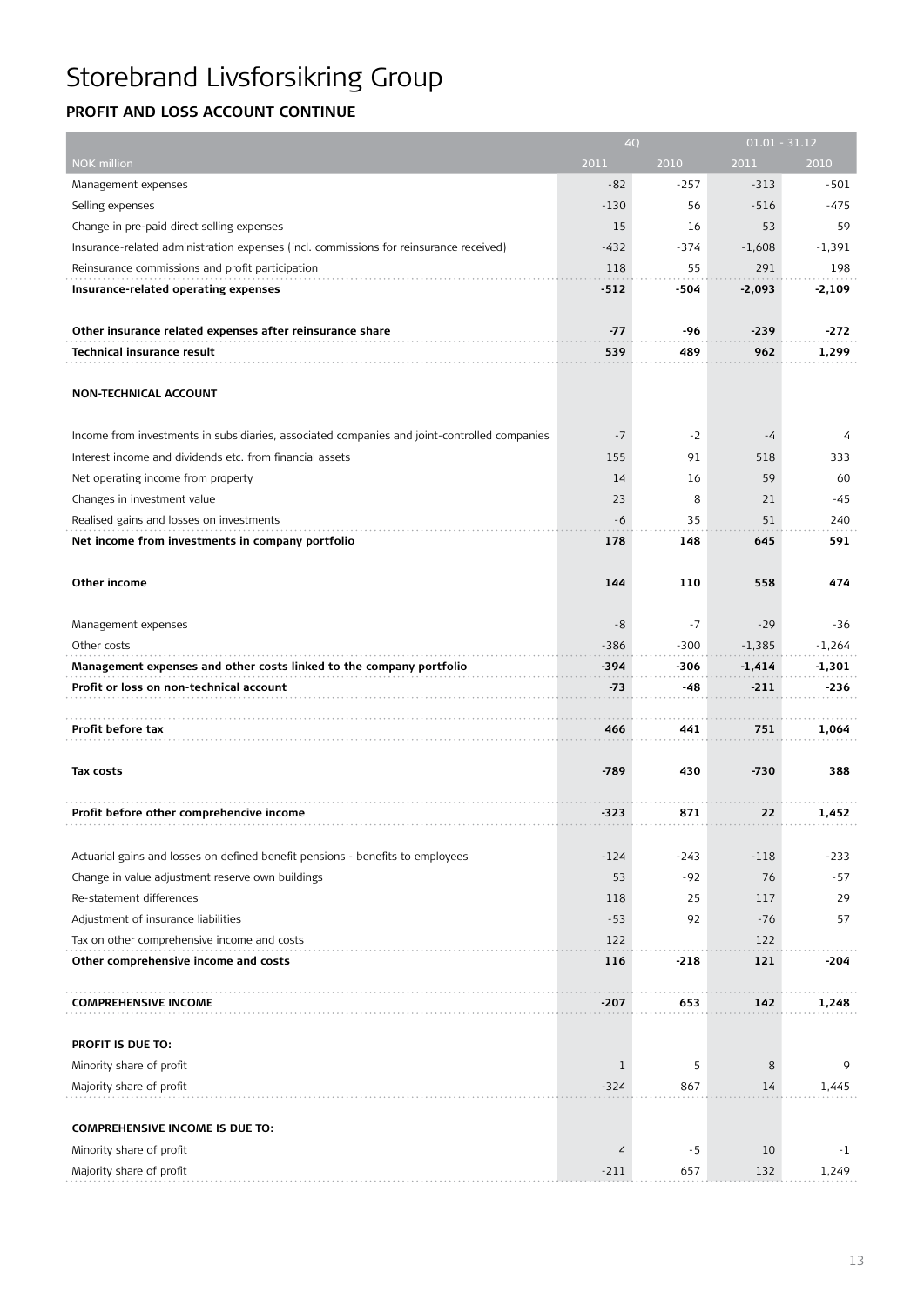# Storebrand Livsforsikring Group

### **Profit and Loss account continue**

|                                                                                              |        | 4Q     |          | $01.01 - 31.12$ |
|----------------------------------------------------------------------------------------------|--------|--------|----------|-----------------|
| NOK million                                                                                  | 2011   | 2010   | 2011     | 2010            |
| Management expenses                                                                          | $-82$  | $-257$ | $-313$   | $-501$          |
| Selling expenses                                                                             | $-130$ | 56     | $-516$   | $-475$          |
| Change in pre-paid direct selling expenses                                                   | 15     | 16     | 53       | 59              |
| Insurance-related administration expenses (incl. commissions for reinsurance received)       | $-432$ | $-374$ | $-1,608$ | $-1,391$        |
| Reinsurance commissions and profit participation                                             | 118    | 55     | 291      | 198             |
| Insurance-related operating expenses                                                         | $-512$ | -504   | $-2,093$ | $-2,109$        |
|                                                                                              |        |        |          |                 |
| Other insurance related expenses after reinsurance share                                     | -77    | -96    | $-239$   | -272            |
| <b>Technical insurance result</b>                                                            | 539    | 489    | 962      | 1,299           |
|                                                                                              |        |        |          |                 |
| <b>NON-TECHNICAL ACCOUNT</b>                                                                 |        |        |          |                 |
|                                                                                              |        |        |          |                 |
| Income from investments in subsidiaries, associated companies and joint-controlled companies | $-7$   | $-2$   | -4       | 4               |
| Interest income and dividends etc. from financial assets                                     | 155    | 91     | 518      | 333             |
| Net operating income from property                                                           | 14     | 16     | 59       | 60              |
| Changes in investment value                                                                  | 23     | 8      | 21       | $-45$           |
| Realised gains and losses on investments                                                     | -6     | 35     | 51       | 240             |
| Net income from investments in company portfolio                                             | 178    | 148    | 645      | 591             |
|                                                                                              |        |        |          |                 |
| Other income                                                                                 | 144    | 110    | 558      | 474             |
|                                                                                              |        |        |          |                 |
| Management expenses                                                                          | $-8$   | $-7$   | $-29$    | -36             |
| Other costs                                                                                  | $-386$ | $-300$ | $-1,385$ | $-1,264$        |
| Management expenses and other costs linked to the company portfolio                          | -394   | -306   | $-1,414$ | -1,301          |
| Profit or loss on non-technical account                                                      | $-73$  | -48    | -211     | -236            |
|                                                                                              |        |        |          |                 |
| Profit before tax                                                                            | 466    | 441    | 751      | 1,064           |
|                                                                                              |        |        |          |                 |
| Tax costs                                                                                    | $-789$ | 430    | $-730$   | 388             |
|                                                                                              |        |        |          |                 |
| Profit before other comprehencive income                                                     | -323   | 871    | 22       | 1,452           |
|                                                                                              |        |        |          |                 |
| Actuarial gains and losses on defined benefit pensions - benefits to employees               | $-124$ | $-243$ | $-118$   | $-233$          |
| Change in value adjustment reserve own buildings                                             | 53     | -92    | 76       | $-57$           |
| Re-statement differences                                                                     | 118    | 25     | 117      | 29              |
| Adjustment of insurance liabilities                                                          | $-53$  | 92     | $-76$    | 57              |
| Tax on other comprehensive income and costs                                                  | 122    |        | 122      |                 |
| Other comprehensive income and costs                                                         | 116    | $-218$ | 121      | -204            |
|                                                                                              |        |        |          |                 |
| <b>COMPREHENSIVE INCOME</b>                                                                  | $-207$ | 653    | 142      | 1,248           |
|                                                                                              |        |        |          |                 |
| PROFIT IS DUE TO:                                                                            |        |        |          |                 |
| Minority share of profit                                                                     | 1      | 5      | 8        | 9               |
| Majority share of profit                                                                     | $-324$ | 867    | 14       | 1,445           |
|                                                                                              |        |        |          |                 |
| <b>COMPREHENSIVE INCOME IS DUE TO:</b>                                                       |        |        |          |                 |
| Minority share of profit                                                                     | 4      | -5     | 10       | $-1$            |
| Majority share of profit                                                                     | $-211$ | 657    | 132      | 1,249           |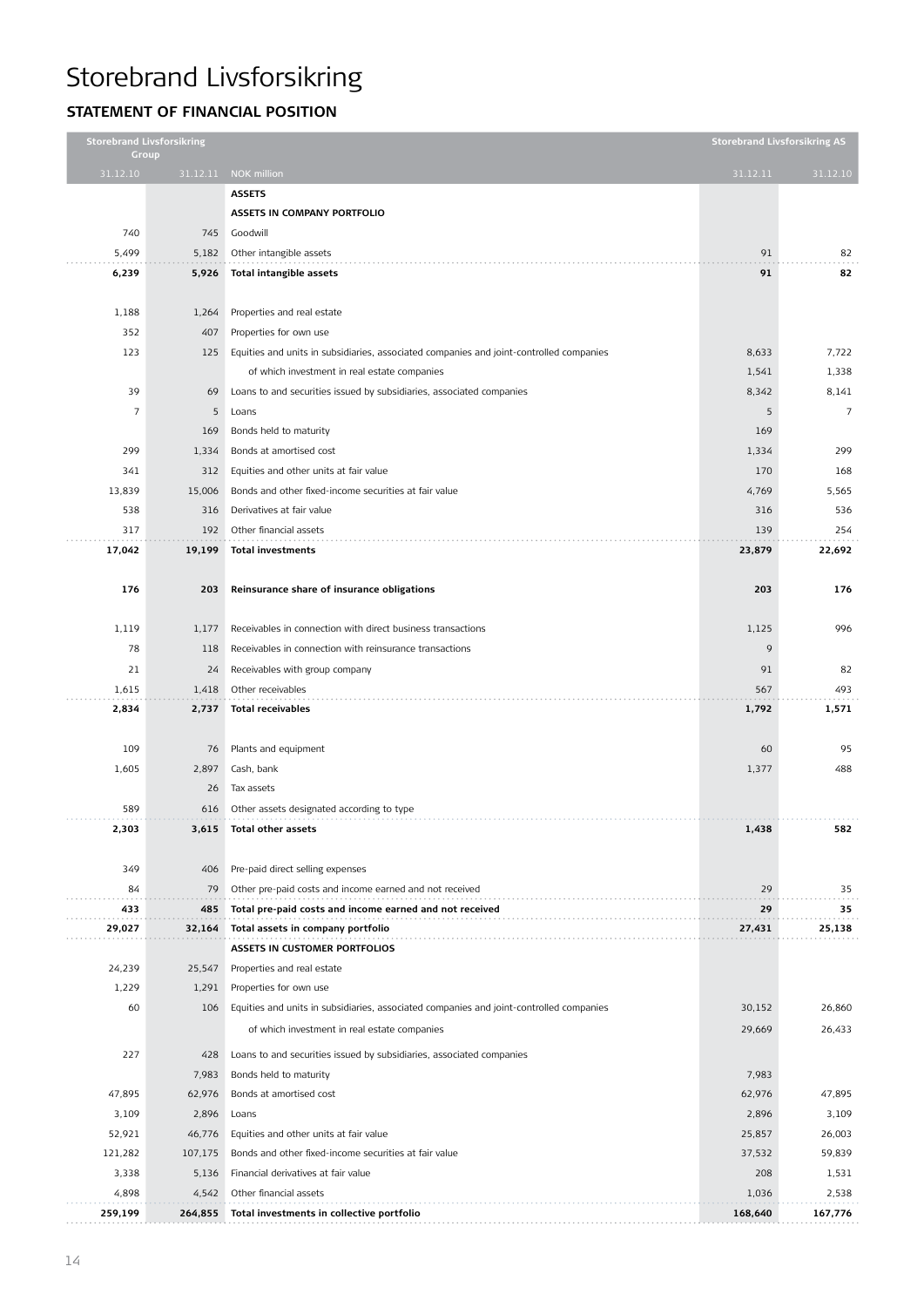### **Statement of financial position**

|                | <b>Storebrand Livsforsikring</b><br>Group |                                                                                         |          | <b>Storebrand Livsforsikring AS</b> |
|----------------|-------------------------------------------|-----------------------------------------------------------------------------------------|----------|-------------------------------------|
| 31.12.10       |                                           | 31.12.11 NOK million                                                                    | 31.12.11 | 31.12.10                            |
|                |                                           | <b>ASSETS</b>                                                                           |          |                                     |
|                |                                           | ASSETS IN COMPANY PORTFOLIO                                                             |          |                                     |
| 740            | 745                                       | Goodwill                                                                                |          |                                     |
| 5,499          | 5,182                                     | Other intangible assets                                                                 | 91       | 82                                  |
| 6,239          | 5,926                                     | Total intangible assets                                                                 | 91       | 82                                  |
|                |                                           |                                                                                         |          |                                     |
| 1,188          | 1,264                                     | Properties and real estate                                                              |          |                                     |
| 352            | 407                                       | Properties for own use                                                                  |          |                                     |
| 123            | 125                                       | Equities and units in subsidiaries, associated companies and joint-controlled companies | 8,633    | 7,722                               |
|                |                                           | of which investment in real estate companies                                            | 1,541    | 1,338                               |
| 39             | 69                                        | Loans to and securities issued by subsidiaries, associated companies                    | 8,342    | 8,141                               |
| $\overline{7}$ | 5                                         | Loans                                                                                   | 5        | $\overline{7}$                      |
|                | 169                                       | Bonds held to maturity                                                                  | 169      |                                     |
| 299            | 1,334                                     | Bonds at amortised cost                                                                 | 1,334    | 299                                 |
| 341            | 312                                       | Equities and other units at fair value                                                  | 170      | 168                                 |
| 13,839         | 15,006                                    | Bonds and other fixed-income securities at fair value                                   | 4,769    | 5,565                               |
| 538            | 316                                       | Derivatives at fair value                                                               | 316      | 536                                 |
| 317            | 192                                       | Other financial assets                                                                  | 139      | 254                                 |
| 17,042         | 19,199                                    | <b>Total investments</b>                                                                | 23,879   | 22,692                              |
|                |                                           |                                                                                         |          |                                     |
| 176            | 203                                       | Reinsurance share of insurance obligations                                              | 203      | 176                                 |
|                |                                           |                                                                                         |          |                                     |
| 1,119          | 1,177                                     | Receivables in connection with direct business transactions                             | 1,125    | 996                                 |
| 78             | 118                                       | Receivables in connection with reinsurance transactions                                 | 9        |                                     |
| 21             | 24                                        | Receivables with group company                                                          | 91       | 82                                  |
| 1,615          | 1,418                                     | Other receivables                                                                       | 567      | 493                                 |
| 2,834          | 2,737                                     | <b>Total receivables</b>                                                                | 1,792    | 1,571                               |
|                |                                           |                                                                                         |          |                                     |
| 109            | 76                                        | Plants and equipment                                                                    | 60       | 95                                  |
| 1,605          | 2,897                                     | Cash, bank                                                                              | 1,377    | 488                                 |
|                | 26                                        | Tax assets                                                                              |          |                                     |
| 589            | 616                                       | Other assets designated according to type                                               |          |                                     |
| 2,303          | 3,615                                     | Total other assets                                                                      | 1,438    | 582                                 |
|                |                                           |                                                                                         |          |                                     |
| 349            | 406                                       | Pre-paid direct selling expenses                                                        |          |                                     |
| 84             | 79                                        | Other pre-paid costs and income earned and not received                                 | 29       | 35                                  |
| 433            | 485                                       | Total pre-paid costs and income earned and not received                                 | 29       | 35                                  |
| 29,027         | 32,164                                    | Total assets in company portfolio                                                       | 27,431   | 25,138                              |
|                |                                           | ASSETS IN CUSTOMER PORTFOLIOS                                                           |          |                                     |
| 24,239         | 25,547                                    | Properties and real estate                                                              |          |                                     |
| 1,229          | 1,291                                     | Properties for own use                                                                  |          |                                     |
| 60             | 106                                       | Equities and units in subsidiaries, associated companies and joint-controlled companies | 30,152   | 26,860                              |
|                |                                           | of which investment in real estate companies                                            | 29,669   | 26,433                              |
| 227            | 428                                       | Loans to and securities issued by subsidiaries, associated companies                    |          |                                     |
|                | 7,983                                     | Bonds held to maturity                                                                  | 7,983    |                                     |
| 47,895         | 62,976                                    | Bonds at amortised cost                                                                 | 62,976   | 47,895                              |
| 3,109          | 2,896                                     | Loans                                                                                   | 2,896    | 3,109                               |
| 52,921         | 46,776                                    | Equities and other units at fair value                                                  | 25,857   | 26,003                              |
| 121,282        | 107,175                                   | Bonds and other fixed-income securities at fair value                                   | 37,532   | 59,839                              |
| 3,338          | 5,136                                     | Financial derivatives at fair value                                                     | 208      | 1,531                               |
| 4,898          | 4,542                                     | Other financial assets                                                                  | 1,036    | 2,538                               |
| 259,199        | 264,855                                   | Total investments in collective portfolio                                               | 168,640  | 167,776                             |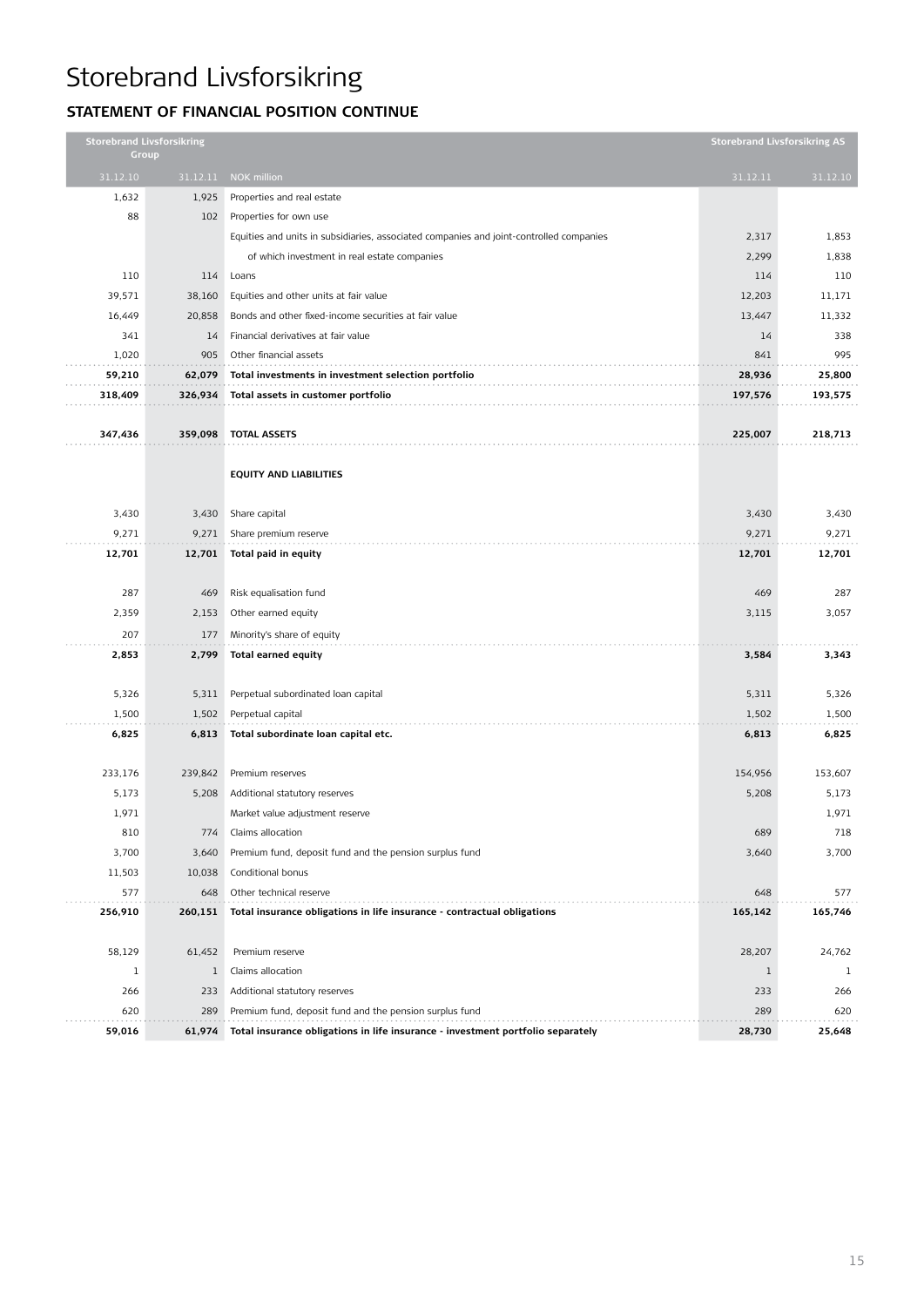### **Statement of financial position CONTINUE**

|              | <b>Storebrand Livsforsikring</b><br>Group |                                                                                         |              | <b>Storebrand Livsforsikring AS</b> |
|--------------|-------------------------------------------|-----------------------------------------------------------------------------------------|--------------|-------------------------------------|
| 31.12.10     | 31.12.11                                  | NOK million                                                                             | 31.12.11     | 31.12.10                            |
| 1,632        | 1,925                                     | Properties and real estate                                                              |              |                                     |
| 88           | 102                                       | Properties for own use                                                                  |              |                                     |
|              |                                           | Equities and units in subsidiaries, associated companies and joint-controlled companies | 2,317        | 1,853                               |
|              |                                           | of which investment in real estate companies                                            | 2,299        | 1,838                               |
| 110          | 114                                       | Loans                                                                                   | 114          | 110                                 |
| 39,571       | 38,160                                    | Equities and other units at fair value                                                  | 12,203       | 11,171                              |
| 16,449       | 20,858                                    | Bonds and other fixed-income securities at fair value                                   | 13,447       | 11,332                              |
| 341          | 14                                        | Financial derivatives at fair value                                                     | 14           | 338                                 |
| 1,020        | 905                                       | Other financial assets                                                                  | 841          | 995                                 |
| 59,210       | 62,079                                    | Total investments in investment selection portfolio                                     | 28,936       | 25,800                              |
| 318,409      | 326,934                                   | Total assets in customer portfolio                                                      | 197,576      | 193,575                             |
|              |                                           |                                                                                         |              |                                     |
| 347,436      | 359,098                                   | <b>TOTAL ASSETS</b>                                                                     | 225,007      | 218,713                             |
|              |                                           |                                                                                         |              |                                     |
|              |                                           | <b>EQUITY AND LIABILITIES</b>                                                           |              |                                     |
| 3,430        | 3,430                                     | Share capital                                                                           | 3,430        | 3,430                               |
| 9,271        | 9,271                                     | Share premium reserve                                                                   | 9,271        | 9,271                               |
| 12,701       | 12,701                                    | Total paid in equity                                                                    | 12,701       | 12,701                              |
|              |                                           |                                                                                         |              |                                     |
| 287          | 469                                       | Risk equalisation fund                                                                  | 469          | 287                                 |
| 2,359        | 2,153                                     | Other earned equity                                                                     | 3,115        | 3,057                               |
| 207          | 177                                       | Minority's share of equity                                                              |              |                                     |
| 2,853        | 2,799                                     | <b>Total earned equity</b>                                                              | 3,584        | 3,343                               |
|              |                                           |                                                                                         |              |                                     |
| 5,326        | 5,311                                     | Perpetual subordinated loan capital                                                     | 5,311        | 5,326                               |
| 1,500        | 1,502                                     | Perpetual capital                                                                       | 1,502        | 1,500                               |
| 6,825        | 6,813                                     | Total subordinate loan capital etc.                                                     | 6,813        | 6,825                               |
|              |                                           |                                                                                         |              |                                     |
| 233,176      | 239,842                                   | Premium reserves                                                                        | 154,956      | 153,607                             |
| 5,173        | 5,208                                     | Additional statutory reserves                                                           | 5,208        | 5,173                               |
| 1,971        |                                           | Market value adjustment reserve                                                         |              | 1,971                               |
| 810          | 774                                       | Claims allocation                                                                       | 689          | 718                                 |
| 3,700        | 3,640                                     | Premium fund, deposit fund and the pension surplus fund                                 | 3,640        | 3,700                               |
| 11,503       | 10,038                                    | Conditional bonus                                                                       |              |                                     |
| 577          | 648                                       | Other technical reserve                                                                 | 648          | 577                                 |
| 256,910      | 260,151                                   | Total insurance obligations in life insurance - contractual obligations                 | 165,142      | 165,746                             |
| 58,129       | 61,452                                    | Premium reserve                                                                         | 28,207       | 24,762                              |
| $\mathbf{1}$ | $\mathbf{1}$                              | Claims allocation                                                                       | $\mathbf{1}$ | 1                                   |
| 266          | 233                                       | Additional statutory reserves                                                           | 233          | 266                                 |
| 620          | 289                                       | Premium fund, deposit fund and the pension surplus fund                                 | 289          | 620                                 |
| 59,016       | 61,974                                    | Total insurance obligations in life insurance - investment portfolio separately         | 28,730       | 25,648                              |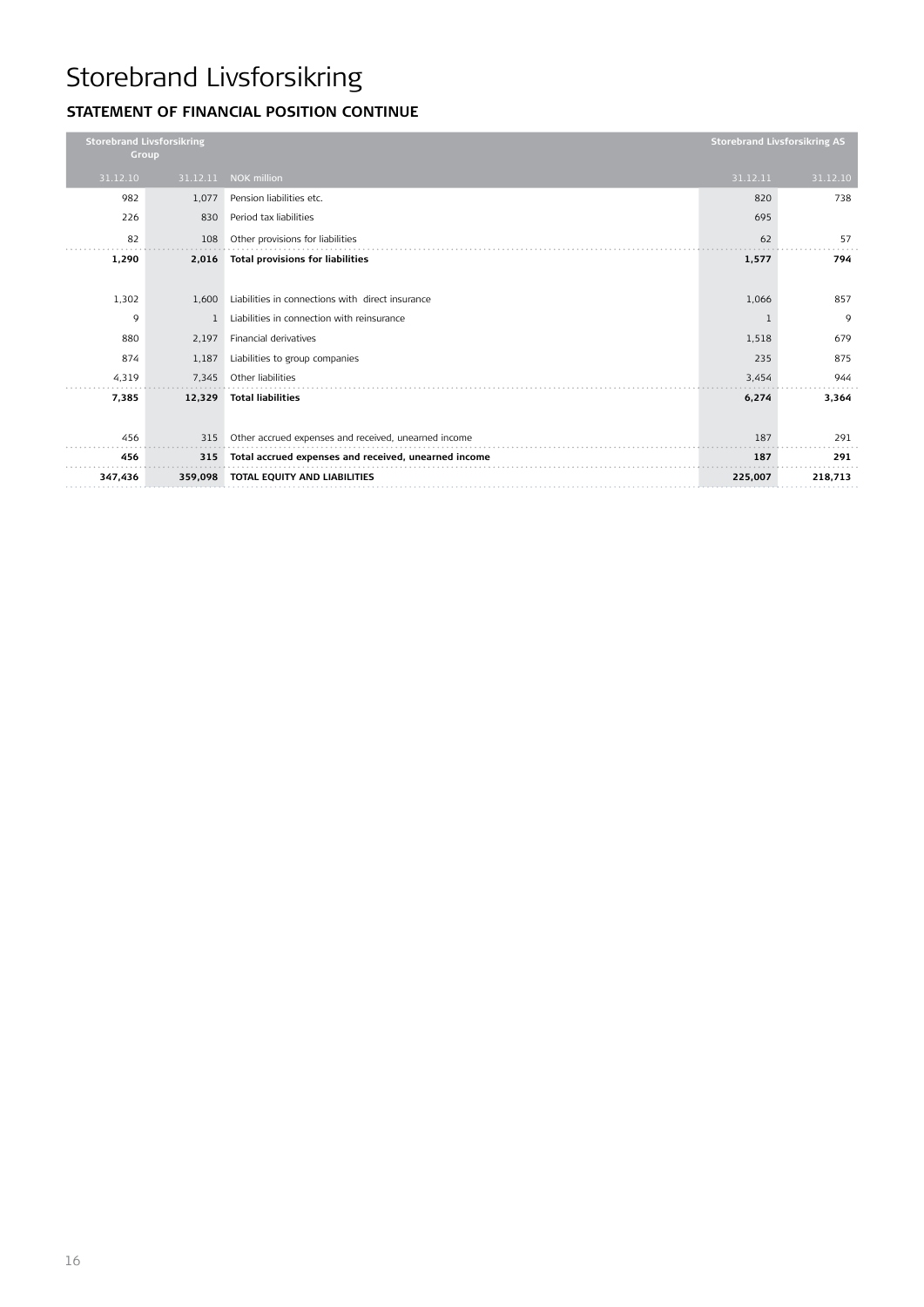### **Statement of financial position CONTINUE**

| <b>Storebrand Livsforsikring</b><br>Group |              |                                                      | <b>Storebrand Livsforsikring AS</b> |          |
|-------------------------------------------|--------------|------------------------------------------------------|-------------------------------------|----------|
| 31.12.10                                  | 31.12.11     | <b>NOK million</b>                                   | 31.12.11                            | 31.12.10 |
| 982                                       | 1,077        | Pension liabilities etc.                             | 820                                 | 738      |
| 226                                       | 830          | Period tax liabilities                               | 695                                 |          |
| 82                                        | 108          | Other provisions for liabilities                     | 62                                  | 57       |
| 1,290                                     | 2,016        | <b>Total provisions for liabilities</b>              | 1,577                               | 794      |
|                                           |              |                                                      |                                     |          |
| 1,302                                     | 1,600        | Liabilities in connections with direct insurance     | 1,066                               | 857      |
| 9                                         | $\mathbf{1}$ | Liabilities in connection with reinsurance           | 1                                   | 9        |
| 880                                       | 2,197        | Financial derivatives                                | 1,518                               | 679      |
| 874                                       | 1,187        | Liabilities to group companies                       | 235                                 | 875      |
| 4,319                                     | 7,345        | Other liabilities                                    | 3,454                               | 944      |
| 7,385                                     | 12,329       | <b>Total liabilities</b>                             | 6,274                               | 3,364    |
|                                           |              |                                                      |                                     |          |
| 456                                       | 315          | Other accrued expenses and received, unearned income | 187                                 | 291      |
| 456                                       | 315          | Total accrued expenses and received, unearned income | 187                                 | 291      |
| 347,436                                   | 359,098      | TOTAL EQUITY AND LIABILITIES                         | 225,007                             | 218,713  |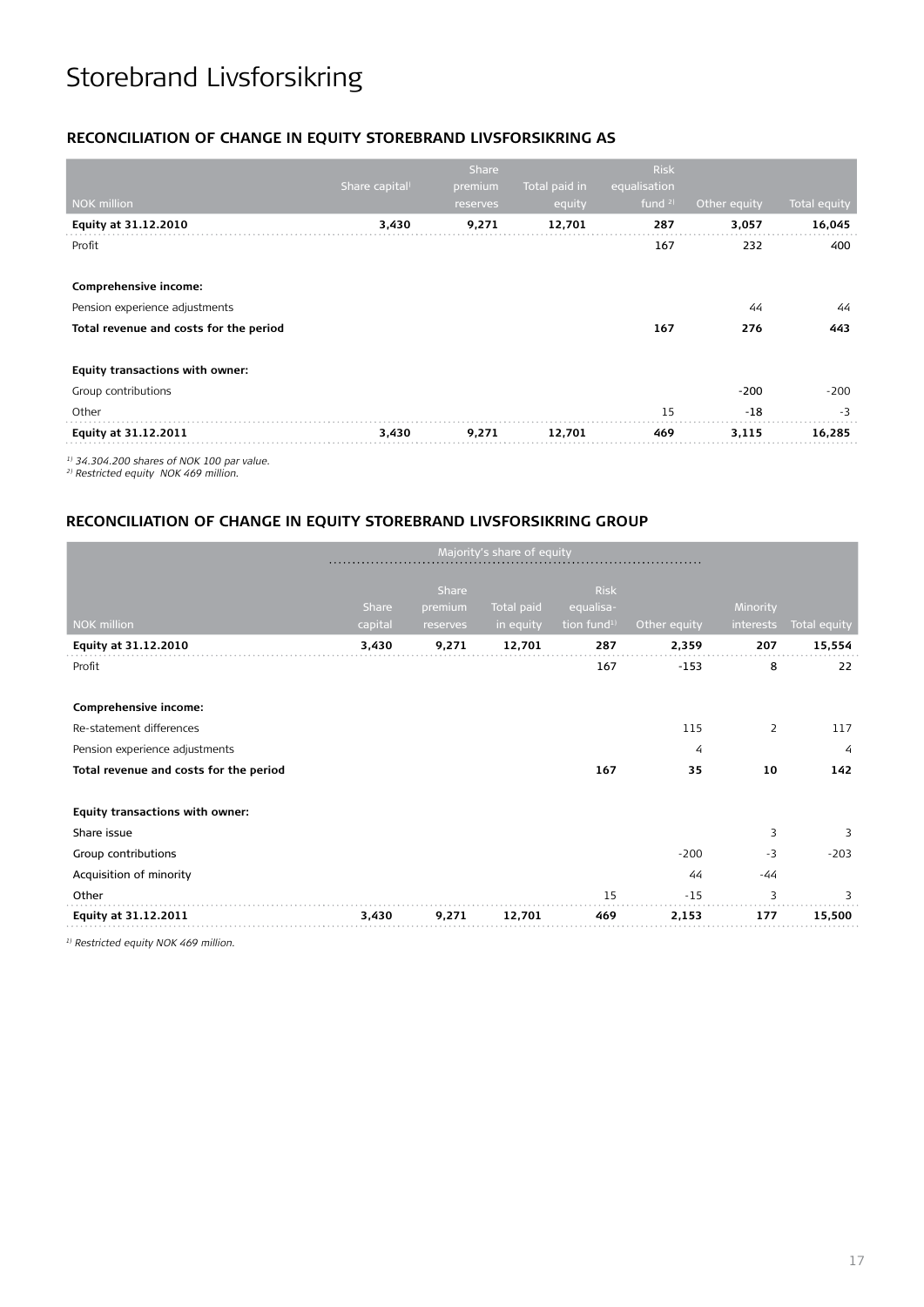#### **RECONCILIATION OF CHANGE IN EQUITY STOREBRAND LIVSFORSIKRING AS**

|                                        |                            | Share    |               | <b>Risk</b>  |              |              |
|----------------------------------------|----------------------------|----------|---------------|--------------|--------------|--------------|
|                                        | Share capital <sup>)</sup> | premium  | Total paid in | equalisation |              |              |
| <b>NOK</b> million                     |                            | reserves | equity        | fund $21$    | Other equity | Total equity |
| Equity at 31.12.2010                   | 3,430                      | 9,271    | 12,701        | 287          | 3,057        | 16,045       |
| Profit                                 |                            |          |               | 167          | 232          | 400          |
| Comprehensive income:                  |                            |          |               |              |              |              |
| Pension experience adjustments         |                            |          |               |              | 44           | 44           |
| Total revenue and costs for the period |                            |          |               | 167          | 276          | 443          |
| Equity transactions with owner:        |                            |          |               |              |              |              |
| Group contributions                    |                            |          |               |              | $-200$       | $-200$       |
| Other                                  |                            |          |               | 15           | $-18$        | $-3$         |
| Equity at 31.12.2011                   | 3,430                      | 9,271    | 12,701        | 469          | 3,115        | 16,285       |
| $\frac{1}{2}$                          |                            |          |               |              |              |              |

*1) 34.304.200 shares of NOK 100 par value.*

*2) Restricted equity NOK 469 million.*

#### **RECONCILIATION OF CHANGE IN EQUITY STOREBRAND LIVSFORSIKRING GROUP**

| Majority's share of equity             |         |                  |            |                          |              |           |                     |
|----------------------------------------|---------|------------------|------------|--------------------------|--------------|-----------|---------------------|
|                                        | Share   | Share<br>premium | Total paid | <b>Risk</b><br>equalisa- |              | Minority  |                     |
| <b>NOK million</b>                     | capital | reserves         | in equity  | tion fund <sup>1)</sup>  | Other equity | interests | <b>Total equity</b> |
| Equity at 31.12.2010                   | 3,430   | 9,271            | 12,701     | 287                      | 2,359        | 207       | 15,554              |
| Profit                                 |         |                  |            | 167                      | $-153$       | 8         | 22                  |
|                                        |         |                  |            |                          |              |           |                     |
| Comprehensive income:                  |         |                  |            |                          |              |           |                     |
| Re-statement differences               |         |                  |            |                          | 115          | 2         | 117                 |
| Pension experience adjustments         |         |                  |            |                          | 4            |           | $\overline{4}$      |
| Total revenue and costs for the period |         |                  |            | 167                      | 35           | 10        | 142                 |
| Equity transactions with owner:        |         |                  |            |                          |              |           |                     |
| Share issue                            |         |                  |            |                          |              | 3         | 3                   |
| Group contributions                    |         |                  |            |                          | $-200$       | $-3$      | $-203$              |
| Acquisition of minority                |         |                  |            |                          | 44           | $-44$     |                     |
| Other                                  |         |                  |            | 15                       | $-15$        | 3         | 3                   |
| Equity at 31.12.2011                   | 3,430   | 9,271            | 12,701     | 469                      | 2,153        | 177       | 15,500              |

*1) Restricted equity NOK 469 million.*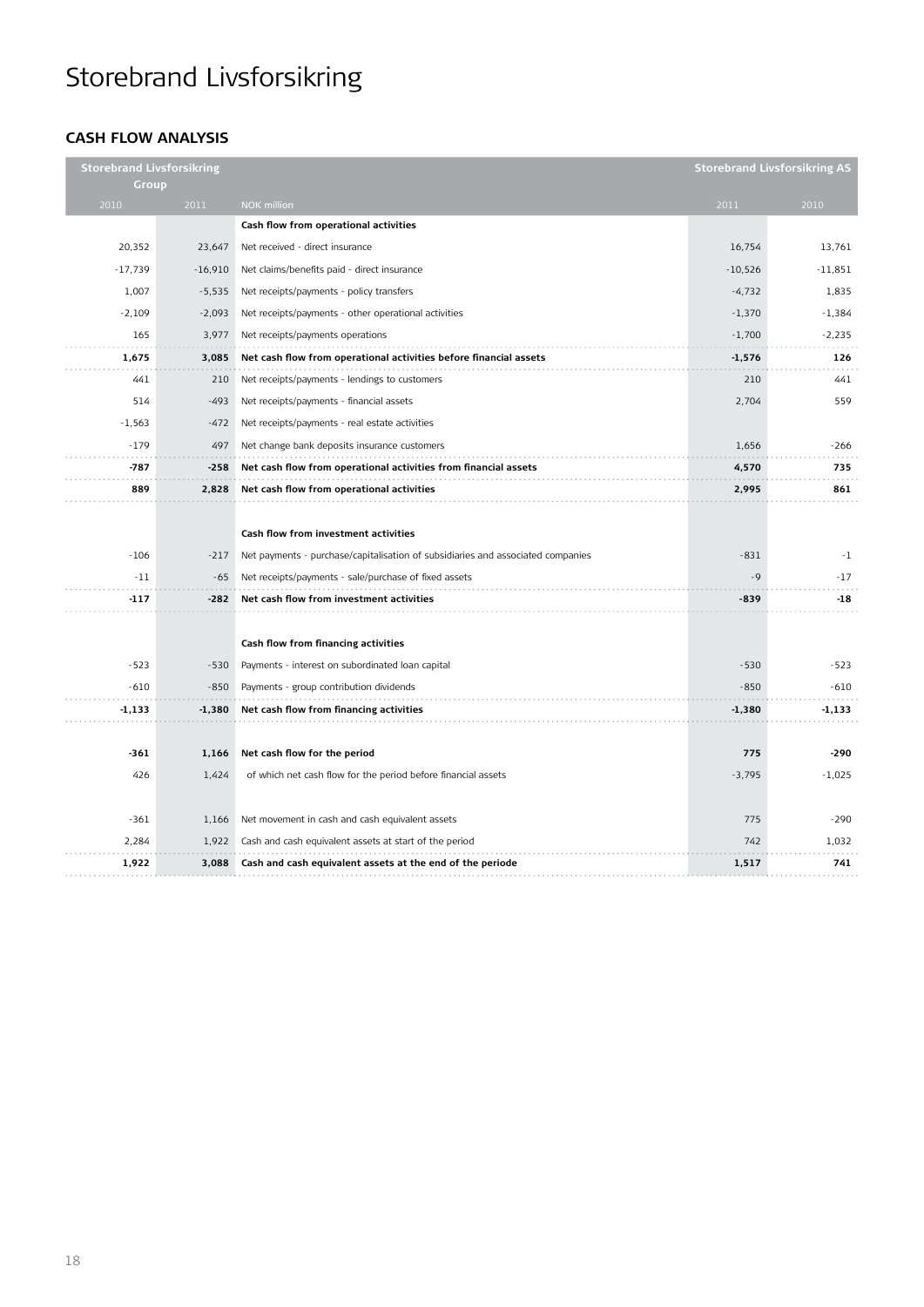### **Cash flow analysis**

| <b>Storebrand Livsforsikring</b> |           |                                                                                 |           | <b>Storebrand Livsforsikring AS</b> |
|----------------------------------|-----------|---------------------------------------------------------------------------------|-----------|-------------------------------------|
| Group                            |           |                                                                                 |           |                                     |
| 2010                             | 2011      | <b>NOK</b> million                                                              | 2011      | 2010                                |
|                                  |           | Cash flow from operational activities                                           |           |                                     |
| 20,352                           | 23,647    | Net received - direct insurance                                                 | 16,754    | 13.761                              |
| $-17,739$                        | $-16,910$ | Net claims/benefits paid - direct insurance                                     | $-10,526$ | $-11,851$                           |
| 1,007                            | $-5,535$  | Net receipts/payments - policy transfers                                        | $-4,732$  | 1,835                               |
| $-2,109$                         | $-2,093$  | Net receipts/payments - other operational activities                            | $-1,370$  | $-1,384$                            |
| 165                              | 3,977     | Net receipts/payments operations                                                | $-1,700$  | $-2,235$                            |
| 1,675                            | 3,085     | Net cash flow from operational activities before financial assets               | -1,576    | 126                                 |
| 441                              | 210       | Net receipts/payments - lendings to customers                                   | 210       | 441                                 |
| 514                              | $-493$    | Net receipts/payments - financial assets                                        | 2,704     | 559                                 |
| $-1,563$                         | $-472$    | Net receipts/payments - real estate activities                                  |           |                                     |
| $-179$                           | 497       | Net change bank deposits insurance customers                                    | 1,656     | $-266$                              |
| $-787$                           | $-258$    | Net cash flow from operational activities from financial assets                 | 4,570     | 735                                 |
| 889                              | 2,828     | Net cash flow from operational activities                                       | 2,995     | 861                                 |
|                                  |           |                                                                                 |           |                                     |
|                                  |           | Cash flow from investment activities                                            |           |                                     |
| $-106$                           | $-217$    | Net payments - purchase/capitalisation of subsidiaries and associated companies | $-831$    | $-1$                                |
| $-11$                            | $-65$     | Net receipts/payments - sale/purchase of fixed assets                           | $-9$      | $-17$                               |
| $-117$                           | -282      | Net cash flow from investment activities                                        | $-839$    | $-18$                               |
|                                  |           |                                                                                 |           |                                     |
|                                  |           | Cash flow from financing activities                                             |           |                                     |
| $-523$                           | $-530$    | Payments - interest on subordinated loan capital                                | $-530$    | $-523$                              |
| $-610$                           | $-850$    | Payments - group contribution dividends                                         | $-850$    | $-610$                              |
| -1,133                           | $-1,380$  | Net cash flow from financing activities                                         | $-1,380$  | $-1,133$                            |
|                                  |           |                                                                                 |           |                                     |
| $-361$                           | 1,166     | Net cash flow for the period                                                    | 775       | $-290$                              |
| 426                              | 1,424     | of which net cash flow for the period before financial assets                   | $-3,795$  | $-1,025$                            |
|                                  |           |                                                                                 |           |                                     |
| $-361$                           | 1,166     | Net movement in cash and cash equivalent assets                                 | 775       | $-290$                              |
| 2,284                            | 1,922     | Cash and cash equivalent assets at start of the period                          | 742       | 1,032                               |
| 1,922                            | 3,088     | Cash and cash equivalent assets at the end of the periode                       | 1,517     | 741                                 |
|                                  |           |                                                                                 |           |                                     |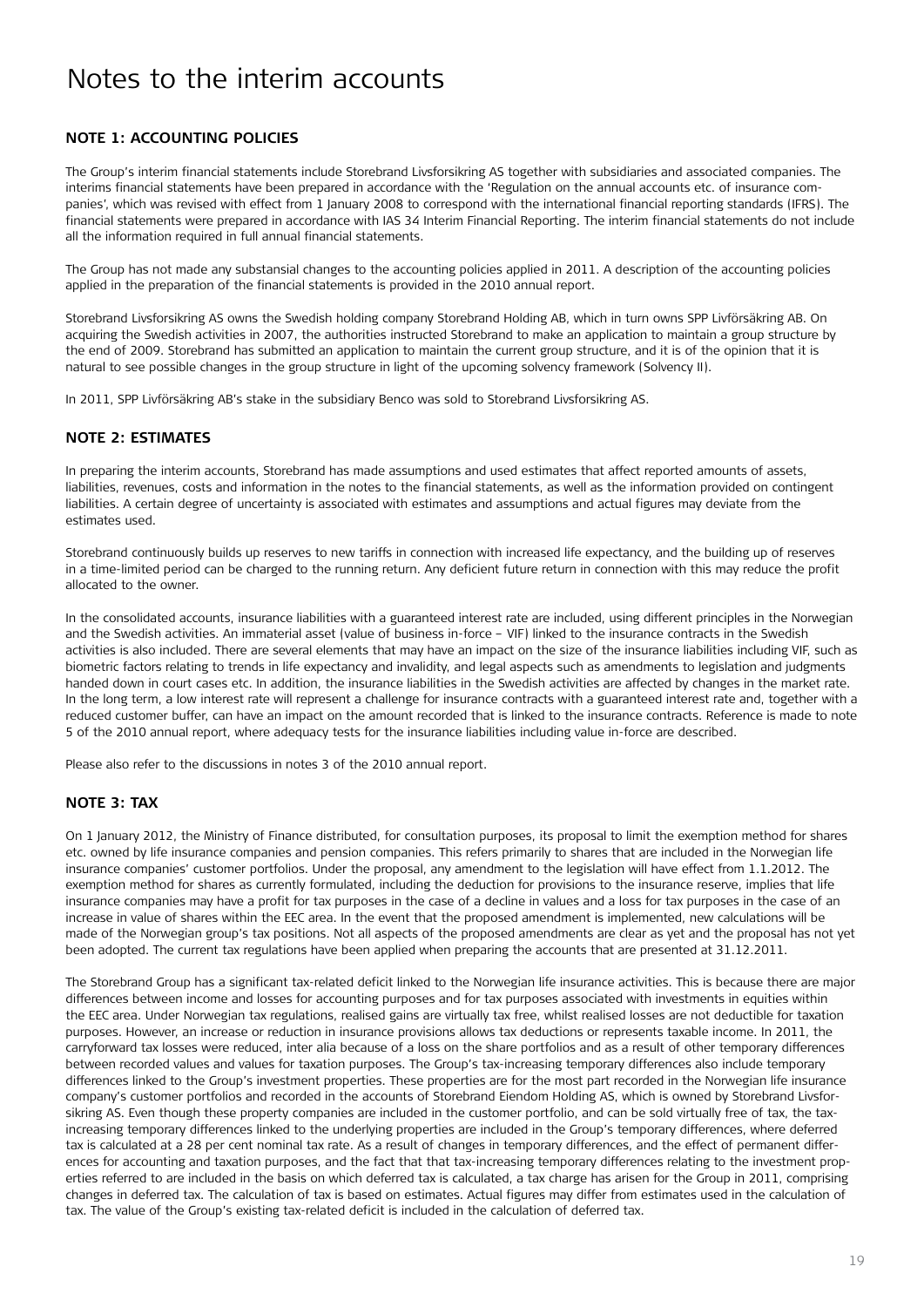#### **Note 1: Accounting policies**

The Group's interim financial statements include Storebrand Livsforsikring AS together with subsidiaries and associated companies. The interims financial statements have been prepared in accordance with the 'Regulation on the annual accounts etc. of insurance companies', which was revised with effect from 1 January 2008 to correspond with the international financial reporting standards (IFRS). The financial statements were prepared in accordance with IAS 34 Interim Financial Reporting. The interim financial statements do not include all the information required in full annual financial statements.

The Group has not made any substansial changes to the accounting policies applied in 2011. A description of the accounting policies applied in the preparation of the financial statements is provided in the 2010 annual report.

Storebrand Livsforsikring AS owns the Swedish holding company Storebrand Holding AB, which in turn owns SPP Livförsäkring AB. On acquiring the Swedish activities in 2007, the authorities instructed Storebrand to make an application to maintain a group structure by the end of 2009. Storebrand has submitted an application to maintain the current group structure, and it is of the opinion that it is natural to see possible changes in the group structure in light of the upcoming solvency framework (Solvency II).

In 2011, SPP Livförsäkring AB's stake in the subsidiary Benco was sold to Storebrand Livsforsikring AS.

#### **Note 2: Estimates**

In preparing the interim accounts, Storebrand has made assumptions and used estimates that affect reported amounts of assets, liabilities, revenues, costs and information in the notes to the financial statements, as well as the information provided on contingent liabilities. A certain degree of uncertainty is associated with estimates and assumptions and actual figures may deviate from the estimates used.

Storebrand continuously builds up reserves to new tariffs in connection with increased life expectancy, and the building up of reserves in a time-limited period can be charged to the running return. Any deficient future return in connection with this may reduce the profit allocated to the owner.

In the consolidated accounts, insurance liabilities with a guaranteed interest rate are included, using different principles in the Norwegian and the Swedish activities. An immaterial asset (value of business in-force – VIF) linked to the insurance contracts in the Swedish activities is also included. There are several elements that may have an impact on the size of the insurance liabilities including VIF, such as biometric factors relating to trends in life expectancy and invalidity, and legal aspects such as amendments to legislation and judgments handed down in court cases etc. In addition, the insurance liabilities in the Swedish activities are affected by changes in the market rate. In the long term, a low interest rate will represent a challenge for insurance contracts with a guaranteed interest rate and, together with a reduced customer buffer, can have an impact on the amount recorded that is linked to the insurance contracts. Reference is made to note 5 of the 2010 annual report, where adequacy tests for the insurance liabilities including value in-force are described.

Please also refer to the discussions in notes 3 of the 2010 annual report.

#### **Note 3: Tax**

On 1 January 2012, the Ministry of Finance distributed, for consultation purposes, its proposal to limit the exemption method for shares etc. owned by life insurance companies and pension companies. This refers primarily to shares that are included in the Norwegian life insurance companies' customer portfolios. Under the proposal, any amendment to the legislation will have effect from 1.1.2012. The exemption method for shares as currently formulated, including the deduction for provisions to the insurance reserve, implies that life insurance companies may have a profit for tax purposes in the case of a decline in values and a loss for tax purposes in the case of an increase in value of shares within the EEC area. In the event that the proposed amendment is implemented, new calculations will be made of the Norwegian group's tax positions. Not all aspects of the proposed amendments are clear as yet and the proposal has not yet been adopted. The current tax regulations have been applied when preparing the accounts that are presented at 31.12.2011.

The Storebrand Group has a significant tax-related deficit linked to the Norwegian life insurance activities. This is because there are major differences between income and losses for accounting purposes and for tax purposes associated with investments in equities within the EEC area. Under Norwegian tax regulations, realised gains are virtually tax free, whilst realised losses are not deductible for taxation purposes. However, an increase or reduction in insurance provisions allows tax deductions or represents taxable income. In 2011, the carryforward tax losses were reduced, inter alia because of a loss on the share portfolios and as a result of other temporary differences between recorded values and values for taxation purposes. The Group's tax-increasing temporary differences also include temporary differences linked to the Group's investment properties. These properties are for the most part recorded in the Norwegian life insurance company's customer portfolios and recorded in the accounts of Storebrand Eiendom Holding AS, which is owned by Storebrand Livsforsikring AS. Even though these property companies are included in the customer portfolio, and can be sold virtually free of tax, the taxincreasing temporary differences linked to the underlying properties are included in the Group's temporary differences, where deferred tax is calculated at a 28 per cent nominal tax rate. As a result of changes in temporary differences, and the effect of permanent differences for accounting and taxation purposes, and the fact that that tax-increasing temporary differences relating to the investment properties referred to are included in the basis on which deferred tax is calculated, a tax charge has arisen for the Group in 2011, comprising changes in deferred tax. The calculation of tax is based on estimates. Actual figures may differ from estimates used in the calculation of tax. The value of the Group's existing tax-related deficit is included in the calculation of deferred tax.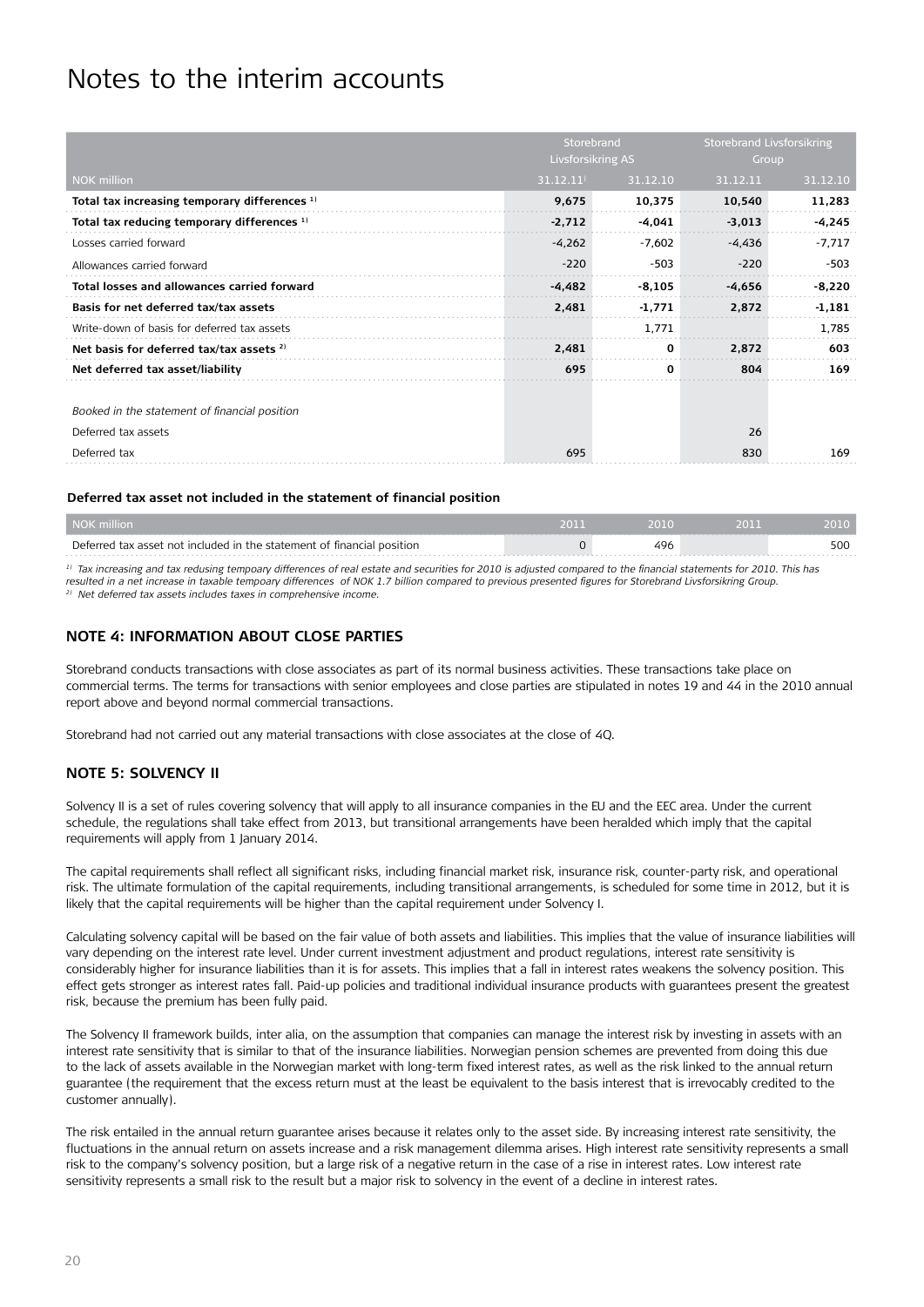|                                               | Storebrand<br>Livsforsikring AS |          | Storebrand Livsforsikring<br>Group |          |
|-----------------------------------------------|---------------------------------|----------|------------------------------------|----------|
| <b>NOK million</b>                            | 31.12.11                        | 31.12.10 | 31.12.11                           | 31.12.10 |
| Total tax increasing temporary differences 1) | 9,675                           | 10,375   | 10,540                             | 11,283   |
| Total tax reducing temporary differences 1)   | $-2,712$                        | -4,041   | $-3,013$                           | -4,245   |
| Losses carried forward                        | $-4,262$                        | $-7,602$ | $-4,436$                           | -7,717   |
| Allowances carried forward                    | $-220$                          | $-503$   | $-220$                             | $-503$   |
| Total losses and allowances carried forward   | $-4.482$                        | $-8,105$ | $-4,656$                           | $-8,220$ |
| Basis for net deferred tax/tax assets         | 2,481                           | $-1,771$ | 2,872                              | $-1,181$ |
| Write-down of basis for deferred tax assets   |                                 | 1,771    |                                    | 1,785    |
| Net basis for deferred tax/tax assets 2)      | 2.481                           | 0        | 2,872                              | 603      |
| Net deferred tax asset/liability              | 695                             | 0        | 804                                | 169      |
|                                               |                                 |          |                                    |          |
| Booked in the statement of financial position |                                 |          |                                    |          |
| Deferred tax assets                           |                                 |          | 26                                 |          |
| Deferred tax                                  | 695                             |          | 830                                | 169      |

#### **Deferred tax asset not included in the statement of financial position**

| NOK million                                                            |     | 2010 |
|------------------------------------------------------------------------|-----|------|
| Deferred tax asset not included in the statement of financial position | 496 | 50C  |
|                                                                        |     |      |

*1) Tax increasing and tax redusing tempoary differences of real estate and securities for 2010 is adjusted compared to the financial statements for 2010. This has resulted in a net increase in taxable tempoary differences of NOK 1.7 billion compared to previous presented figures for Storebrand Livsforsikring Group. 2) Net deferred tax assets includes taxes in comprehensive income.* 

#### **Note 4: Information about close parties**

Storebrand conducts transactions with close associates as part of its normal business activities. These transactions take place on commercial terms. The terms for transactions with senior employees and close parties are stipulated in notes 19 and 44 in the 2010 annual report above and beyond normal commercial transactions.

Storebrand had not carried out any material transactions with close associates at the close of 4Q.

#### **Note 5: Solvency II**

Solvency II is a set of rules covering solvency that will apply to all insurance companies in the EU and the EEC area. Under the current schedule, the regulations shall take effect from 2013, but transitional arrangements have been heralded which imply that the capital requirements will apply from 1 January 2014.

The capital requirements shall reflect all significant risks, including financial market risk, insurance risk, counter-party risk, and operational risk. The ultimate formulation of the capital requirements, including transitional arrangements, is scheduled for some time in 2012, but it is likely that the capital requirements will be higher than the capital requirement under Solvency I.

Calculating solvency capital will be based on the fair value of both assets and liabilities. This implies that the value of insurance liabilities will vary depending on the interest rate level. Under current investment adjustment and product regulations, interest rate sensitivity is considerably higher for insurance liabilities than it is for assets. This implies that a fall in interest rates weakens the solvency position. This effect gets stronger as interest rates fall. Paid-up policies and traditional individual insurance products with guarantees present the greatest risk, because the premium has been fully paid.

The Solvency II framework builds, inter alia, on the assumption that companies can manage the interest risk by investing in assets with an interest rate sensitivity that is similar to that of the insurance liabilities. Norwegian pension schemes are prevented from doing this due to the lack of assets available in the Norwegian market with long-term fixed interest rates, as well as the risk linked to the annual return guarantee (the requirement that the excess return must at the least be equivalent to the basis interest that is irrevocably credited to the customer annually).

The risk entailed in the annual return guarantee arises because it relates only to the asset side. By increasing interest rate sensitivity, the fluctuations in the annual return on assets increase and a risk management dilemma arises. High interest rate sensitivity represents a small risk to the company's solvency position, but a large risk of a negative return in the case of a rise in interest rates. Low interest rate sensitivity represents a small risk to the result but a major risk to solvency in the event of a decline in interest rates.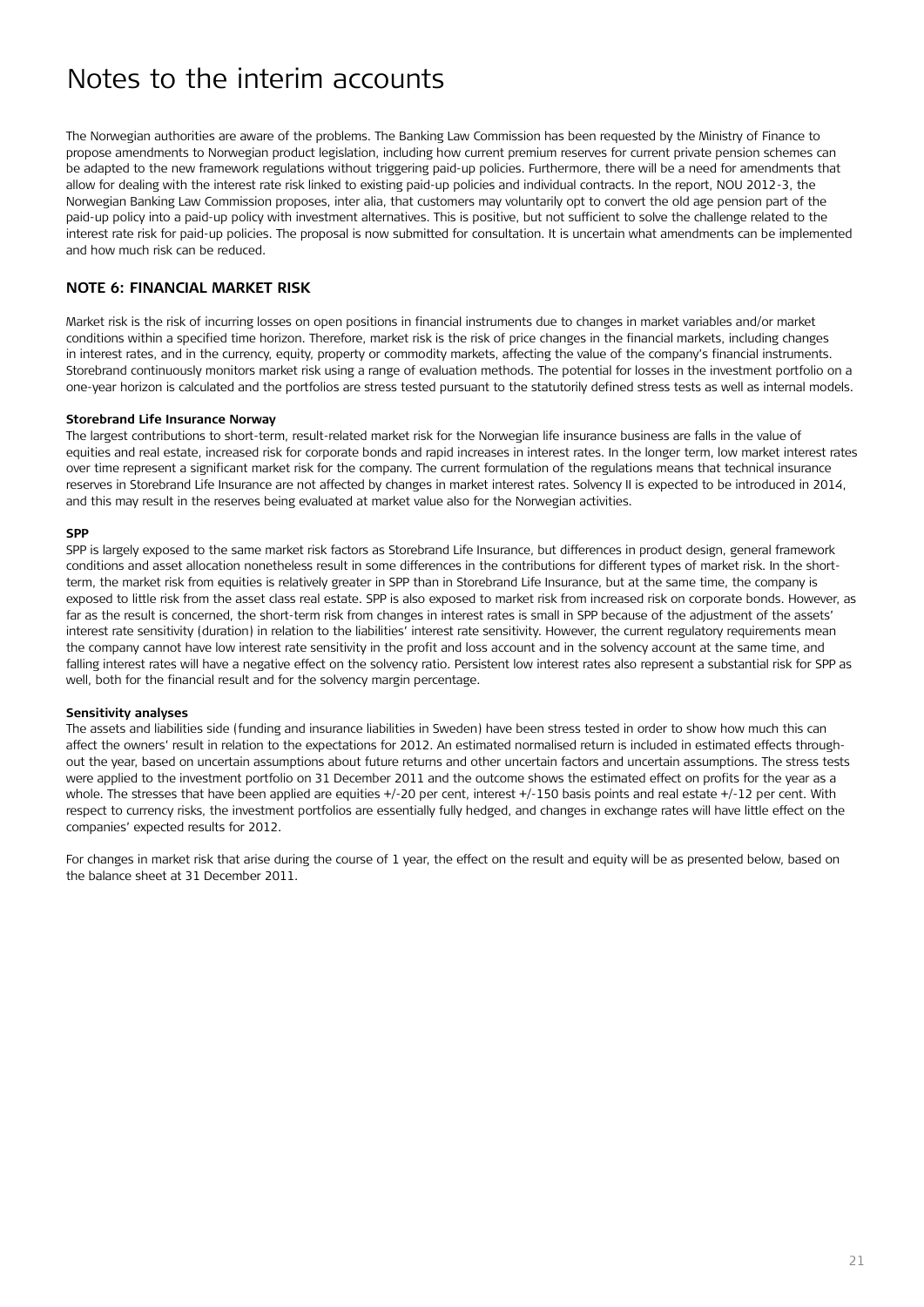The Norwegian authorities are aware of the problems. The Banking Law Commission has been requested by the Ministry of Finance to propose amendments to Norwegian product legislation, including how current premium reserves for current private pension schemes can be adapted to the new framework regulations without triggering paid-up policies. Furthermore, there will be a need for amendments that allow for dealing with the interest rate risk linked to existing paid-up policies and individual contracts. In the report, NOU 2012-3, the Norwegian Banking Law Commission proposes, inter alia, that customers may voluntarily opt to convert the old age pension part of the paid-up policy into a paid-up policy with investment alternatives. This is positive, but not sufficient to solve the challenge related to the interest rate risk for paid-up policies. The proposal is now submitted for consultation. It is uncertain what amendments can be implemented and how much risk can be reduced.

#### **Note 6: Financial markeT risk**

Market risk is the risk of incurring losses on open positions in financial instruments due to changes in market variables and/or market conditions within a specified time horizon. Therefore, market risk is the risk of price changes in the financial markets, including changes in interest rates, and in the currency, equity, property or commodity markets, affecting the value of the company's financial instruments. Storebrand continuously monitors market risk using a range of evaluation methods. The potential for losses in the investment portfolio on a one-year horizon is calculated and the portfolios are stress tested pursuant to the statutorily defined stress tests as well as internal models.

#### **Storebrand Life Insurance Norway**

The largest contributions to short-term, result-related market risk for the Norwegian life insurance business are falls in the value of equities and real estate, increased risk for corporate bonds and rapid increases in interest rates. In the longer term, low market interest rates over time represent a significant market risk for the company. The current formulation of the regulations means that technical insurance reserves in Storebrand Life Insurance are not affected by changes in market interest rates. Solvency II is expected to be introduced in 2014, and this may result in the reserves being evaluated at market value also for the Norwegian activities.

#### **SPP**

SPP is largely exposed to the same market risk factors as Storebrand Life Insurance, but differences in product design, general framework conditions and asset allocation nonetheless result in some differences in the contributions for different types of market risk. In the shortterm, the market risk from equities is relatively greater in SPP than in Storebrand Life Insurance, but at the same time, the company is exposed to little risk from the asset class real estate. SPP is also exposed to market risk from increased risk on corporate bonds. However, as far as the result is concerned, the short-term risk from changes in interest rates is small in SPP because of the adjustment of the assets' interest rate sensitivity (duration) in relation to the liabilities' interest rate sensitivity. However, the current regulatory requirements mean the company cannot have low interest rate sensitivity in the profit and loss account and in the solvency account at the same time, and falling interest rates will have a negative effect on the solvency ratio. Persistent low interest rates also represent a substantial risk for SPP as well, both for the financial result and for the solvency margin percentage.

#### **Sensitivity analyses**

The assets and liabilities side (funding and insurance liabilities in Sweden) have been stress tested in order to show how much this can affect the owners' result in relation to the expectations for 2012. An estimated normalised return is included in estimated effects throughout the year, based on uncertain assumptions about future returns and other uncertain factors and uncertain assumptions. The stress tests were applied to the investment portfolio on 31 December 2011 and the outcome shows the estimated effect on profits for the year as a whole. The stresses that have been applied are equities +/-20 per cent, interest +/-150 basis points and real estate +/-12 per cent. With respect to currency risks, the investment portfolios are essentially fully hedged, and changes in exchange rates will have little effect on the companies' expected results for 2012.

For changes in market risk that arise during the course of 1 year, the effect on the result and equity will be as presented below, based on the balance sheet at 31 December 2011.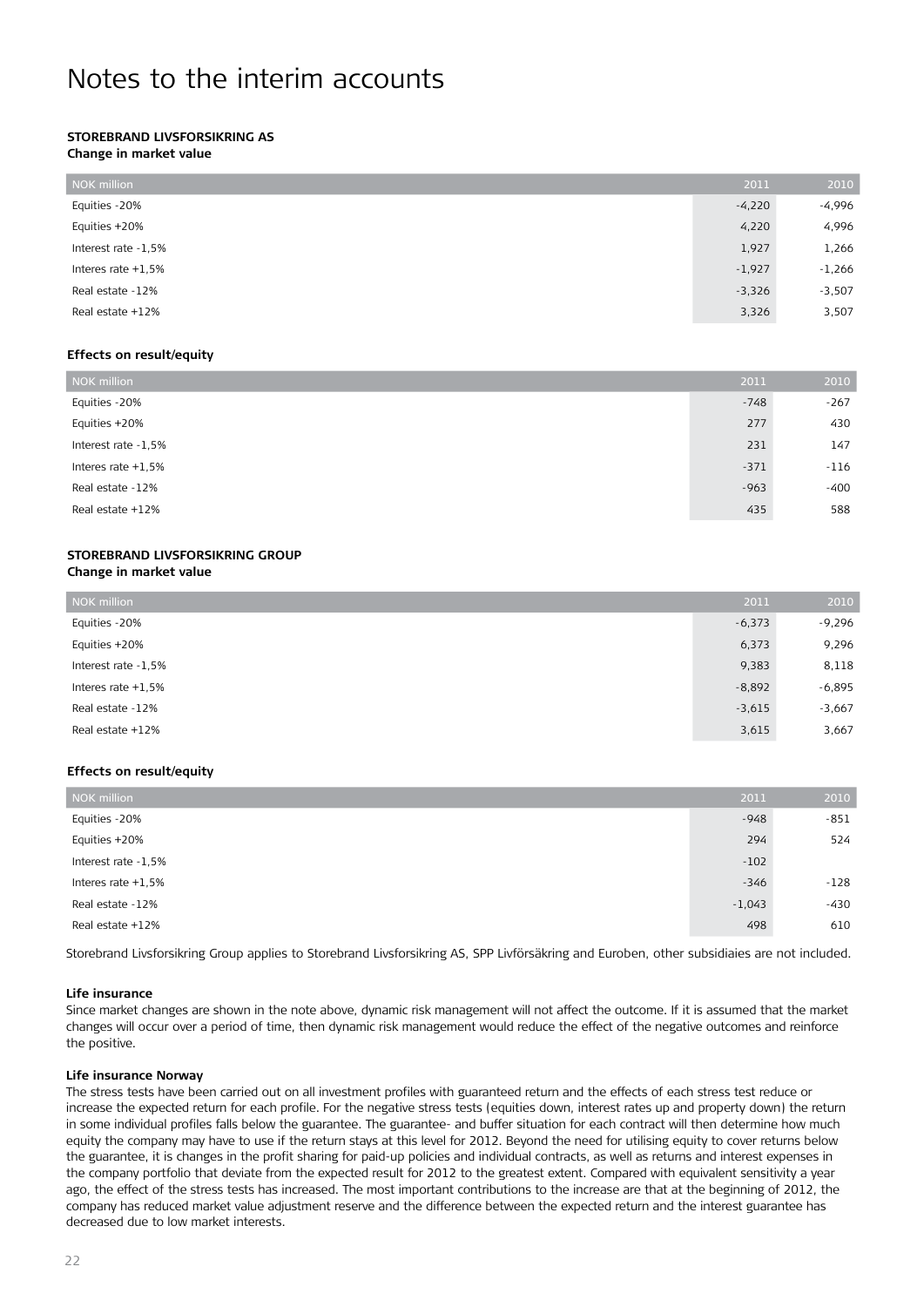#### **Storebrand Livsforsikring AS Change in market value**

| NOK million          | 2011     | 2010     |
|----------------------|----------|----------|
| Equities -20%        | $-4,220$ | $-4,996$ |
| Equities +20%        | 4,220    | 4,996    |
| Interest rate -1,5%  | 1,927    | 1,266    |
| Interes rate $+1.5%$ | $-1,927$ | $-1,266$ |
| Real estate -12%     | $-3,326$ | $-3,507$ |
| Real estate +12%     | 3,326    | 3,507    |

#### **Effects on result/equity**

| NOK million          | 2011   | 2010   |
|----------------------|--------|--------|
| Equities -20%        | $-748$ | $-267$ |
| Equities +20%        | 277    | 430    |
| Interest rate -1,5%  | 231    | 147    |
| Interes rate $+1,5%$ | $-371$ | $-116$ |
| Real estate -12%     | $-963$ | $-400$ |
| Real estate +12%     | 435    | 588    |

#### **Storebrand Livsforsikring Group Change in market value**

| NOK million          | 2011     | 2010     |
|----------------------|----------|----------|
| Equities -20%        | $-6,373$ | $-9,296$ |
| Equities +20%        | 6,373    | 9,296    |
| Interest rate -1,5%  | 9,383    | 8,118    |
| Interes rate $+1.5%$ | $-8,892$ | $-6,895$ |
| Real estate -12%     | $-3,615$ | $-3,667$ |
| Real estate +12%     | 3,615    | 3,667    |

#### **Effects on result/equity**

| NOK million          | 2011     | 2010   |
|----------------------|----------|--------|
| Equities -20%        | $-948$   | $-851$ |
| Equities +20%        | 294      | 524    |
| Interest rate -1,5%  | $-102$   |        |
| Interes rate $+1.5%$ | $-346$   | $-128$ |
| Real estate -12%     | $-1,043$ | $-430$ |
| Real estate +12%     | 498      | 610    |

Storebrand Livsforsikring Group applies to Storebrand Livsforsikring AS, SPP Livförsäkring and Euroben, other subsidiaies are not included.

#### **Life insurance**

Since market changes are shown in the note above, dynamic risk management will not affect the outcome. If it is assumed that the market changes will occur over a period of time, then dynamic risk management would reduce the effect of the negative outcomes and reinforce the positive.

#### **Life insurance Norway**

The stress tests have been carried out on all investment profiles with guaranteed return and the effects of each stress test reduce or increase the expected return for each profile. For the negative stress tests (equities down, interest rates up and property down) the return in some individual profiles falls below the guarantee. The guarantee- and buffer situation for each contract will then determine how much equity the company may have to use if the return stays at this level for 2012. Beyond the need for utilising equity to cover returns below the guarantee, it is changes in the profit sharing for paid-up policies and individual contracts, as well as returns and interest expenses in the company portfolio that deviate from the expected result for 2012 to the greatest extent. Compared with equivalent sensitivity a year ago, the effect of the stress tests has increased. The most important contributions to the increase are that at the beginning of 2012, the company has reduced market value adjustment reserve and the difference between the expected return and the interest guarantee has decreased due to low market interests.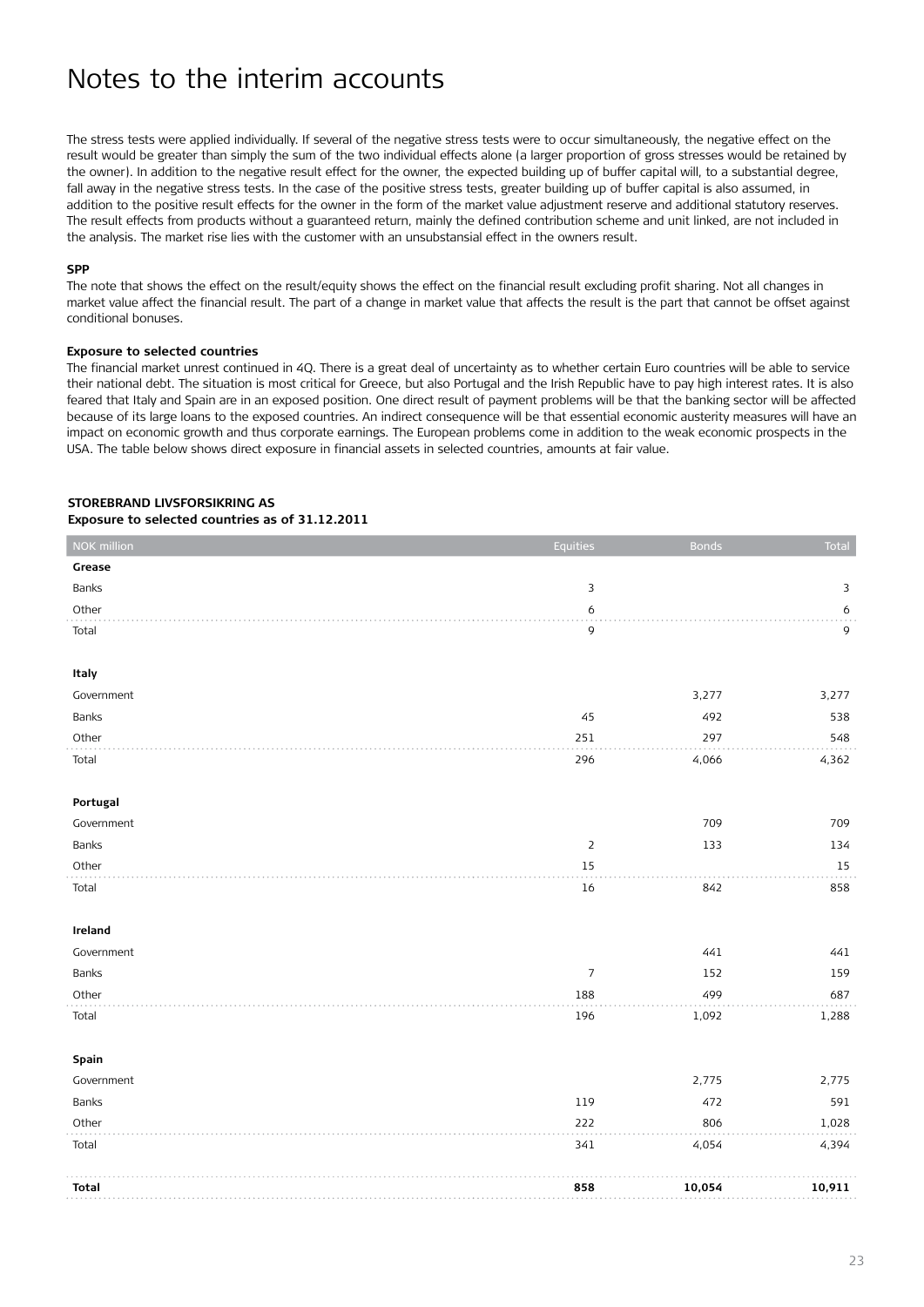The stress tests were applied individually. If several of the negative stress tests were to occur simultaneously, the negative effect on the result would be greater than simply the sum of the two individual effects alone (a larger proportion of gross stresses would be retained by the owner). In addition to the negative result effect for the owner, the expected building up of buffer capital will, to a substantial degree, fall away in the negative stress tests. In the case of the positive stress tests, greater building up of buffer capital is also assumed, in addition to the positive result effects for the owner in the form of the market value adjustment reserve and additional statutory reserves. The result effects from products without a guaranteed return, mainly the defined contribution scheme and unit linked, are not included in the analysis. The market rise lies with the customer with an unsubstansial effect in the owners result.

#### **SPP**

The note that shows the effect on the result/equity shows the effect on the financial result excluding profit sharing. Not all changes in market value affect the financial result. The part of a change in market value that affects the result is the part that cannot be offset against conditional bonuses.

#### **Exposure to selected countries**

The financial market unrest continued in 4Q. There is a great deal of uncertainty as to whether certain Euro countries will be able to service their national debt. The situation is most critical for Greece, but also Portugal and the Irish Republic have to pay high interest rates. It is also feared that Italy and Spain are in an exposed position. One direct result of payment problems will be that the banking sector will be affected because of its large loans to the exposed countries. An indirect consequence will be that essential economic austerity measures will have an impact on economic growth and thus corporate earnings. The European problems come in addition to the weak economic prospects in the USA. The table below shows direct exposure in financial assets in selected countries, amounts at fair value.

#### **Storebrand Livsforsikring AS Exposure to selected countries as of 31.12.2011**

| NOK million  | Equities         | <b>Bonds</b> | Total  |
|--------------|------------------|--------------|--------|
| Grease       |                  |              |        |
| Banks        | $\mathsf 3$      |              | 3      |
| Other        | 6                |              | 6      |
| Total        | 9                |              | 9      |
|              |                  |              |        |
| Italy        |                  |              |        |
| Government   |                  | 3,277        | 3,277  |
| Banks        | 45               | 492          | 538    |
| Other        | 251              | 297          | 548    |
| Total        | 296              | 4,066        | 4,362  |
|              |                  |              |        |
| Portugal     |                  |              |        |
| Government   |                  | 709          | 709    |
| Banks        | $\mathsf{2}$     | 133          | 134    |
| Other        | $15\,$           |              | $15\,$ |
| Total        | 16               | 842          | 858    |
|              |                  |              |        |
| Ireland      |                  |              |        |
| Government   |                  | 441          | 441    |
| Banks        | $\boldsymbol{7}$ | 152          | 159    |
| Other        | 188              | 499          | 687    |
| Total        | 196              | 1,092        | 1,288  |
| Spain        |                  |              |        |
| Government   |                  | 2,775        | 2,775  |
| Banks        | 119              | 472          | 591    |
| Other        | 222              | 806          | 1,028  |
| Total        | 341              | 4,054        | 4,394  |
|              |                  |              |        |
| <b>Total</b> | 858              | 10,054       | 10,911 |
|              |                  |              |        |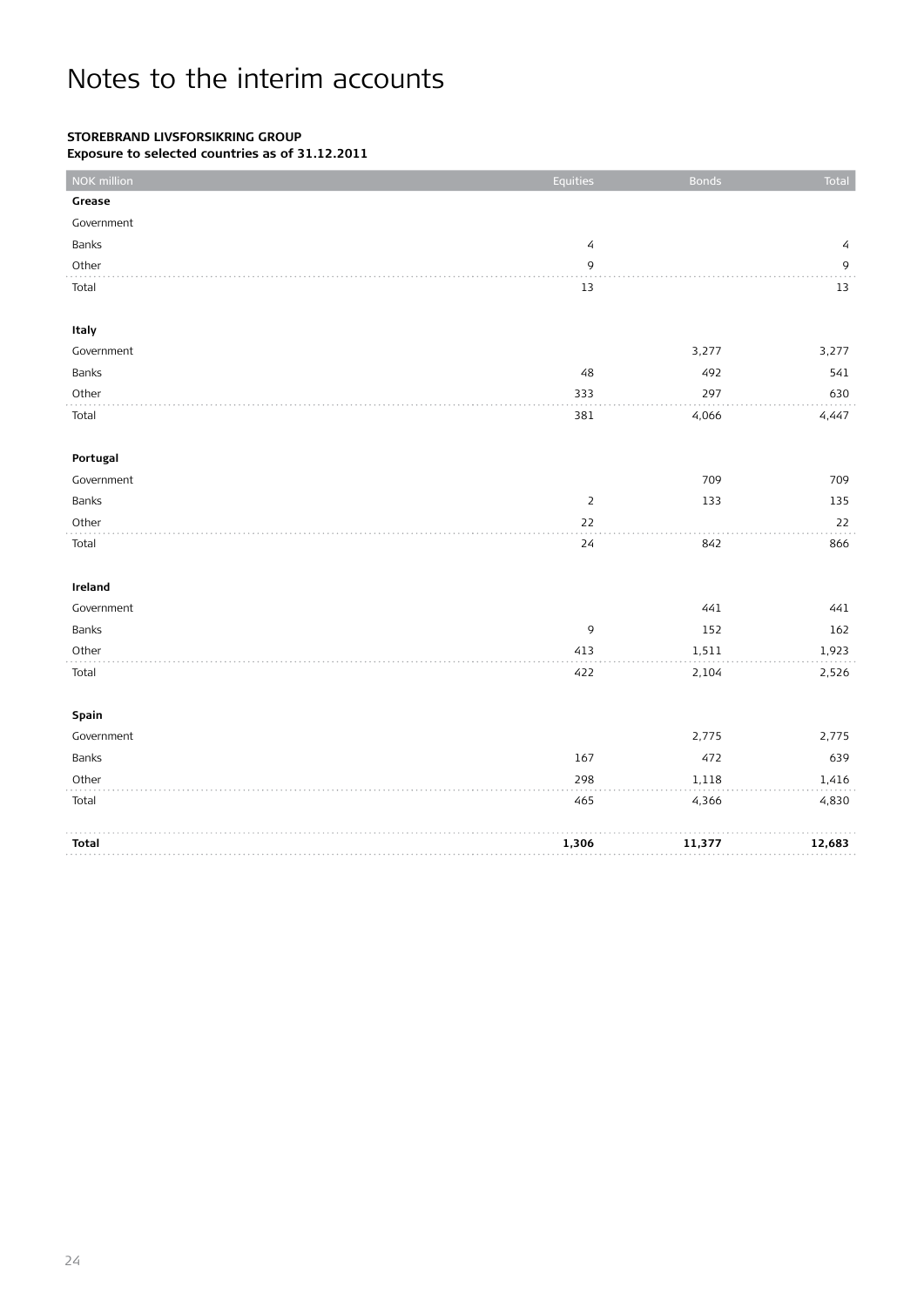### **Storebrand Livsforsikring Group**

**Exposure to selected countries as of 31.12.2011**

| NOK million  | Equities       | <b>Bonds</b> | Total        |
|--------------|----------------|--------------|--------------|
| Grease       |                |              |              |
| Government   |                |              |              |
| Banks        | $\sqrt{4}$     |              | 4            |
| Other        | $\mathsf 9$    |              | $\mathsf{9}$ |
| Total        | 13             |              | 13           |
|              |                |              |              |
| Italy        |                |              |              |
| Government   |                | 3,277        | 3,277        |
| Banks        | 48             | 492          | 541          |
| Other        | 333            | 297          | 630          |
| Total        | 381            | 4,066        | 4,447        |
|              |                |              |              |
| Portugal     |                |              |              |
| Government   |                | 709          | 709          |
| Banks        | $\overline{2}$ | 133          | 135          |
| Other        | 22             |              | 22           |
| Total        | 24             | 842          | 866          |
|              |                |              |              |
| Ireland      |                |              |              |
| Government   |                | 441          | 441          |
| Banks        | 9              | 152          | 162          |
| Other        | 413            | 1,511        | 1,923        |
| Total        | 422            | 2,104        | 2,526        |
|              |                |              |              |
| Spain        |                |              |              |
| Government   |                | 2,775        | 2,775        |
| Banks        | 167            | 472          | 639          |
| Other        | 298            | 1,118        | 1,416        |
| Total        | 465            | 4,366        | 4,830        |
|              |                |              |              |
| <b>Total</b> | 1,306          | 11,377       | 12,683       |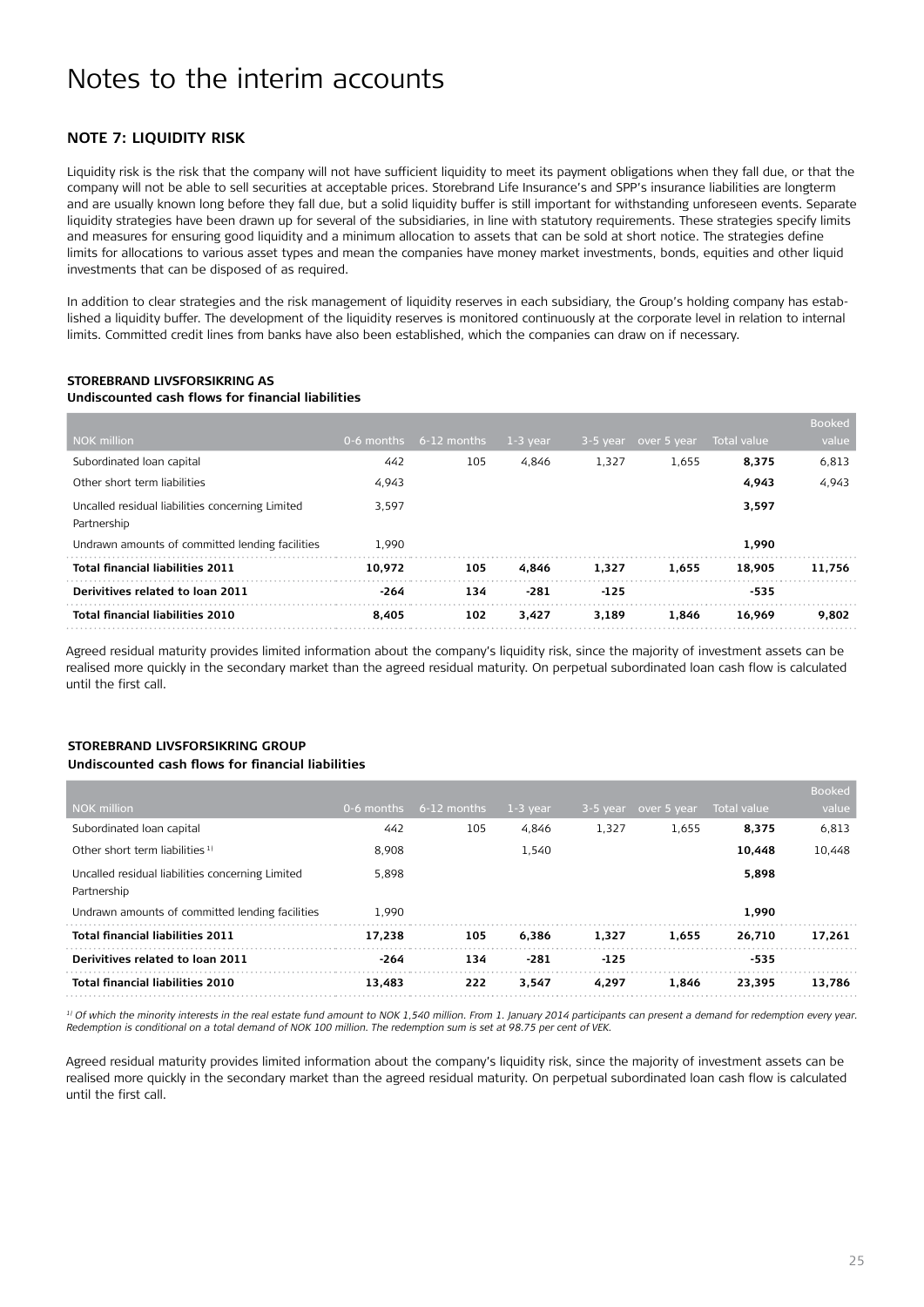#### **Note 7: Liquidity risk**

Liquidity risk is the risk that the company will not have sufficient liquidity to meet its payment obligations when they fall due, or that the company will not be able to sell securities at acceptable prices. Storebrand Life Insurance's and SPP's insurance liabilities are longterm and are usually known long before they fall due, but a solid liquidity buffer is still important for withstanding unforeseen events. Separate liquidity strategies have been drawn up for several of the subsidiaries, in line with statutory requirements. These strategies specify limits and measures for ensuring good liquidity and a minimum allocation to assets that can be sold at short notice. The strategies define limits for allocations to various asset types and mean the companies have money market investments, bonds, equities and other liquid investments that can be disposed of as required.

In addition to clear strategies and the risk management of liquidity reserves in each subsidiary, the Group's holding company has established a liquidity buffer. The development of the liquidity reserves is monitored continuously at the corporate level in relation to internal limits. Committed credit lines from banks have also been established, which the companies can draw on if necessary.

#### **Storebrand Livsforsikring AS Undiscounted cash flows for financial liabilities**

|                                                  |            |               |            |        |                      |              | <b>Booked</b> |
|--------------------------------------------------|------------|---------------|------------|--------|----------------------|--------------|---------------|
| <b>NOK million</b>                               | 0-6 months | $6-12$ months | $1-3$ year |        | 3-5 year over 5 year | Total value, | value         |
| Subordinated Ioan capital                        | 442        | 105           | 4,846      | 1,327  | 1.655                | 8,375        | 6,813         |
| Other short term liabilities                     | 4,943      |               |            |        |                      | 4,943        | 4,943         |
| Uncalled residual liabilities concerning Limited | 3,597      |               |            |        |                      | 3,597        |               |
| Partnership                                      |            |               |            |        |                      |              |               |
| Undrawn amounts of committed lending facilities  | 1.990      |               |            |        |                      | 1.990        |               |
| <b>Total financial liabilities 2011</b>          | 10.972     | 105           | 4.846      | 1.327  | 1.655                | 18.905       | 11.756        |
| Derivitives related to loan 2011                 | -264       | 134           | $-281$     | $-125$ |                      | $-535$       |               |
| <b>Total financial liabilities 2010</b>          | 8.405      | 102           | 3.427      | 3.189  | 1.846                | 16.969       | 9.802         |

Agreed residual maturity provides limited information about the company's liquidity risk, since the majority of investment assets can be realised more quickly in the secondary market than the agreed residual maturity. On perpetual subordinated loan cash flow is calculated until the first call.

#### **Storebrand Livsforsikring Group Undiscounted cash flows for financial liabilities**

|                                                                 |            |               |            |            |             |             | <b>Booked</b> |
|-----------------------------------------------------------------|------------|---------------|------------|------------|-------------|-------------|---------------|
| <b>NOK million</b>                                              | 0-6 months | $6-12$ months | $1-3$ year | $3-5$ year | over 5 year | Total value | value         |
| Subordinated Ioan capital                                       | 442        | 105           | 4.846      | 1,327      | 1.655       | 8,375       | 6,813         |
| Other short term liabilities <sup>1)</sup>                      | 8.908      |               | 1,540      |            |             | 10,448      | 10,448        |
| Uncalled residual liabilities concerning Limited<br>Partnership | 5.898      |               |            |            |             | 5,898       |               |
| Undrawn amounts of committed lending facilities                 | 1.990      |               |            |            |             | 1.990       |               |
| <b>Total financial liabilities 2011</b>                         | 17.238     | 105           | 6.386      | 1.327      | 1.655       | 26.710      | 17.261        |
| Derivitives related to loan 2011                                | -264       | 134           | $-281$     | $-125$     |             | -535        |               |
| <b>Total financial liabilities 2010</b>                         | 13,483     | 222           | 3.547      | 4.297      | 1.846       | 23.395      | 13.786        |

*1) Of which the minority interests in the real estate fund amount to NOK 1,540 million. From 1. January 2014 participants can present a demand for redemption every year. Redemption is conditional on a total demand of NOK 100 million. The redemption sum is set at 98.75 per cent of VEK.*

Agreed residual maturity provides limited information about the company's liquidity risk, since the majority of investment assets can be realised more quickly in the secondary market than the agreed residual maturity. On perpetual subordinated loan cash flow is calculated until the first call.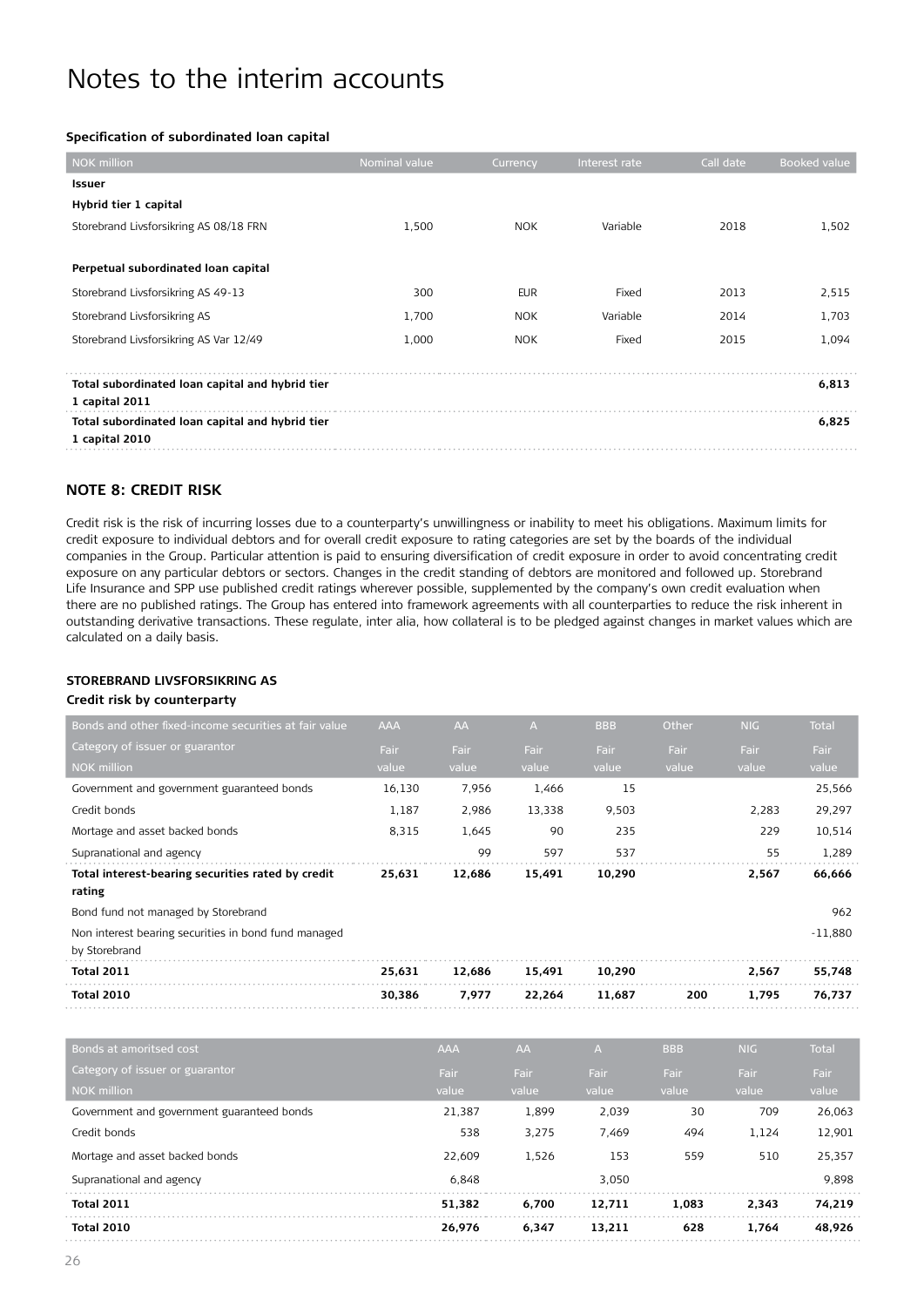#### **Specification of subordinated loan capital**

| <b>NOK</b> million                              | Nominal value | Currency   | Interest rate | Call date | Booked value |
|-------------------------------------------------|---------------|------------|---------------|-----------|--------------|
| Issuer                                          |               |            |               |           |              |
| Hybrid tier 1 capital                           |               |            |               |           |              |
| Storebrand Livsforsikring AS 08/18 FRN          | 1,500         | <b>NOK</b> | Variable      | 2018      | 1,502        |
|                                                 |               |            |               |           |              |
| Perpetual subordinated loan capital             |               |            |               |           |              |
| Storebrand Livsforsikring AS 49-13              | 300           | <b>EUR</b> | Fixed         | 2013      | 2,515        |
| Storebrand Livsforsikring AS                    | 1,700         | <b>NOK</b> | Variable      | 2014      | 1,703        |
| Storebrand Livsforsikring AS Var 12/49          | 1,000         | <b>NOK</b> | Fixed         | 2015      | 1,094        |
|                                                 |               |            |               |           |              |
| Total subordinated loan capital and hybrid tier |               |            |               |           | 6,813        |
| 1 capital 2011                                  |               |            |               |           |              |
| Total subordinated loan capital and hybrid tier |               |            |               |           | 6,825        |
| 1 capital 2010                                  |               |            |               |           |              |

#### **Note 8: Credit risk**

Credit risk is the risk of incurring losses due to a counterparty's unwillingness or inability to meet his obligations. Maximum limits for credit exposure to individual debtors and for overall credit exposure to rating categories are set by the boards of the individual companies in the Group. Particular attention is paid to ensuring diversification of credit exposure in order to avoid concentrating credit exposure on any particular debtors or sectors. Changes in the credit standing of debtors are monitored and followed up. Storebrand Life Insurance and SPP use published credit ratings wherever possible, supplemented by the company's own credit evaluation when there are no published ratings. The Group has entered into framework agreements with all counterparties to reduce the risk inherent in outstanding derivative transactions. These regulate, inter alia, how collateral is to be pledged against changes in market values which are calculated on a daily basis.

#### **Storebrand Livsforsikring AS**

#### **Credit risk by counterparty**

| <b>Total 2010</b>                                                     | 30,386     | 7,977     | 22,264 | 11,687     | 200   | 1,795      | 76,737       |
|-----------------------------------------------------------------------|------------|-----------|--------|------------|-------|------------|--------------|
| <b>Total 2011</b>                                                     | 25,631     | 12,686    | 15,491 | 10,290     |       | 2,567      | 55,748       |
| Non interest bearing securities in bond fund managed<br>by Storebrand |            |           |        |            |       |            | $-11,880$    |
| Bond fund not managed by Storebrand                                   |            |           |        |            |       |            | 962          |
| Total interest-bearing securities rated by credit<br>rating           | 25,631     | 12,686    | 15,491 | 10,290     |       | 2,567      | 66,666       |
| Supranational and agency                                              |            | 99        | 597    | 537        |       | 55         | 1,289        |
| Mortage and asset backed bonds                                        | 8,315      | 1,645     | 90     | 235        |       | 229        | 10,514       |
| Credit bonds                                                          | 1,187      | 2,986     | 13,338 | 9,503      |       | 2,283      | 29,297       |
| Government and government guaranteed bonds                            | 16,130     | 7,956     | 1,466  | 15         |       |            | 25,566       |
| <b>NOK million</b>                                                    | value      | value     | value  | value      | value | value      | value        |
| Category of issuer or guarantor                                       | Fair       | Fair      | Fair   | Fair       | Fair  | Fair       | Fair         |
| Bonds and other fixed-income securities at fair value                 | <b>AAA</b> | <b>AA</b> | A      | <b>BBB</b> | Other | <b>NIG</b> | <b>Total</b> |

| Bonds at amoritsed cost                    | <b>AAA</b> | AA    | A      | <b>BBB</b>  | <b>NIG</b>  | <b>Total</b> |
|--------------------------------------------|------------|-------|--------|-------------|-------------|--------------|
| Category of issuer or guarantor            | Fair       | Fair  | Fair   | <b>Fair</b> | <b>Fair</b> | <b>Fair</b>  |
| NOK million                                | value      | value | value  | value       | value       | value        |
| Government and government guaranteed bonds | 21.387     | 1,899 | 2.039  | 30          | 709         | 26.063       |
| Credit bonds                               | 538        | 3,275 | 7.469  | 494         | 1,124       | 12,901       |
| Mortage and asset backed bonds             | 22,609     | 1.526 | 153    | 559         | 510         | 25,357       |
| Supranational and agency                   | 6.848      |       | 3.050  |             |             | 9.898        |
| <b>Total 2011</b>                          | 51.382     | 6.700 | 12.711 | 1.083       | 2.343       | 74.219       |
| <b>Total 2010</b>                          | 26.976     | 6.347 | 13.211 | 628         | 1.764       | 48.926       |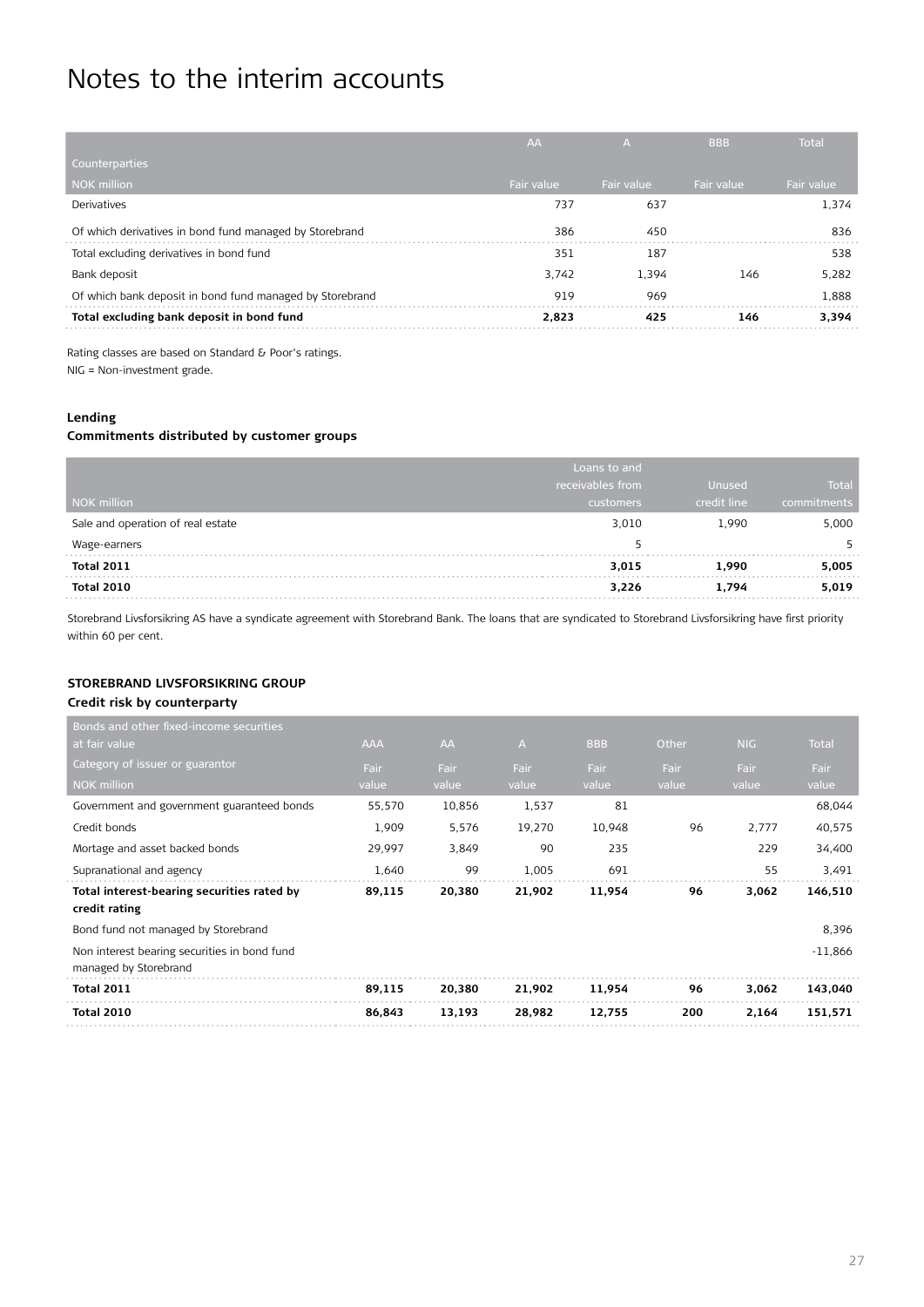|                                                          | <b>AA</b>  | A          | <b>BBB</b> | <b>Total</b> |
|----------------------------------------------------------|------------|------------|------------|--------------|
| Counterparties                                           |            |            |            |              |
| NOK million                                              | Fair value | Fair value | Fair value | Fair value   |
| <b>Derivatives</b>                                       | 737        | 637        |            | 1.374        |
| Of which derivatives in bond fund managed by Storebrand  | 386        | 450        |            | 836          |
| Total excluding derivatives in bond fund                 | 351        | 187        |            | 538          |
| Bank deposit                                             | 3.742      | 1.394      | 146        | 5.282        |
| Of which bank deposit in bond fund managed by Storebrand | 919        | 969        |            | 1.888        |
| Total excluding bank deposit in bond fund                | 2.823      | 425        | 146        | 3.394        |

Rating classes are based on Standard & Poor's ratings. NIG = Non-investment grade.

#### **Lending**

#### **Commitments distributed by customer groups**

|                                   | Loans to and     |               |             |
|-----------------------------------|------------------|---------------|-------------|
|                                   | receivables from | <b>Unused</b> | Total       |
| NOK million                       | customers        | credit line   | commitments |
| Sale and operation of real estate | 3,010            | 1,990         | 5,000       |
| Wage-earners                      | ь.               |               |             |
| <b>Total 2011</b>                 | 3,015            | 1,990         | 5,005       |
| Total 2010                        | 3,226            | 1.794         | 5,019       |

Storebrand Livsforsikring AS have a syndicate agreement with Storebrand Bank. The loans that are syndicated to Storebrand Livsforsikring have first priority within 60 per cent.

### **Storebrand Livsforsikring Group**

#### **Credit risk by counterparty**

| Bonds and other fixed-income securities                     |            |        |                |            |       |       |              |
|-------------------------------------------------------------|------------|--------|----------------|------------|-------|-------|--------------|
| at fair value                                               | <b>AAA</b> | AA     | $\overline{A}$ | <b>BBB</b> | Other | NIG   | <b>Total</b> |
| Category of issuer or guarantor                             | Fair       | Fair   | Fair           | Fair       | Fair  | Fair  | Fair         |
| <b>NOK million</b>                                          | value      | value  | value          | value      | value | value | value        |
| Government and government guaranteed bonds                  | 55,570     | 10,856 | 1,537          | 81         |       |       | 68,044       |
| Credit bonds                                                | 1,909      | 5,576  | 19,270         | 10,948     | 96    | 2,777 | 40,575       |
| Mortage and asset backed bonds                              | 29,997     | 3,849  | 90             | 235        |       | 229   | 34,400       |
| Supranational and agency                                    | 1,640      | 99     | 1,005          | 691        |       | 55    | 3,491        |
| Total interest-bearing securities rated by<br>credit rating | 89,115     | 20,380 | 21,902         | 11,954     | 96    | 3,062 | 146,510      |
| Bond fund not managed by Storebrand                         |            |        |                |            |       |       | 8,396        |
| Non interest bearing securities in bond fund                |            |        |                |            |       |       | $-11,866$    |
| managed by Storebrand                                       |            |        |                |            |       |       |              |
| <b>Total 2011</b>                                           | 89,115     | 20,380 | 21,902         | 11,954     | 96    | 3,062 | 143,040      |
| <b>Total 2010</b>                                           | 86,843     | 13,193 | 28,982         | 12,755     | 200   | 2,164 | 151,571      |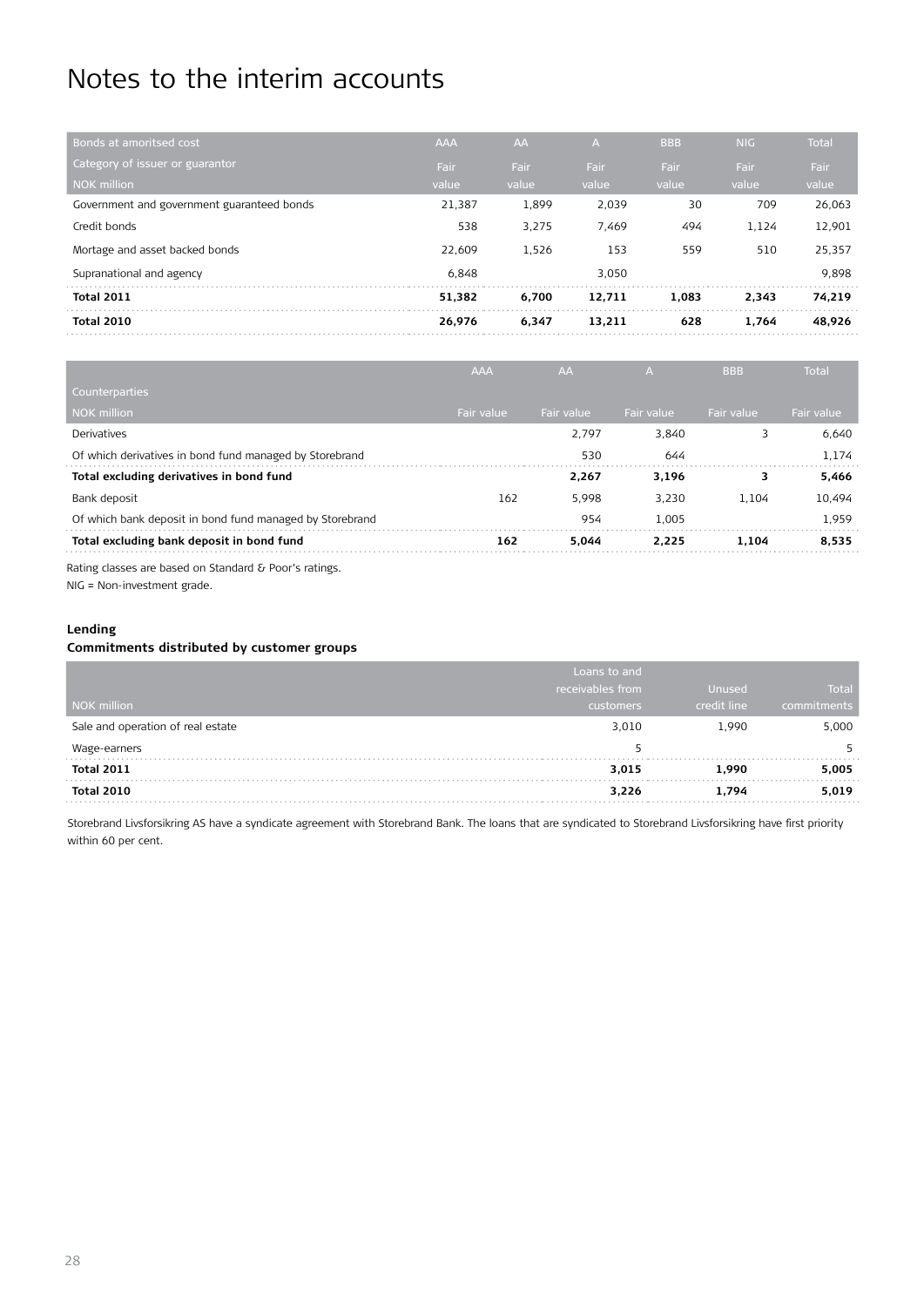| Bonds at amoritsed cost                    | <b>AAA</b> | <b>AA</b> | A.     | <b>BBB</b> | <b>NIG</b> | <b>Total</b> |
|--------------------------------------------|------------|-----------|--------|------------|------------|--------------|
| Category of issuer or guarantor            | Fair       | Fair      | Fair   | Fair       | Fair       | <b>Fair</b>  |
| <b>NOK</b> million                         | value      | value     | value  | value      | value      | value        |
| Government and government guaranteed bonds | 21.387     | 1,899     | 2.039  | 30         | 709        | 26.063       |
| Credit bonds                               | 538        | 3.275     | 7,469  | 494        | 1.124      | 12,901       |
| Mortage and asset backed bonds             | 22.609     | 1.526     | 153    | 559        | 510        | 25.357       |
| Supranational and agency                   | 6.848      |           | 3.050  |            |            | 9.898        |
| <b>Total 2011</b>                          | 51.382     | 6.700     | 12.711 | 1.083      | 2.343      | 74.219       |
| <b>Total 2010</b>                          | 26.976     | 6.347     | 13.211 | 628        | 1.764      | 48.926       |
|                                            |            |           |        |            |            |              |

|                                                          | <b>AAA</b> | AA         | А          | <b>BBB</b> | <b>Total</b> |
|----------------------------------------------------------|------------|------------|------------|------------|--------------|
| Counterparties                                           |            |            |            |            |              |
| <b>NOK</b> million                                       | Fair value | Fair value | Fair value | Fair value | Fair value   |
| <b>Derivatives</b>                                       |            | 2.797      | 3.840      | 3          | 6.640        |
| Of which derivatives in bond fund managed by Storebrand  |            | 530        | 644        |            | 1.174        |
| Total excluding derivatives in bond fund                 |            | 2.267      | 3.196      | 3          | 5,466        |
| Bank deposit                                             | 162        | 5.998      | 3.230      | 1.104      | 10.494       |
| Of which bank deposit in bond fund managed by Storebrand |            | 954        | 1.005      |            | 1.959        |
| Total excluding bank deposit in bond fund                | 162        | 5.044      | 2.225      | 1.104      | 8.535        |
|                                                          |            |            |            |            |              |

Rating classes are based on Standard & Poor's ratings. NIG = Non-investment grade.

#### **Lending**

#### **Commitments distributed by customer groups**

|                                   | Loans to and     |             |              |
|-----------------------------------|------------------|-------------|--------------|
|                                   | receivables from | Unused      | <b>Total</b> |
| NOK million                       | <b>customers</b> | credit line | commitments  |
| Sale and operation of real estate | 3,010            | 1,990       | 5,000        |
| Wage-earners                      |                  |             |              |
| <b>Total 2011</b>                 | 3,015            | 1.990       | 5,005        |
| Total 2010                        | 3,226            | 1.794       | 5,019        |

Storebrand Livsforsikring AS have a syndicate agreement with Storebrand Bank. The loans that are syndicated to Storebrand Livsforsikring have first priority within 60 per cent.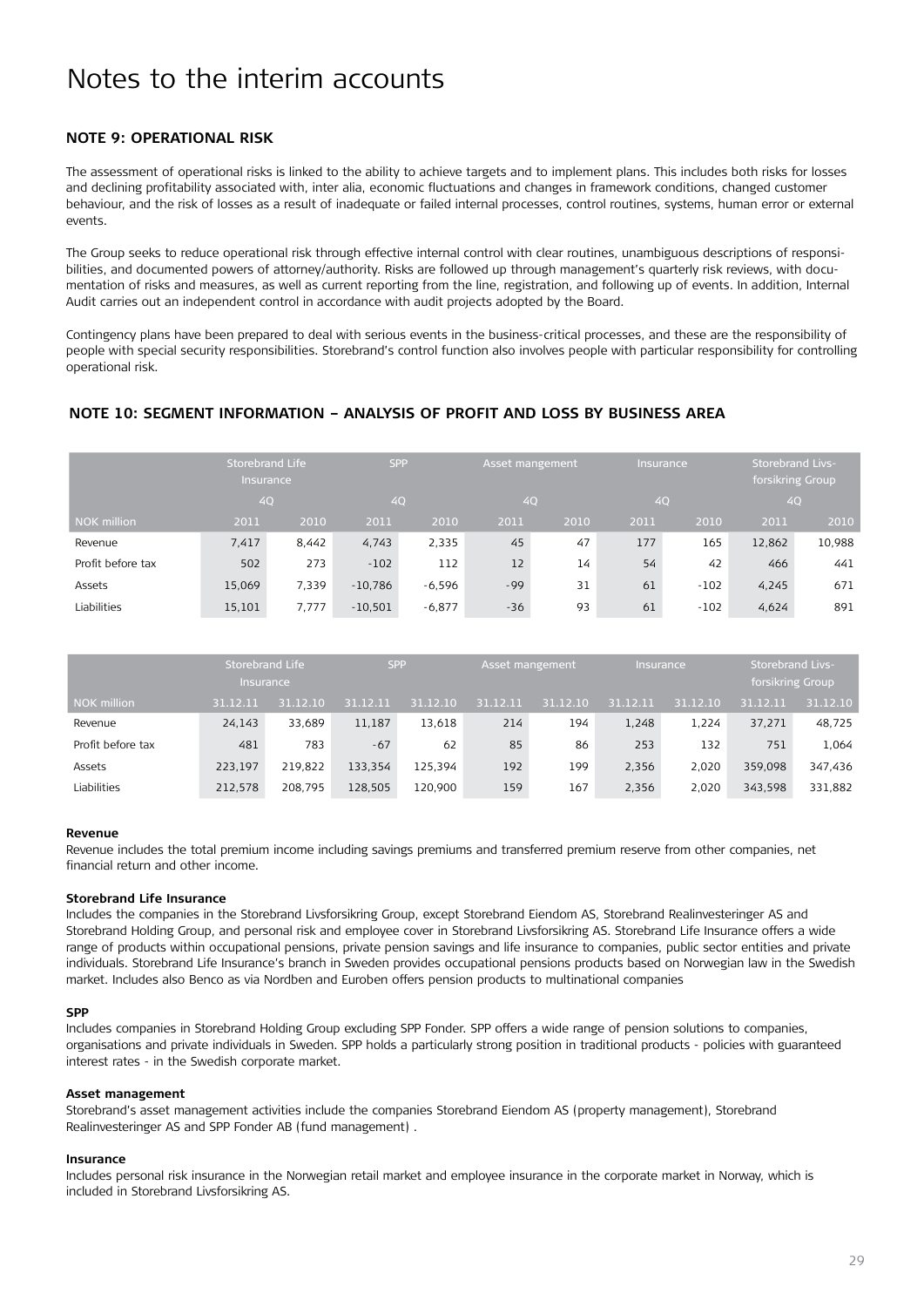#### **Note 9: Operational risk**

The assessment of operational risks is linked to the ability to achieve targets and to implement plans. This includes both risks for losses and declining profitability associated with, inter alia, economic fluctuations and changes in framework conditions, changed customer behaviour, and the risk of losses as a result of inadequate or failed internal processes, control routines, systems, human error or external events.

The Group seeks to reduce operational risk through effective internal control with clear routines, unambiguous descriptions of responsibilities, and documented powers of attorney/authority. Risks are followed up through management's quarterly risk reviews, with documentation of risks and measures, as well as current reporting from the line, registration, and following up of events. In addition, Internal Audit carries out an independent control in accordance with audit projects adopted by the Board.

Contingency plans have been prepared to deal with serious events in the business-critical processes, and these are the responsibility of people with special security responsibilities. Storebrand's control function also involves people with particular responsibility for controlling operational risk.

#### **Note 10: Segment information – analysis of profit and loss by business area**

|                    | Storebrand Life<br><b>Insurance</b> |       | <b>SPP</b><br>Asset mangement |          |       | Insurance | <b>Storebrand Livs-</b><br>forsikring Group |        |        |        |
|--------------------|-------------------------------------|-------|-------------------------------|----------|-------|-----------|---------------------------------------------|--------|--------|--------|
|                    | 4Q                                  |       |                               | 4Q       |       | 4Q        |                                             | 4Q     | 4Q     |        |
| <b>NOK million</b> | 2011                                | 2010  | 2011                          | 2010     | 2011  | 2010      | 2011                                        | 2010   | 2011   | 2010   |
| Revenue            | 7,417                               | 8,442 | 4,743                         | 2,335    | 45    | 47        | 177                                         | 165    | 12,862 | 10,988 |
| Profit before tax  | 502                                 | 273   | $-102$                        | 112      | 12    | 14        | 54                                          | 42     | 466    | 441    |
| Assets             | 15,069                              | 7.339 | $-10,786$                     | -6,596   | $-99$ | 31        | 61                                          | $-102$ | 4,245  | 671    |
| Liabilities        | 15,101                              | 7.777 | $-10,501$                     | $-6,877$ | $-36$ | 93        | 61                                          | $-102$ | 4,624  | 891    |

|                   | Storebrand Life<br><b>Insurance</b> |          | <b>SPP</b> |          |          | Asset mangement<br>Insurance |          |          | <b>Storebrand Livs-</b><br>forsikring Group |          |
|-------------------|-------------------------------------|----------|------------|----------|----------|------------------------------|----------|----------|---------------------------------------------|----------|
| NOK million       | 31.12.11                            | 31.12.10 | 31.12.11   | 31.12.10 | 31.12.11 | 31.12.10                     | 31.12.11 | 31.12.10 | 31.12.11                                    | 31.12.10 |
| Revenue           | 24,143                              | 33,689   | 11,187     | 13,618   | 214      | 194                          | 1,248    | 1.224    | 37,271                                      | 48,725   |
| Profit before tax | 481                                 | 783      | $-67$      | 62       | 85       | 86                           | 253      | 132      | 751                                         | 1,064    |
| Assets            | 223.197                             | 219,822  | 133.354    | 125.394  | 192      | 199                          | 2.356    | 2.020    | 359.098                                     | 347,436  |
| Liabilities       | 212,578                             | 208.795  | 128,505    | 120,900  | 159      | 167                          | 2.356    | 2.020    | 343.598                                     | 331,882  |

#### **Revenue**

Revenue includes the total premium income including savings premiums and transferred premium reserve from other companies, net financial return and other income.

#### **Storebrand Life Insurance**

Includes the companies in the Storebrand Livsforsikring Group, except Storebrand Eiendom AS, Storebrand Realinvesteringer AS and Storebrand Holding Group, and personal risk and employee cover in Storebrand Livsforsikring AS. Storebrand Life Insurance offers a wide range of products within occupational pensions, private pension savings and life insurance to companies, public sector entities and private individuals. Storebrand Life Insurance's branch in Sweden provides occupational pensions products based on Norwegian law in the Swedish market. Includes also Benco as via Nordben and Euroben offers pension products to multinational companies

#### **SPP**

Includes companies in Storebrand Holding Group excluding SPP Fonder. SPP offers a wide range of pension solutions to companies, organisations and private individuals in Sweden. SPP holds a particularly strong position in traditional products - policies with guaranteed interest rates - in the Swedish corporate market.

#### **Asset management**

Storebrand's asset management activities include the companies Storebrand Eiendom AS (property management), Storebrand Realinvesteringer AS and SPP Fonder AB (fund management) .

#### **Insurance**

Includes personal risk insurance in the Norwegian retail market and employee insurance in the corporate market in Norway, which is included in Storebrand Livsforsikring AS.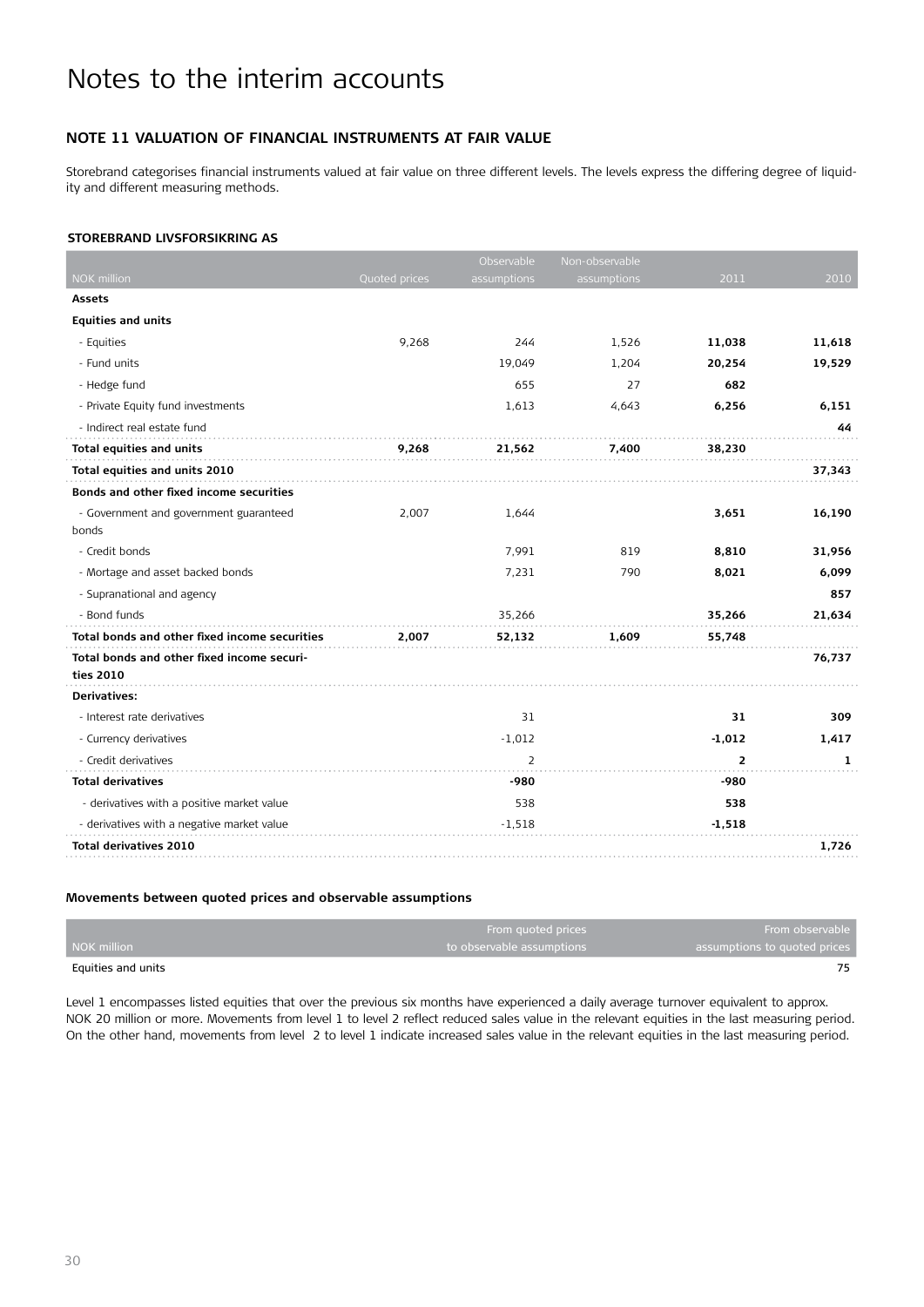#### **Note 11 Valuation of financial instruments at fair value**

Storebrand categorises financial instruments valued at fair value on three different levels. The levels express the differing degree of liquidity and different measuring methods.

#### **Storebrand Livsforsikring AS**

|                                               |               | Observable     | Non-observable |                |        |
|-----------------------------------------------|---------------|----------------|----------------|----------------|--------|
| <b>NOK million</b>                            | Quoted prices | assumptions    | assumptions    | 2011           | 2010   |
| <b>Assets</b>                                 |               |                |                |                |        |
| <b>Equities and units</b>                     |               |                |                |                |        |
| - Equities                                    | 9,268         | 244            | 1,526          | 11,038         | 11,618 |
| - Fund units                                  |               | 19,049         | 1,204          | 20,254         | 19,529 |
| - Hedge fund                                  |               | 655            | 27             | 682            |        |
| - Private Equity fund investments             |               | 1,613          | 4,643          | 6,256          | 6,151  |
| - Indirect real estate fund                   |               |                |                |                | 44     |
| Total equities and units                      | 9,268         | 21,562         | 7,400          | 38,230         |        |
| Total equities and units 2010                 |               |                |                |                | 37,343 |
| Bonds and other fixed income securities       |               |                |                |                |        |
| - Government and government guaranteed        | 2,007         | 1,644          |                | 3,651          | 16,190 |
| bonds                                         |               |                |                |                |        |
| - Credit bonds                                |               | 7,991          | 819            | 8,810          | 31,956 |
| - Mortage and asset backed bonds              |               | 7,231          | 790            | 8,021          | 6,099  |
| - Supranational and agency                    |               |                |                |                | 857    |
| - Bond funds                                  |               | 35,266         |                | 35,266         | 21,634 |
| Total bonds and other fixed income securities | 2,007         | 52,132         | 1,609          | 55,748         |        |
| Total bonds and other fixed income securi-    |               |                |                |                | 76,737 |
| ties 2010                                     |               |                |                |                |        |
| <b>Derivatives:</b>                           |               |                |                |                |        |
| - Interest rate derivatives                   |               | 31             |                | 31             | 309    |
| - Currency derivatives                        |               | $-1,012$       |                | $-1,012$       | 1,417  |
| - Credit derivatives                          |               | $\overline{2}$ |                | $\overline{2}$ | 1      |
| <b>Total derivatives</b>                      |               | -980           |                | -980           |        |
| - derivatives with a positive market value    |               | 538            |                | 538            |        |
| - derivatives with a negative market value    |               | $-1,518$       |                | $-1,518$       |        |
| <b>Total derivatives 2010</b>                 |               |                |                |                | 1,726  |

#### **Movements between quoted prices and observable assumptions**

|                    | From quoted prices        | From observable              |
|--------------------|---------------------------|------------------------------|
| NOK million        | to observable assumptions | assumptions to quoted prices |
| Equities and units |                           |                              |

Level 1 encompasses listed equities that over the previous six months have experienced a daily average turnover equivalent to approx. NOK 20 million or more. Movements from level 1 to level 2 reflect reduced sales value in the relevant equities in the last measuring period. On the other hand, movements from level 2 to level 1 indicate increased sales value in the relevant equities in the last measuring period.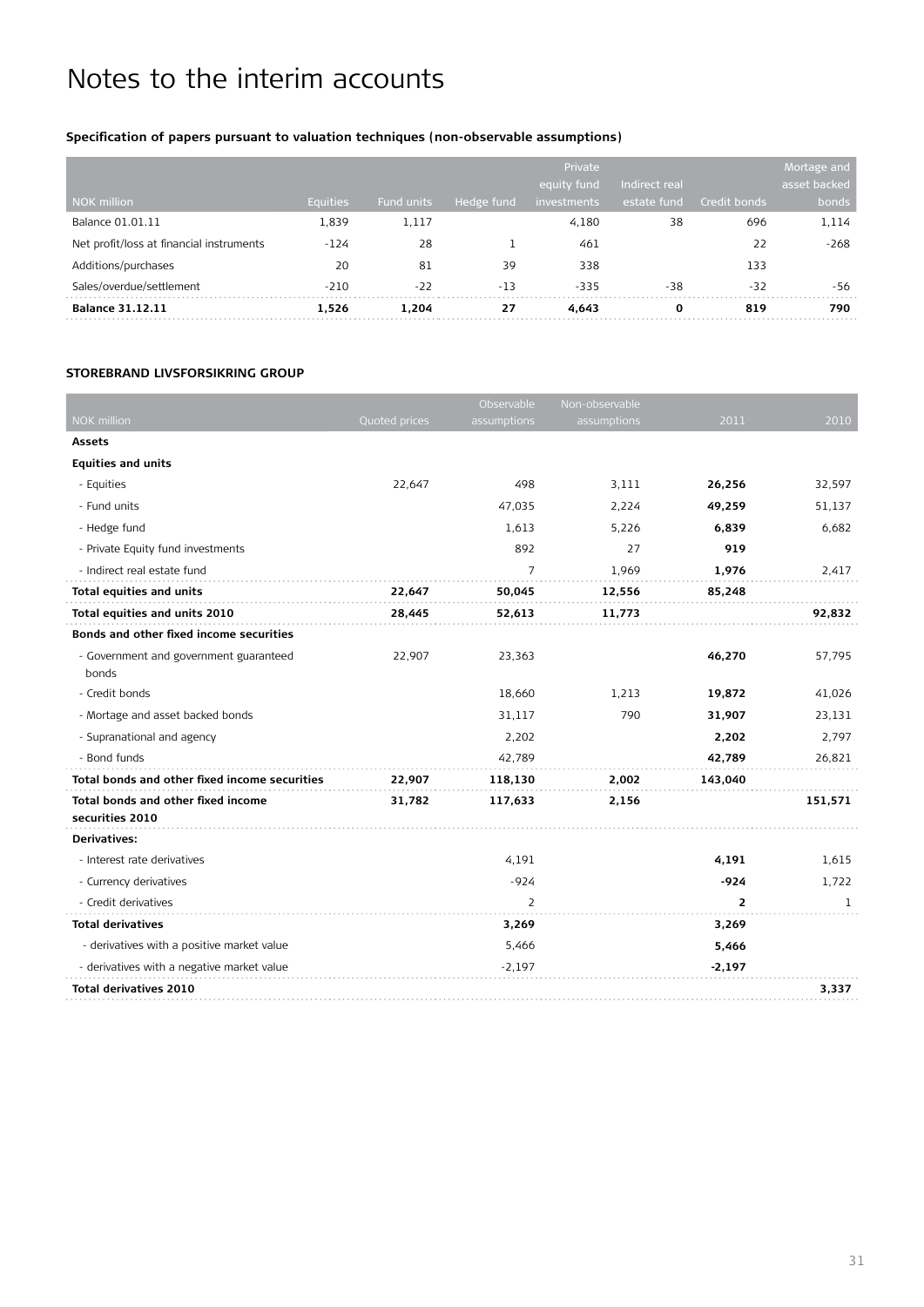#### **Specification of papers pursuant to valuation techniques (non-observable assumptions)**

| NOK million                              | <b>Equities</b> | <b>Fund units</b> | Hedge fund | Private<br>equity fund<br>investments | Indirect real<br>estate fund | Credit bonds | Mortage and<br>asset backed<br>bonds |
|------------------------------------------|-----------------|-------------------|------------|---------------------------------------|------------------------------|--------------|--------------------------------------|
| Balance 01.01.11                         | 1,839           | 1.117             |            | 4,180                                 | 38                           | 696          | 1,114                                |
| Net profit/loss at financial instruments | $-124$          | 28                |            | 461                                   |                              | 22           | $-268$                               |
| Additions/purchases                      | 20              | 81                | 39         | 338                                   |                              | 133          |                                      |
| Sales/overdue/settlement                 | $-210$          | $-22$             | $-13$      | $-335$                                | $-38$                        | $-32$        | -56                                  |
| <b>Balance 31.12.11</b>                  | 1.526           | 1.204             | 27         | 4.643                                 | 0                            | 819          | 790                                  |

#### **Storebrand Livsforsikring Group**

|                                                       |               | Observable     | Non-observable |                |         |
|-------------------------------------------------------|---------------|----------------|----------------|----------------|---------|
| <b>NOK million</b>                                    | Quoted prices | assumptions    | assumptions    | 2011           | 2010    |
| <b>Assets</b>                                         |               |                |                |                |         |
| <b>Equities and units</b>                             |               |                |                |                |         |
| - Equities                                            | 22,647        | 498            | 3,111          | 26,256         | 32,597  |
| - Fund units                                          |               | 47,035         | 2,224          | 49,259         | 51,137  |
| - Hedge fund                                          |               | 1,613          | 5,226          | 6,839          | 6,682   |
| - Private Equity fund investments                     |               | 892            | 27             | 919            |         |
| - Indirect real estate fund                           |               | $\overline{7}$ | 1,969          | 1,976          | 2,417   |
| <b>Total equities and units</b>                       | 22,647        | 50,045         | 12,556         | 85,248         |         |
| Total equities and units 2010                         | 28,445        | 52,613         | 11,773         |                | 92,832  |
| Bonds and other fixed income securities               |               |                |                |                |         |
| - Government and government guaranteed<br>bonds       | 22,907        | 23,363         |                | 46,270         | 57,795  |
| - Credit bonds                                        |               | 18,660         | 1,213          | 19,872         | 41,026  |
| - Mortage and asset backed bonds                      |               | 31,117         | 790            | 31,907         | 23,131  |
| - Supranational and agency                            |               | 2,202          |                | 2,202          | 2,797   |
| - Bond funds                                          |               | 42,789         |                | 42,789         | 26,821  |
| Total bonds and other fixed income securities         | 22,907        | 118,130        | 2,002          | 143,040        |         |
| Total bonds and other fixed income<br>securities 2010 | 31,782        | 117,633        | 2,156          |                | 151,571 |
| Derivatives:                                          |               |                |                |                |         |
| - Interest rate derivatives                           |               | 4,191          |                | 4,191          | 1,615   |
| - Currency derivatives                                |               | $-924$         |                | $-924$         | 1,722   |
| - Credit derivatives                                  |               | $\overline{2}$ |                | $\overline{2}$ | 1       |
| <b>Total derivatives</b>                              |               | 3,269          |                | 3,269          |         |
| - derivatives with a positive market value            |               | 5,466          |                | 5,466          |         |
| - derivatives with a negative market value            |               | $-2,197$       |                | $-2,197$       |         |
| <b>Total derivatives 2010</b>                         |               |                |                |                | 3,337   |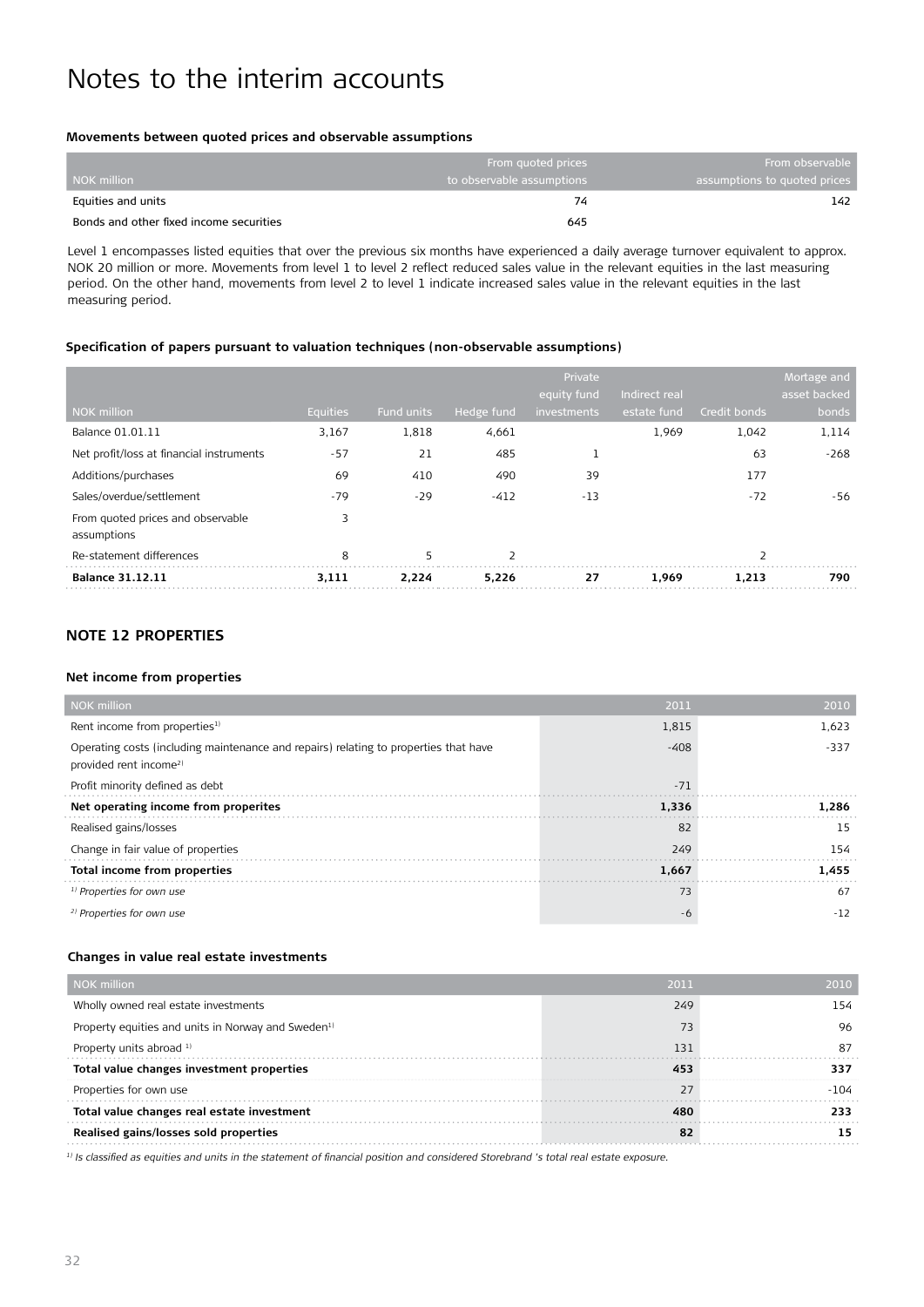#### **Movements between quoted prices and observable assumptions**

|                                         | From quoted prices        | From observable              |
|-----------------------------------------|---------------------------|------------------------------|
| l NOK million                           | to observable assumptions | assumptions to quoted prices |
| Equities and units                      |                           | 142                          |
| Bonds and other fixed income securities | 645                       |                              |

Level 1 encompasses listed equities that over the previous six months have experienced a daily average turnover equivalent to approx. NOK 20 million or more. Movements from level 1 to level 2 reflect reduced sales value in the relevant equities in the last measuring period. On the other hand, movements from level 2 to level 1 indicate increased sales value in the relevant equities in the last measuring period.

#### **Specification of papers pursuant to valuation techniques (non-observable assumptions)**

|                                                  |                 |            |            | Private<br>equity fund | Indirect real |              | Mortage and<br>asset backed |
|--------------------------------------------------|-----------------|------------|------------|------------------------|---------------|--------------|-----------------------------|
| NOK million                                      | <b>Equities</b> | Fund units | Hedge fund | investments            | estate fund   | Credit bonds | bonds                       |
| Balance 01.01.11                                 | 3,167           | 1,818      | 4,661      |                        | 1,969         | 1,042        | 1,114                       |
| Net profit/loss at financial instruments         | $-57$           | 21         | 485        |                        |               | 63           | $-268$                      |
| Additions/purchases                              | 69              | 410        | 490        | 39                     |               | 177          |                             |
| Sales/overdue/settlement                         | $-79$           | $-29$      | $-412$     | $-13$                  |               | $-72$        | -56                         |
| From guoted prices and observable<br>assumptions | 3               |            |            |                        |               |              |                             |
| Re-statement differences                         | 8               | 5          | 2          |                        |               |              |                             |
| <b>Balance 31.12.11</b>                          | 3,111           | 2.224      | 5,226      | 27                     | 1.969         | 1.213        | 790                         |

#### **Note 12 Properties**

#### **Net income from properties**

| <b>NOK</b> million                                                                                                         | 2010   |        |
|----------------------------------------------------------------------------------------------------------------------------|--------|--------|
| Rent income from properties <sup>1)</sup>                                                                                  | 1,815  | 1,623  |
| Operating costs (including maintenance and repairs) relating to properties that have<br>provided rent income <sup>2)</sup> | $-408$ | $-337$ |
| Profit minority defined as debt                                                                                            | $-71$  |        |
| Net operating income from properites                                                                                       | 1.336  | 1.286  |
| Realised gains/losses                                                                                                      | 82     | 15     |
| Change in fair value of properties                                                                                         | 249    | 154    |
| Total income from properties                                                                                               | 1,667  | 1.455  |
| <sup>1)</sup> Properties for own use                                                                                       | 73     | 67     |
| <sup>2)</sup> Properties for own use                                                                                       | -6     | $-12$  |

#### **Changes in value real estate investments**

| NOK million                                                    | 2011 | 2010 |
|----------------------------------------------------------------|------|------|
| Wholly owned real estate investments                           | 249  | 154  |
| Property equities and units in Norway and Sweden <sup>1)</sup> | 73   | 96   |
| Property units abroad 1)                                       | 131  | 87   |
| Total value changes investment properties                      | 453  | 337  |
| Properties for own use                                         | 27   | -104 |
| Total value changes real estate investment                     | 480  | 233  |
| Realised gains/losses sold properties                          | 82   | 15   |

*1) Is classified as equities and units in the statement of financial position and considered Storebrand 's total real estate exposure.*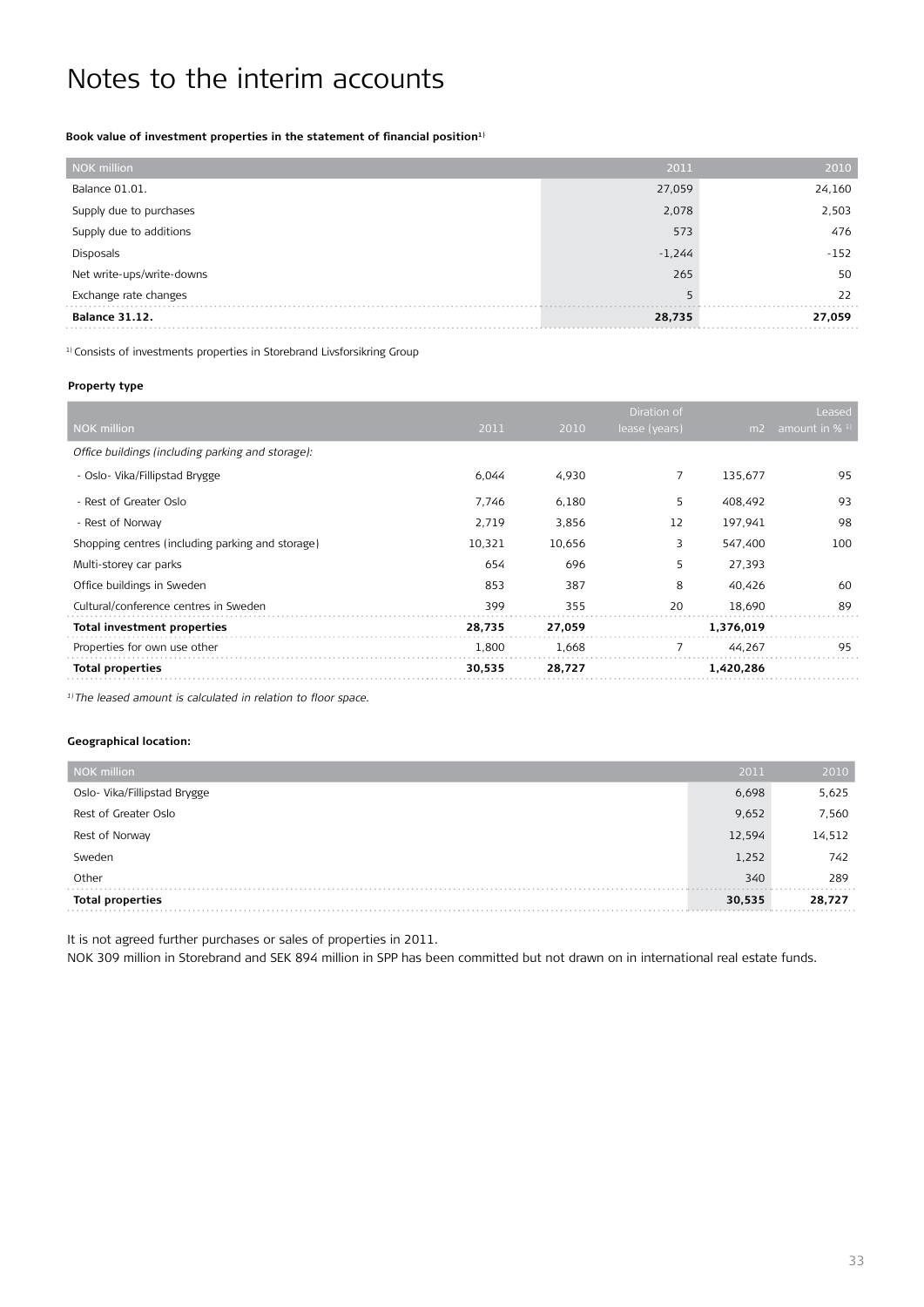Book value of investment properties in the statement of financial position<sup>1)</sup>

| NOK million               | 2011     | 2010   |
|---------------------------|----------|--------|
| Balance 01.01.            | 27,059   | 24,160 |
| Supply due to purchases   | 2,078    | 2,503  |
| Supply due to additions   | 573      | 476    |
| Disposals                 | $-1,244$ | $-152$ |
| Net write-ups/write-downs | 265      | 50     |
| Exchange rate changes     | 5        | 22     |
| <b>Balance 31.12.</b>     | 28,735   | 27,059 |

<sup>1)</sup> Consists of investments properties in Storebrand Livsforsikring Group

#### **Property type**

|                                                   |        |        | Diration of   |           | Leased        |
|---------------------------------------------------|--------|--------|---------------|-----------|---------------|
| <b>NOK million</b>                                | 2011   | 2010   | lease (years) | m2        | amount in % 1 |
| Office buildings (including parking and storage): |        |        |               |           |               |
| - Oslo- Vika/Fillipstad Brygge                    | 6,044  | 4,930  | 7             | 135,677   | 95            |
| - Rest of Greater Oslo                            | 7,746  | 6,180  | 5             | 408,492   | 93            |
| - Rest of Norway                                  | 2,719  | 3,856  | 12            | 197,941   | 98            |
| Shopping centres (including parking and storage)  | 10,321 | 10,656 | 3             | 547,400   | 100           |
| Multi-storey car parks                            | 654    | 696    | 5             | 27,393    |               |
| Office buildings in Sweden                        | 853    | 387    | 8             | 40,426    | 60            |
| Cultural/conference centres in Sweden             | 399    | 355    | 20            | 18,690    | 89            |
| <b>Total investment properties</b>                | 28,735 | 27,059 |               | 1,376,019 |               |
| Properties for own use other                      | 1,800  | 1,668  | 7             | 44,267    | 95            |
| <b>Total properties</b>                           | 30,535 | 28,727 |               | 1,420,286 |               |

*1) The leased amount is calculated in relation to floor space.*

#### **Geographical location:**

| <b>NOK</b> million           | 2011   | 2010   |
|------------------------------|--------|--------|
| Oslo- Vika/Fillipstad Brygge | 6,698  | 5,625  |
| Rest of Greater Oslo         | 9,652  | 7,560  |
| Rest of Norway               | 12,594 | 14,512 |
| Sweden                       | 1,252  | 742    |
| Other                        | 340    | 289    |
| <b>Total properties</b>      | 30,535 | 28,727 |

It is not agreed further purchases or sales of properties in 2011.

NOK 309 million in Storebrand and SEK 894 million in SPP has been committed but not drawn on in international real estate funds.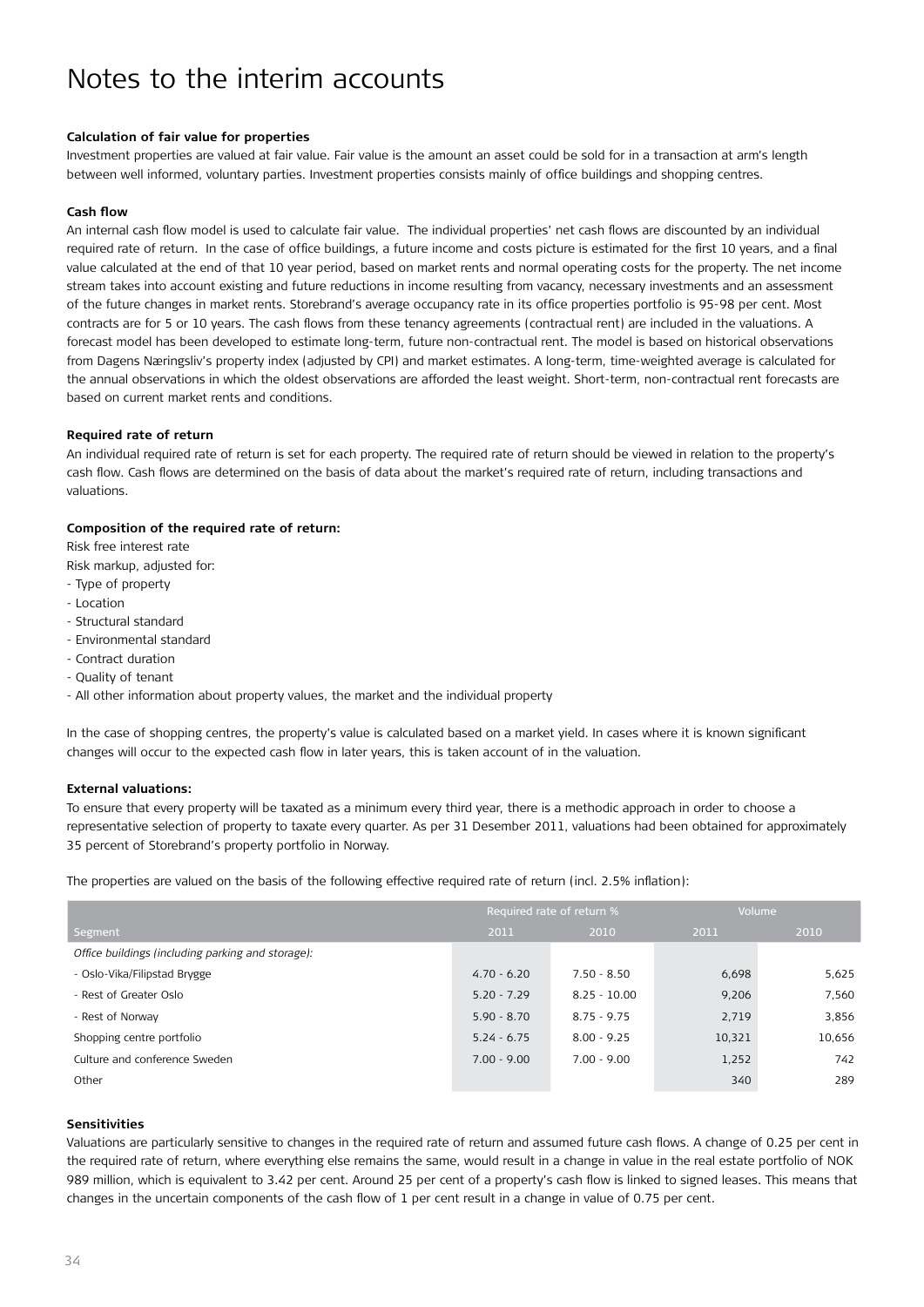#### **Calculation of fair value for properties**

Investment properties are valued at fair value. Fair value is the amount an asset could be sold for in a transaction at arm's length between well informed, voluntary parties. Investment properties consists mainly of office buildings and shopping centres.

#### **Cash flow**

An internal cash flow model is used to calculate fair value. The individual properties' net cash flows are discounted by an individual required rate of return. In the case of office buildings, a future income and costs picture is estimated for the first 10 years, and a final value calculated at the end of that 10 year period, based on market rents and normal operating costs for the property. The net income stream takes into account existing and future reductions in income resulting from vacancy, necessary investments and an assessment of the future changes in market rents. Storebrand's average occupancy rate in its office properties portfolio is 95-98 per cent. Most contracts are for 5 or 10 years. The cash flows from these tenancy agreements (contractual rent) are included in the valuations. A forecast model has been developed to estimate long-term, future non-contractual rent. The model is based on historical observations from Dagens Næringsliv's property index (adjusted by CPI) and market estimates. A long-term, time-weighted average is calculated for the annual observations in which the oldest observations are afforded the least weight. Short-term, non-contractual rent forecasts are based on current market rents and conditions.

#### **Required rate of return**

An individual required rate of return is set for each property. The required rate of return should be viewed in relation to the property's cash flow. Cash flows are determined on the basis of data about the market's required rate of return, including transactions and valuations.

#### **Composition of the required rate of return:**

Risk free interest rate

- Risk markup, adjusted for:
- Type of property
- Location
- Structural standard
- Environmental standard
- Contract duration
- Quality of tenant
- All other information about property values, the market and the individual property

In the case of shopping centres, the property's value is calculated based on a market yield. In cases where it is known significant changes will occur to the expected cash flow in later years, this is taken account of in the valuation.

#### **External valuations:**

To ensure that every property will be taxated as a minimum every third year, there is a methodic approach in order to choose a representative selection of property to taxate every quarter. As per 31 Desember 2011, valuations had been obtained for approximately 35 percent of Storebrand's property portfolio in Norway.

The properties are valued on the basis of the following effective required rate of return (incl. 2.5% inflation):

|                                                   | Required rate of return % |                | Volume |        |
|---------------------------------------------------|---------------------------|----------------|--------|--------|
| Segment                                           | 2011                      | 2010           | 2011   | 2010   |
| Office buildings (including parking and storage): |                           |                |        |        |
| - Oslo-Vika/Filipstad Brygge                      | $4.70 - 6.20$             | $7.50 - 8.50$  | 6,698  | 5,625  |
| - Rest of Greater Oslo                            | $5.20 - 7.29$             | $8.25 - 10.00$ | 9,206  | 7,560  |
| - Rest of Norway                                  | $5.90 - 8.70$             | $8.75 - 9.75$  | 2,719  | 3,856  |
| Shopping centre portfolio                         | $5.24 - 6.75$             | $8.00 - 9.25$  | 10,321 | 10,656 |
| Culture and conference Sweden                     | $7.00 - 9.00$             | $7.00 - 9.00$  | 1,252  | 742    |
| Other                                             |                           |                | 340    | 289    |

#### **Sensitivities**

Valuations are particularly sensitive to changes in the required rate of return and assumed future cash flows. A change of 0.25 per cent in the required rate of return, where everything else remains the same, would result in a change in value in the real estate portfolio of NOK 989 million, which is equivalent to 3.42 per cent. Around 25 per cent of a property's cash flow is linked to signed leases. This means that changes in the uncertain components of the cash flow of 1 per cent result in a change in value of 0.75 per cent.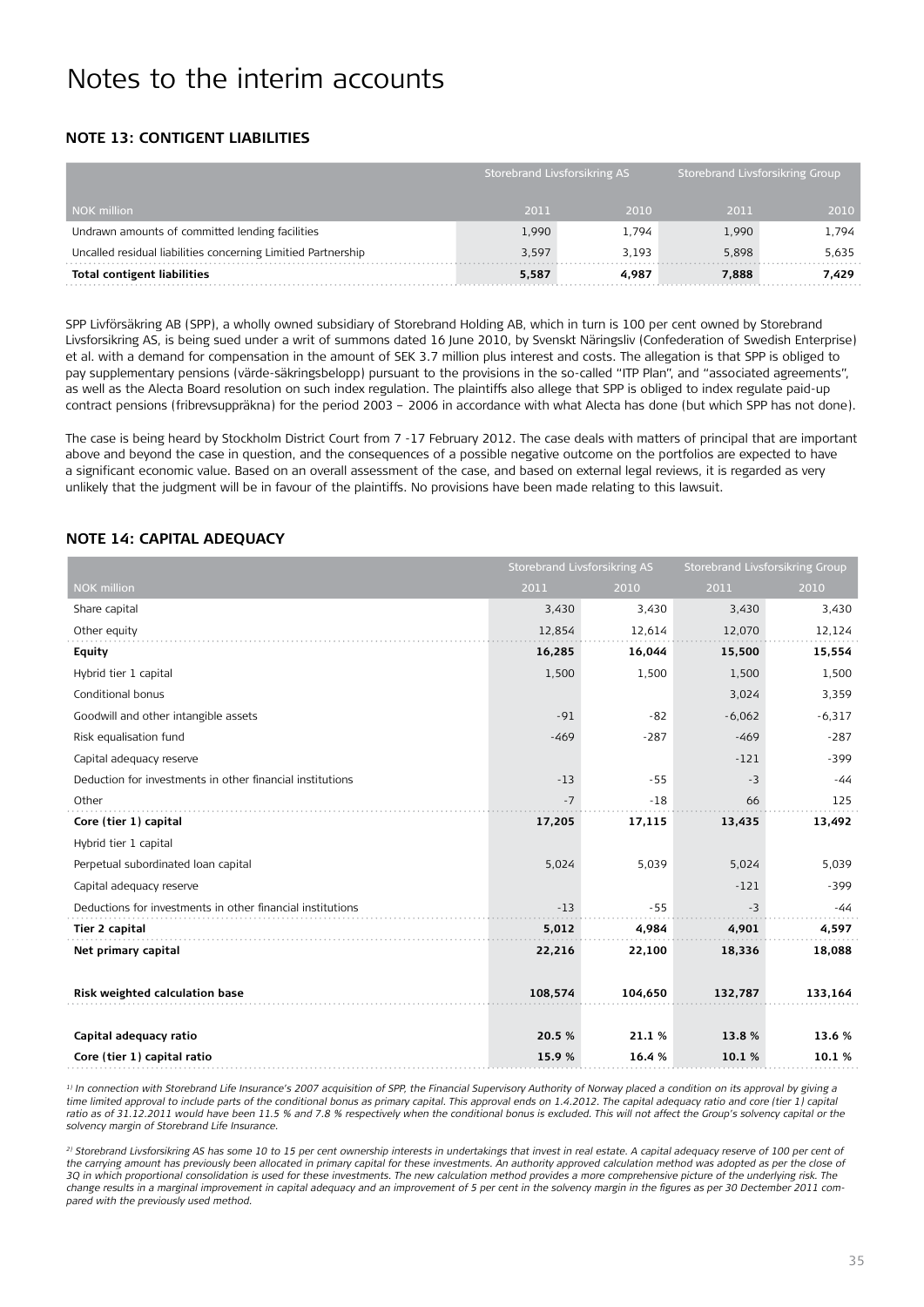#### **Note 13: Contigent liabilities**

|                                                               |       | Storebrand Livsforsikring AS |       | Storebrand Livsforsikring Group |  |
|---------------------------------------------------------------|-------|------------------------------|-------|---------------------------------|--|
| NOK million                                                   | 2011  | 2010                         | 2011  | 2010                            |  |
| Undrawn amounts of committed lending facilities               | 1,990 | 1.794                        | 1.990 | 1.794                           |  |
| Uncalled residual liabilities concerning Limitied Partnership | 3,597 | 3.193                        | 5.898 | 5,635                           |  |
| <b>Total contigent liabilities</b>                            | 5,587 | 4.987                        | 7.888 | 7.429                           |  |

SPP Livförsäkring AB (SPP), a wholly owned subsidiary of Storebrand Holding AB, which in turn is 100 per cent owned by Storebrand Livsforsikring AS, is being sued under a writ of summons dated 16 June 2010, by Svenskt Näringsliv (Confederation of Swedish Enterprise) et al. with a demand for compensation in the amount of SEK 3.7 million plus interest and costs. The allegation is that SPP is obliged to pay supplementary pensions (värde-säkringsbelopp) pursuant to the provisions in the so-called "ITP Plan", and "associated agreements", as well as the Alecta Board resolution on such index regulation. The plaintiffs also allege that SPP is obliged to index regulate paid-up contract pensions (fribrevsuppräkna) for the period 2003 – 2006 in accordance with what Alecta has done (but which SPP has not done).

The case is being heard by Stockholm District Court from 7 -17 February 2012. The case deals with matters of principal that are important above and beyond the case in question, and the consequences of a possible negative outcome on the portfolios are expected to have a significant economic value. Based on an overall assessment of the case, and based on external legal reviews, it is regarded as very unlikely that the judgment will be in favour of the plaintiffs. No provisions have been made relating to this lawsuit.

#### **Note 14: Capital adequacy**

|                                                            | <b>Storebrand Livsforsikring AS</b> |         | <b>Storebrand Livsforsikring Group</b> |          |
|------------------------------------------------------------|-------------------------------------|---------|----------------------------------------|----------|
| <b>NOK</b> million                                         | 2011                                | 2010    | 2011                                   | 2010     |
| Share capital                                              | 3,430                               | 3,430   | 3,430                                  | 3,430    |
| Other equity                                               | 12,854                              | 12,614  | 12,070                                 | 12,124   |
| <b>Equity</b>                                              | 16,285                              | 16,044  | 15,500                                 | 15,554   |
| Hybrid tier 1 capital                                      | 1,500                               | 1,500   | 1,500                                  | 1,500    |
| Conditional bonus                                          |                                     |         | 3,024                                  | 3,359    |
| Goodwill and other intangible assets                       | $-91$                               | $-82$   | $-6,062$                               | $-6,317$ |
| Risk equalisation fund                                     | $-469$                              | $-287$  | $-469$                                 | $-287$   |
| Capital adequacy reserve                                   |                                     |         | $-121$                                 | $-399$   |
| Deduction for investments in other financial institutions  | $-13$                               | $-55$   | $-3$                                   | -44      |
| Other                                                      | $-7$                                | $-18$   | 66                                     | 125      |
| Core (tier 1) capital                                      | 17,205                              | 17,115  | 13,435                                 | 13,492   |
| Hybrid tier 1 capital                                      |                                     |         |                                        |          |
| Perpetual subordinated loan capital                        | 5,024                               | 5,039   | 5,024                                  | 5,039    |
| Capital adequacy reserve                                   |                                     |         | $-121$                                 | $-399$   |
| Deductions for investments in other financial institutions | $-13$                               | $-55$   | $-3$                                   | $-44$    |
| Tier 2 capital                                             | 5,012                               | 4,984   | 4,901                                  | 4,597    |
| Net primary capital                                        | 22,216                              | 22,100  | 18,336                                 | 18,088   |
|                                                            |                                     |         |                                        |          |
| Risk weighted calculation base                             | 108,574                             | 104,650 | 132,787                                | 133,164  |
|                                                            |                                     |         |                                        |          |
| Capital adequacy ratio                                     | 20.5 %                              | 21.1%   | 13.8%                                  | 13.6 %   |
| Core (tier 1) capital ratio                                | 15.9%                               | 16.4%   | 10.1%                                  | 10.1%    |

<sup>1)</sup> In connection with Storebrand Life Insurance's 2007 acquisition of SPP, the Financial Supervisory Authority of Norway placed a condition on its approval by giving a *time limited approval to include parts of the conditional bonus as primary capital. This approval ends on 1.4.2012. The capital adequacy ratio and core (tier 1) capital*  ratio as of 31.12.2011 would have been 11.5 % and 7.8 % respectively when the conditional bonus is excluded. This will not affect the Group's solvency capital or the *solvency margin of Storebrand Life Insurance.*

<sup>2)</sup> Storebrand Livsforsikring AS has some 10 to 15 per cent ownership interests in undertakings that invest in real estate. A capital adequacy reserve of 100 per cent of the carrying amount has previously been allocated in primary capital for these investments. An authority approved calculation method was adopted as per the close of *3Q in which proportional consolidation is used for these investments. The new calculation method provides a more comprehensive picture of the underlying risk. The change results in a marginal improvement in capital adequacy and an improvement of 5 per cent in the solvency margin in the figures as per 30 Dectember 2011 compared with the previously used method.*